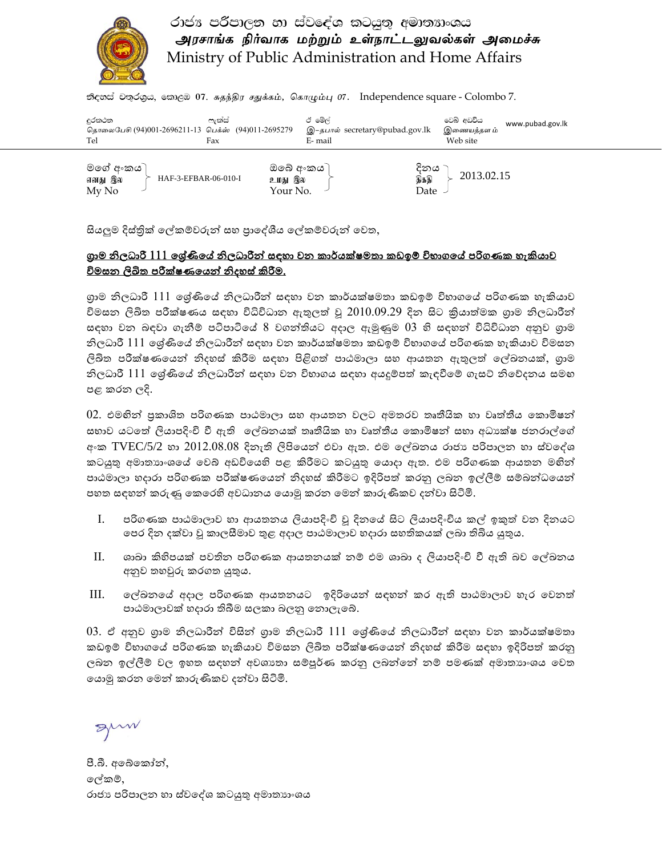

### රාජා පරිපාලන හා ස්වදේශ කටයුතු අමාතහංශය அரசாங்க நிர்வாக மற்றும் உள்நாட்டலுவல்கள் அமைச்சு Ministry of Public Administration and Home Affairs

தி ஜூக் சில்லை, கலை லி. சுதந்திர சதுக்கம், கொழும்பு 07. Independence square - Colombo 7.

| දුරකථන<br>தொலைபேசி (94)001-2696211-13 பெக்ஸ் (94)011-2695279<br>Tel | ලැක්ස්<br>Fax |                                   | ඊ මේල්<br>இ–தபால் secretary@pubad.gov.lk<br>E- mail |                      | වෙබ් අඩවිය<br>இணையத்தள ம்<br>Web site | www.pubad.gov.lk |
|---------------------------------------------------------------------|---------------|-----------------------------------|-----------------------------------------------------|----------------------|---------------------------------------|------------------|
| මගේ අ∘කය ි<br>HAF-3-EFBAR-06-010-I<br>எனது இல<br>My No              |               | ඔබේ අංකය )<br>உமது இல<br>Your No. |                                                     | දිනය<br>தகதி<br>Date | 2013.02.15                            |                  |

සියලුම දිස්තික් ෙල්කම්වරුන් සහ පාෙද්ශීය ෙල්කම්වරුන් ෙවත,

#### ගාම නිලධාරී 111 ෙශේණිෙය් නිලධාරීන් සඳහා වන කාර්යක්ෂමතා කඩඉම් විභාගෙය් පරිගණක හැකියාව <u>විමසන ලිඛිත පරීක්ෂණයෙන් නිදහස් කිරීම.</u>

ගාම නිලධාරී 111 ෙශේණිෙය් නිලධාරීන් සඳහා වන කාර්යක්ෂමතා කඩඉම් විභාගෙය් පරිගණක හැකියාව විමසන ලිඛිත පරීක්ෂණය සඳහා විධිවිධාන ඇතුලත් වූ 2010.09.29 දින සිට කියාත්මක ගාම නිලධාරීන් සඳහා වන බඳවා ගැනීම් පටිපාටිෙය් 8 වගන්තියට අදාල ඇමුණුම 03 හි සඳහන් විධිවිධාන අනුව ගාම නිලධාරී 111 ෙශේණිෙය් නිලධාරීන් සඳහා වන කාර්යක්ෂමතා කඩඉම් විභාගෙය් පරිගණක හැකියාව විමසන ලිඛිත පරීක්ෂණෙයන් නිදහස් කිරීම සඳහා පිළිගත් පාඨමාලා සහ ආයතන ඇතුලත් ෙල්ඛනයක්, ගාම නිලධාරී 111 ෙශේණිෙය් නිලධාරීන් සඳහා වන විභාගය සඳහා අයදුම්පත් කැඳවීෙම් ගැසට් නිෙව්දනය සමඟ පළ කරන ලදි.

02. එමඟින් පකාශිත පරිගණක පාඨමාලා සහ ආයතන වලට අමතරව තෘතීයික හා වෘත්තීය ෙකොමිෂන් සභාව යටතේ ලියාපදිංචි වී ඇති ලේඛනයක් තෘතීයික හා වෘත්තීය කොමිෂන් සභා අධාෳක්ෂ ජනරාල්ගේ අංක  $\mathrm{TVEC}$ /5/2 හා  $2012.08.08$  දිනැති ලිපියෙන් එවා ඇත. එම ලේඛනය රාජාෳ පරිපාලන හා ස්වදේශ කටයුතු අමාතාගංශයේ වෙබ් අඩවියෙහි පළ කිරීමට කටයුතු යොදා ඇත. එම පරිගණක ආයතන මහින් පාඨමාලා හදාරා පරිගණක පරීක්ෂණෙයන් නිදහස් කිරීමට ඉදිරිපත් කරනු ලබන ඉල්ලීම් සම්බන්ධෙයන් පහත සඳහන් කරුණු ෙකෙරහි අවධානය ෙයොමු කරන ෙමන් කාරුණිකව දන්වා සිටිමි.

- I. පරිගණක පාඨමාලාව හා ආයතනය ලියාපදිංචි වූ දිනෙය් සිට ලියාපදිංචිය කල් ඉකුත් වන දිනයට ෙපර දින දක්වා වූ කාලසීමාව තුළ අදාල පාඨමාලාව හදාරා සහතිකයක් ලබා තිබිය යුතුය.
- II. ශාඛා කිහිපයක් පවතින පරිගණක ආයතනයක් නම් එම ශාඛා ද ලියාපදිංචි වී ඇති බව ෙල්ඛනය අනුව තහවුරු කරගත යුතුය.
- III. ෙල්ඛනෙය් අදාල පරිගණක ආයතනයට ඉදිරිෙයන් සඳහන් කර ඇති පාඨමාලාව හැර ෙවනත් පාඨමාලාවක් හදාරා තිබීම සලකා බලනු ෙනොලැෙබ්.

03. ඒ අනුව ගාම නිලධාරීන් විසින් ගාම නිලධාරී 111 ෙශේණිෙය් නිලධාරීන් සඳහා වන කාර්යක්ෂමතා කඩඉම් විභාගෙය් පරිගණක හැකියාව විමසන ලිඛිත පරීක්ෂණෙයන් නිදහස් කිරීම සඳහා ඉදිරිපත් කරනු ලබන ඉල්ලීම් වල ඉහත සඳහන් අවශානා සම්පූර්ණ කරනු ලබන්නේ නම් පමණක් අමාතාාංශය වෙත ෙයොමු කරන ෙමන් කාරුණිකව දන්වා සිටිමි.

guw

පී.බී. අබේකෝන්, ෙල්කම්, රාජා පරිපාලන හා ස්වදේශ කටයුතු අමාතාාංශය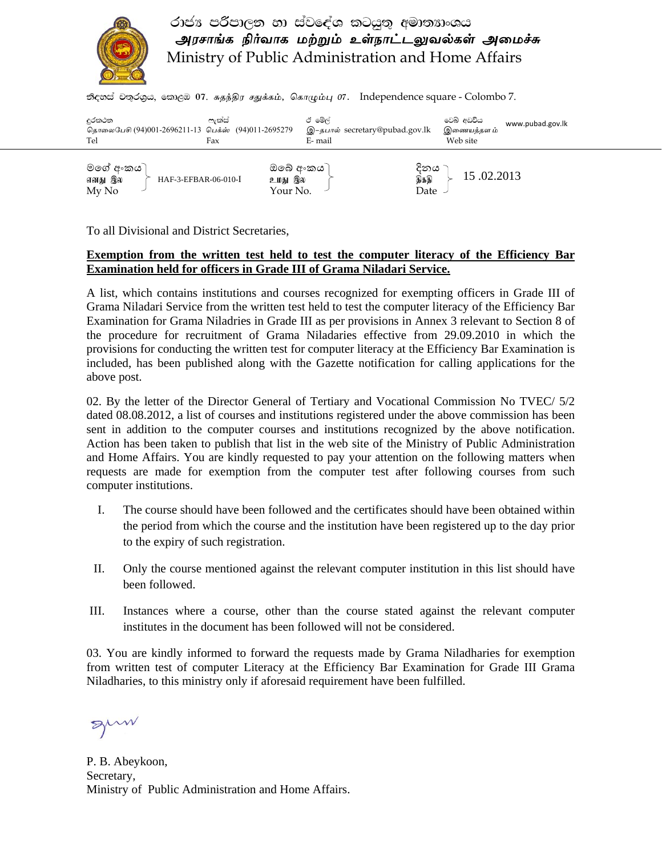

## රාජා පරිපාලන හා ස්වදේශ කටයුතු අමාතහංශය அரசாங்க நிர்வாக மற்றும் உள்நாட்டலுவல்கள் அமைச்சு Ministry of Public Administration and Home Affairs

தி ஜூக் சில்லை, கலை லி. சுதந்திர சதுக்கம், கொழும்பு 07. Independence square - Colombo 7.

| දුරකථන<br>தொலைபேசி (94)001-2696211-13 பெக்ஸ் (94)011-2695279<br>Tel | ෆැක්ස්<br>Fax | ඊ මේල්<br>E- mail                 | இ–தபால் secretary@pubad.gov.lk | වෙබ් අඩවිය<br>www.pubad.gov.lk<br>இணையத்தள ம்<br>Web site |
|---------------------------------------------------------------------|---------------|-----------------------------------|--------------------------------|-----------------------------------------------------------|
| මගේ අ∘කය ි<br>HAF-3-EFBAR-06-010-I<br>எனது இல<br>My No              |               | ඔබේ අංකය `<br>உமது இல<br>Your No. | දිනය<br>திக்கி<br>Date         | 15.02.2013                                                |

To all Divisional and District Secretaries,

#### **Exemption from the written test held to test the computer literacy of the Efficiency Bar Examination held for officers in Grade III of Grama Niladari Service.**

A list, which contains institutions and courses recognized for exempting officers in Grade III of Grama Niladari Service from the written test held to test the computer literacy of the Efficiency Bar Examination for Grama Niladries in Grade III as per provisions in Annex 3 relevant to Section 8 of the procedure for recruitment of Grama Niladaries effective from 29.09.2010 in which the provisions for conducting the written test for computer literacy at the Efficiency Bar Examination is included, has been published along with the Gazette notification for calling applications for the above post.

02. By the letter of the Director General of Tertiary and Vocational Commission No TVEC/ 5/2 dated 08.08.2012, a list of courses and institutions registered under the above commission has been sent in addition to the computer courses and institutions recognized by the above notification. Action has been taken to publish that list in the web site of the Ministry of Public Administration and Home Affairs. You are kindly requested to pay your attention on the following matters when requests are made for exemption from the computer test after following courses from such computer institutions.

- I. The course should have been followed and the certificates should have been obtained within the period from which the course and the institution have been registered up to the day prior to the expiry of such registration.
- II. Only the course mentioned against the relevant computer institution in this list should have been followed.
- III. Instances where a course, other than the course stated against the relevant computer institutes in the document has been followed will not be considered.

03. You are kindly informed to forward the requests made by Grama Niladharies for exemption from written test of computer Literacy at the Efficiency Bar Examination for Grade III Grama Niladharies, to this ministry only if aforesaid requirement have been fulfilled.

gum

P. B. Abeykoon, Secretary, Ministry of Public Administration and Home Affairs.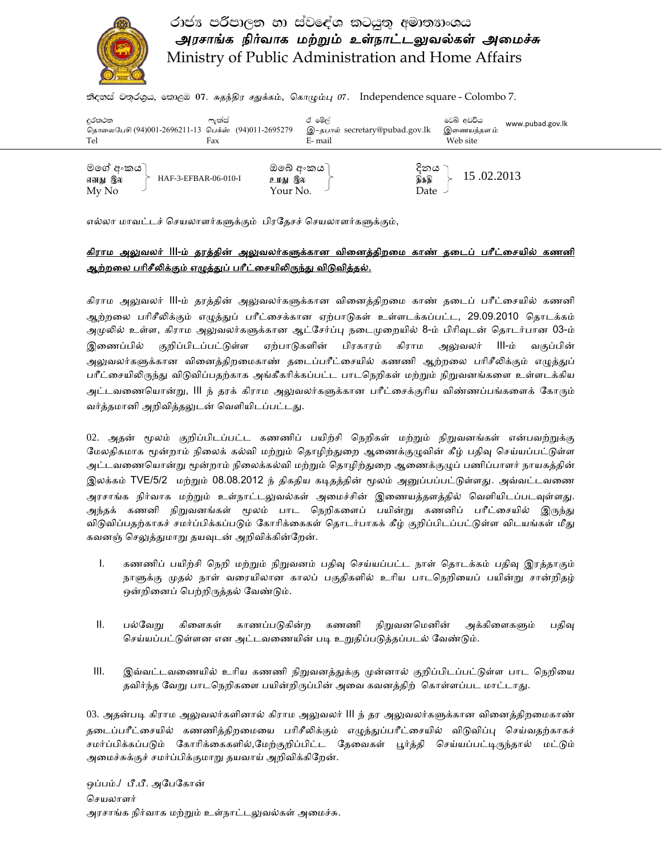

# රාජා පරිපාලන හා ස්වදේශ කටයුතු අමාතහංශය அரசாங்க நிர்வாக மற்றும் உள்நாட்டலுவல்கள் அமைச்சு Ministry of Public Administration and Home Affairs

தி ஜூக் சில்லை, கலை லி. சுதந்திர சதுக்கம், கொழும்பு 07. Independence square - Colombo 7.

| දුරකථන<br>தொலைபேசி (94)001-2696211-13 பெக்ஸ் (94)011-2695279<br>Tel | ලැක්ස්<br>Fax |                                   | ඊ මේල්<br>E- mail | இ–தபால் secretary@pubad.gov.lk | වෙබ් අඩවිය<br>இணையத்தள ம்<br>Web site | www.pubad.gov.lk |
|---------------------------------------------------------------------|---------------|-----------------------------------|-------------------|--------------------------------|---------------------------------------|------------------|
| මගේ අංකය )<br>HAF-3-EFBAR-06-010-I<br>எனது இல<br>My No              |               | ඔබේ අංකය `<br>உமது இல<br>Your No. |                   | දිනය<br>திக்கி<br>Date         | 15.02.2013                            |                  |

எல்லா மாவட்டச் செயலாளர்களுக்கும் பிரதேசச் செயலாளர்களுக்கும்,

#### <u>கிராம அலுவலர் III-ம் தரத்தின் அலுவலர்களுக்கான வினைத்திறமை காண் தடைப் பரீட்சையில் கணனி</u> <u>ஆற்றலை பரிசீலிக்கும் எழுத்துப் பரீட்சையிலிருந்து விடுவித்தல்.</u>

கிராம அலுவலர் III-ம் தரத்தின் அலுவலர்களுக்கான வினைத்திறமை காண் தடைப் பரீட்சையில் கணனி ஆற்றலை பரிசீலிக்கும் எழுத்துப் பரீட்சைக்கான ஏற்பாடுகள் உள்ளடக்கப்பட்ட, 29.09.2010 தொடக்கம் அமுலில் உள்ள, கிராம அலுவலர்களுக்கான ஆட்சேர்ப்பு நடைமுறையில் 8-ம் பிரிவுடன் தொடர்பான 03-ம் இணைப்பில் குறிப்பிடப்பட்டுள்ள ஏற்பாடுகளின் பிரகாரம் கிராம அலுவலர் III-ம் வகுப்பின் அலுவலர்களுக்கான வினைத்திறமைகாண் தடைப்பரீட்சையில் கணணி ஆற்றலை பரிசீலிக்கும் எழுத்துப் பரீட்சையிலிருந்து விடுவிப்பதற்காக அங்கீகரிக்கப்பட்ட பாடநெறிகள் மற்றும் நிறுவனங்களை உள்ளடக்கிய அட்டவணையொன்று, III ந் தரக் கிராம அலுவலர்களுக்கான பரீட்சைக்குரிய விண்ணப்பங்களைக் கோரும் வர்த்தமானி அறிவித்தலுடன் வெளியிடப்பட்டது.

02. அதன் மூலம் குறிப்பிடப்பட்ட கணணிப் பயிற்சி நெறிகள் மற்றும் நிறுவனங்கள் என்பவற்றுக்கு மேலதிகமாக மூன்றாம் நிலைக் கல்வி மற்றும் தொழிற்துறை ஆணைக்குழுவின் கீழ் பதிவு செய்யப்பட்டுள்ள அட்டவணையொன்று மூன்றாம் நிலைக்கல்வி மற்றும் தொழிற்துறை ஆணைக்குழுப் பணிப்பாளர் நாயகத்தின் இலக்கம் TVE/5/2 மற்றும் 08.08.2012 ந் திகதிய கடிதத்தின் மூலம் அனுப்பப்பட்டுள்ளது. அவ்வட்டவணை அரசாங்க நிர்வாக மற்றும் உள்நாட்டலுவல்கள் அமைச்சின் இணையத்தளத்தில் வெளியிடப்படவுள்ளது. அந்தக் கணனி நிறுவனங்கள் மூலம் பாட நெறிகளைப் பயின்று கணனிப் பரீட்சையில் இருந்து விடுவிப்பதற்காகச் சமர்ப்பிக்கப்படும் கோரிக்கைகள் தொடர்பாகக் கீழ் குறிப்பிடப்பட்டுள்ள விடயங்கள் மீது கவனஞ் செலுத்துமாறு தயவுடன் அறிவிக்கின்றேன்.

- I. கணணிப் பயிற்சி நெறி மற்றும் நிறுவனம் பதிவு செய்யப்பட்ட நாள் தொடக்கம் பதிவு இரத்தாகும் நாளுக்கு முதல் நாள் வரையிலான காலப் பகுதிகளில் உரிய பாடநெறியைப் பயின்று சான்றிதழ் ஒன்றினைப் பெற்றிருத்தல் வேண்டும்.
- II. பல்வேறு கிளைகள் காணப்படுகின்ற கணணி நிறுவனமெனின் அக்கிளைகளும் பதிவு செய்யப்பட்டுள்ளன என அட்டவணையின் படி உறுதிப்படுத்தப்படல் வேண்டும்.
- III. இவ்வட்டவைணயில் உாிய கணணி நிᾠவனத்ᾐக்கு ᾙன்னால் குறிப்பிடப்பட்ᾌள்ள பாட ெநறிைய தவிர்ந்த வேறு பாடநெறிகளை பயின்றிருப்பின் அவை கவனத்திற் கொள்ளப்பட மாட்டாது.

03. அதன்படி கிராம அலுவலர்களினால் கிராம அலுவலர் III ந் தர அலுவலர்களுக்கான வினைத்திறமைகாண் தடைப்பரீட்சையில் கணணித்திறமையை பரிசீலிக்கும் எழுத்துப்பரீட்சையில் விடுவிப்பு செய்வதற்காகச் சமர்ப்பிக்கப்படும் கோரிக்கைகளில்,மேற்குறிப்பிட்ட தேவைகள் பூர்த்தி செய்யப்பட்டிருந்தால் மட்டும் அைமச்சுக்குச் சமர்ப்பிக்குமாᾠ தயவாய் அறிவிக்கிேறன்.

ஒப்பம்./ பீ.பீ. அேபேகான் செயலாளர் அரசாங்க நிர்வாக மற்றும் உள்நாட்டலுவல்கள் அமைச்சு.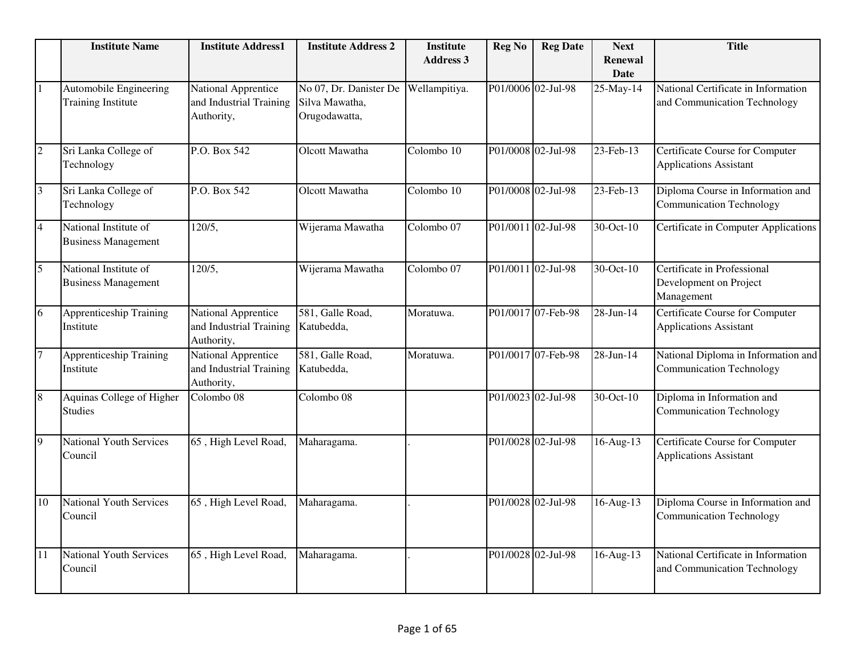|                | <b>Institute Name</b>                               | <b>Institute Address1</b>                                    | <b>Institute Address 2</b>                                | <b>Institute</b><br><b>Address 3</b> | <b>Reg No</b>      | <b>Reg Date</b>    | <b>Next</b><br>Renewal<br>Date       | <b>Title</b>                                                            |
|----------------|-----------------------------------------------------|--------------------------------------------------------------|-----------------------------------------------------------|--------------------------------------|--------------------|--------------------|--------------------------------------|-------------------------------------------------------------------------|
| $\mathbf{1}$   | Automobile Engineering<br><b>Training Institute</b> | National Apprentice<br>and Industrial Training<br>Authority, | No 07, Dr. Danister De<br>Silva Mawatha,<br>Orugodawatta, | Wellampitiya.                        | P01/0006 02-Jul-98 |                    | 25-May-14                            | National Certificate in Information<br>and Communication Technology     |
| $\overline{2}$ | Sri Lanka College of<br>Technology                  | P.O. Box 542                                                 | Olcott Mawatha                                            | Colombo 10                           |                    | P01/0008 02-Jul-98 | 23-Feb-13                            | <b>Certificate Course for Computer</b><br><b>Applications Assistant</b> |
| $\overline{3}$ | Sri Lanka College of<br>Technology                  | P.O. Box 542                                                 | Olcott Mawatha                                            | Colombo 10                           |                    | P01/0008 02-Jul-98 | 23-Feb-13                            | Diploma Course in Information and<br><b>Communication Technology</b>    |
| $\overline{4}$ | National Institute of<br><b>Business Management</b> | 120/5,                                                       | Wijerama Mawatha                                          | Colombo 07                           |                    | P01/0011 02-Jul-98 | 30-Oct-10                            | Certificate in Computer Applications                                    |
| $\overline{5}$ | National Institute of<br><b>Business Management</b> | 120/5,                                                       | Wijerama Mawatha                                          | Colombo 07                           |                    | P01/0011 02-Jul-98 | 30-Oct-10                            | Certificate in Professional<br>Development on Project<br>Management     |
| 6              | <b>Apprenticeship Training</b><br>Institute         | National Apprentice<br>and Industrial Training<br>Authority, | 581, Galle Road,<br>Katubedda,                            | Moratuwa.                            |                    | P01/0017 07-Feb-98 | 28-Jun-14                            | <b>Certificate Course for Computer</b><br><b>Applications Assistant</b> |
| $\overline{7}$ | <b>Apprenticeship Training</b><br>Institute         | National Apprentice<br>and Industrial Training<br>Authority, | 581, Galle Road,<br>Katubedda,                            | Moratuwa.                            |                    | P01/0017 07-Feb-98 | 28-Jun-14                            | National Diploma in Information and<br><b>Communication Technology</b>  |
| 8              | Aquinas College of Higher<br><b>Studies</b>         | Colombo 08                                                   | Colombo 08                                                |                                      |                    | P01/0023 02-Jul-98 | $\overline{30\text{-}Oct\text{-}10}$ | Diploma in Information and<br><b>Communication Technology</b>           |
| 9              | <b>National Youth Services</b><br>Council           | 65, High Level Road,                                         | Maharagama.                                               |                                      |                    | P01/0028 02-Jul-98 | 16-Aug-13                            | Certificate Course for Computer<br><b>Applications Assistant</b>        |
| 10             | <b>National Youth Services</b><br>Council           | 65, High Level Road,                                         | Maharagama.                                               |                                      |                    | P01/0028 02-Jul-98 | $16$ -Aug- $13$                      | Diploma Course in Information and<br><b>Communication Technology</b>    |
| 11             | <b>National Youth Services</b><br>Council           | 65, High Level Road,                                         | Maharagama.                                               |                                      |                    | P01/0028 02-Jul-98 | 16-Aug-13                            | National Certificate in Information<br>and Communication Technology     |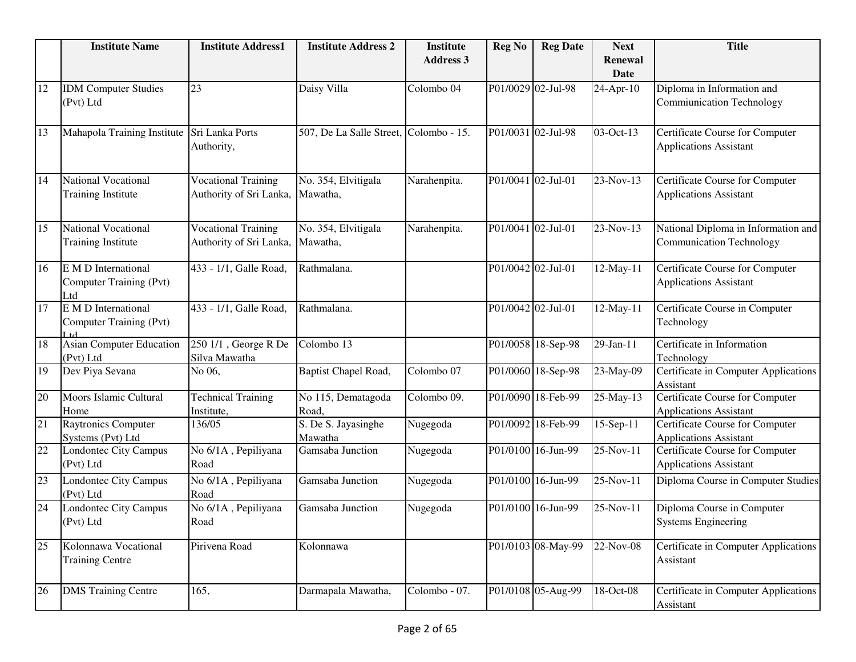|    | <b>Institute Name</b>                                   | <b>Institute Address1</b>                             | <b>Institute Address 2</b>             | <b>Institute</b><br><b>Address 3</b> | <b>Reg No</b>      | <b>Reg Date</b>    | <b>Next</b><br>Renewal | <b>Title</b>                                                           |
|----|---------------------------------------------------------|-------------------------------------------------------|----------------------------------------|--------------------------------------|--------------------|--------------------|------------------------|------------------------------------------------------------------------|
|    |                                                         |                                                       |                                        |                                      |                    |                    | <b>Date</b>            |                                                                        |
| 12 | <b>IDM</b> Computer Studies<br>(Pvt) Ltd                | 23                                                    | Daisy Villa                            | Colombo 04                           |                    | P01/0029 02-Jul-98 | 24-Apr-10              | Diploma in Information and<br><b>Commiunication Technology</b>         |
| 13 | Mahapola Training Institute                             | Sri Lanka Ports<br>Authority,                         | 507, De La Salle Street, Colombo - 15. |                                      | P01/0031 02-Jul-98 |                    | 03-Oct-13              | Certificate Course for Computer<br><b>Applications Assistant</b>       |
| 14 | <b>National Vocational</b><br><b>Training Institute</b> | <b>Vocational Training</b><br>Authority of Sri Lanka, | No. 354, Elvitigala<br>Mawatha,        | Narahenpita.                         | P01/0041 02-Jul-01 |                    | 23-Nov-13              | Certificate Course for Computer<br><b>Applications Assistant</b>       |
| 15 | National Vocational<br><b>Training Institute</b>        | <b>Vocational Training</b><br>Authority of Sri Lanka, | No. 354, Elvitigala<br>Mawatha,        | Narahenpita.                         | P01/0041 02-Jul-01 |                    | 23-Nov-13              | National Diploma in Information and<br><b>Communication Technology</b> |
| 16 | E M D International<br>Computer Training (Pvt)<br>Ltd   | 433 - 1/1, Galle Road,                                | Rathmalana.                            |                                      | P01/0042 02-Jul-01 |                    | 12-May-11              | Certificate Course for Computer<br><b>Applications Assistant</b>       |
| 17 | E M D International<br>Computer Training (Pvt)          | 433 - 1/1, Galle Road,                                | Rathmalana.                            |                                      | P01/0042 02-Jul-01 |                    | 12-May-11              | Certificate Course in Computer<br>Technology                           |
| 18 | Asian Computer Education<br>(Pvt) Ltd                   | 250 1/1, George R De<br>Silva Mawatha                 | Colombo 13                             |                                      |                    | P01/0058 18-Sep-98 | 29-Jan-11              | Certificate in Information<br>Technology                               |
| 19 | Dev Piya Sevana                                         | No 06,                                                | Baptist Chapel Road,                   | Colombo 07                           |                    | P01/0060 18-Sep-98 | 23-May-09              | Certificate in Computer Applications<br>Assistant                      |
| 20 | Moors Islamic Cultural<br>Home                          | <b>Technical Training</b><br>Institute,               | No 115, Dematagoda<br>Road,            | Colombo 09.                          |                    | P01/0090 18-Feb-99 | 25-May-13              | Certificate Course for Computer<br><b>Applications Assistant</b>       |
| 21 | <b>Raytronics Computer</b><br>Systems (Pvt) Ltd         | 136/05                                                | S. De S. Jayasinghe<br>Mawatha         | Nugegoda                             |                    | P01/0092 18-Feb-99 | 15-Sep-11              | Certificate Course for Computer<br><b>Applications Assistant</b>       |
| 22 | Londontec City Campus<br>(Pvt) Ltd                      | No 6/1A, Pepiliyana<br>Road                           | Gamsaba Junction                       | Nugegoda                             |                    | P01/0100 16-Jun-99 | 25-Nov-11              | Certificate Course for Computer<br><b>Applications Assistant</b>       |
| 23 | Londontec City Campus<br>(Pvt) Ltd                      | No 6/1A, Pepiliyana<br>Road                           | Gamsaba Junction                       | Nugegoda                             |                    | P01/0100 16-Jun-99 | 25-Nov-11              | Diploma Course in Computer Studies                                     |
| 24 | Londontec City Campus<br>(Pvt) Ltd                      | No 6/1A, Pepiliyana<br>Road                           | Gamsaba Junction                       | Nugegoda                             |                    | P01/0100 16-Jun-99 | 25-Nov-11              | Diploma Course in Computer<br><b>Systems Engineering</b>               |
| 25 | Kolonnawa Vocational<br><b>Training Centre</b>          | Pirivena Road                                         | Kolonnawa                              |                                      |                    | P01/0103 08-May-99 | 22-Nov-08              | Certificate in Computer Applications<br>Assistant                      |
| 26 | <b>DMS Training Centre</b>                              | 165,                                                  | Darmapala Mawatha,                     | Colombo - 07.                        |                    | P01/0108 05-Aug-99 | 18-Oct-08              | Certificate in Computer Applications<br>Assistant                      |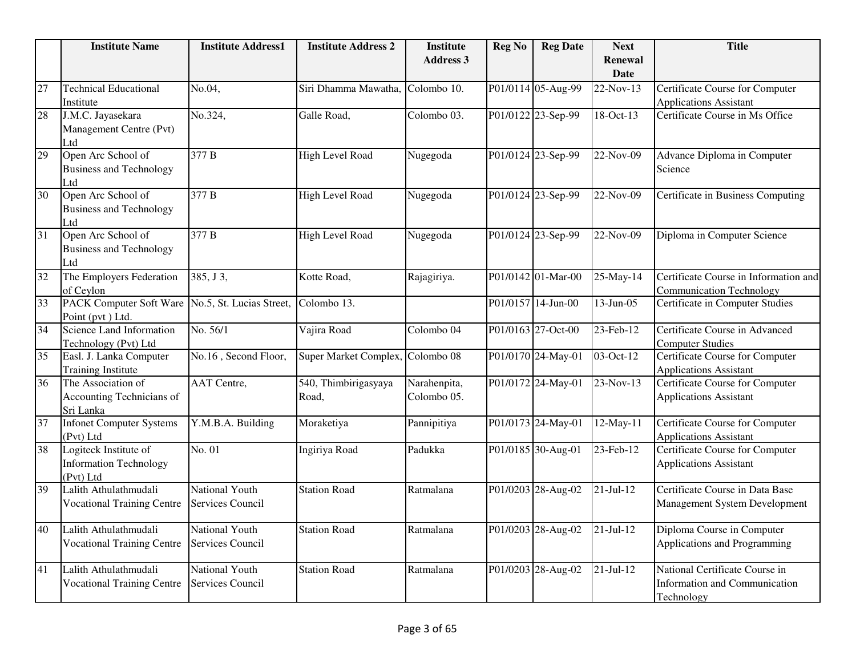|                 | <b>Institute Name</b>                                               | <b>Institute Address1</b>          | <b>Institute Address 2</b>    | <b>Institute</b>            | <b>Reg No</b> | <b>Reg Date</b>    | <b>Next</b>            | <b>Title</b>                                                                  |
|-----------------|---------------------------------------------------------------------|------------------------------------|-------------------------------|-----------------------------|---------------|--------------------|------------------------|-------------------------------------------------------------------------------|
|                 |                                                                     |                                    |                               | <b>Address 3</b>            |               |                    | <b>Renewal</b><br>Date |                                                                               |
| 27              | <b>Technical Educational</b><br>Institute                           | No.04,                             | Siri Dhamma Mawatha,          | Colombo 10.                 |               | P01/0114 05-Aug-99 | 22-Nov-13              | Certificate Course for Computer<br><b>Applications Assistant</b>              |
| 28              | J.M.C. Jayasekara<br>Management Centre (Pvt)<br>Ltd                 | No.324,                            | Galle Road,                   | Colombo 03.                 |               | P01/0122 23-Sep-99 | 18-Oct-13              | Certificate Course in Ms Office                                               |
| 29              | Open Arc School of<br><b>Business and Technology</b><br>Ltd         | 377 B                              | <b>High Level Road</b>        | Nugegoda                    |               | P01/0124 23-Sep-99 | 22-Nov-09              | Advance Diploma in Computer<br>Science                                        |
| $\overline{30}$ | Open Arc School of<br><b>Business and Technology</b><br>Ltd         | 377 B                              | High Level Road               | Nugegoda                    |               | P01/0124 23-Sep-99 | 22-Nov-09              | Certificate in Business Computing                                             |
| 31              | Open Arc School of<br><b>Business and Technology</b><br>Ltd         | 377 B                              | <b>High Level Road</b>        | Nugegoda                    |               | P01/0124 23-Sep-99 | 22-Nov-09              | Diploma in Computer Science                                                   |
| 32              | The Employers Federation<br>of Ceylon                               | 385, J 3,                          | Kotte Road,                   | Rajagiriya.                 |               | P01/0142 01-Mar-00 | 25-May-14              | Certificate Course in Information and<br><b>Communication Technology</b>      |
| 33              | <b>PACK Computer Soft Ware</b><br>Point (pvt) Ltd.                  | No.5, St. Lucias Street,           | Colombo 13.                   |                             |               | P01/0157 14-Jun-00 | $13$ -Jun-05           | Certificate in Computer Studies                                               |
| $\overline{34}$ | Science Land Information<br>Technology (Pvt) Ltd                    | No. 56/1                           | Vajira Road                   | Colombo <sub>04</sub>       |               | P01/0163 27-Oct-00 | 23-Feb-12              | Certificate Course in Advanced<br><b>Computer Studies</b>                     |
| 35              | Easl. J. Lanka Computer<br><b>Training Institute</b>                | No.16, Second Floor,               | Super Market Complex,         | Colombo 08                  |               | P01/0170 24-May-01 | $03-Oct-12$            | <b>Certificate Course for Computer</b><br><b>Applications Assistant</b>       |
| 36              | The Association of<br>Accounting Technicians of<br>Sri Lanka        | <b>AAT</b> Centre,                 | 540, Thimbirigasyaya<br>Road, | Narahenpita,<br>Colombo 05. |               | P01/0172 24-May-01 | 23-Nov-13              | Certificate Course for Computer<br><b>Applications Assistant</b>              |
| 37              | <b>Infonet Computer Systems</b><br>(Pvt) Ltd                        | Y.M.B.A. Building                  | Moraketiya                    | Pannipitiya                 |               | P01/0173 24-May-01 | $12$ -May-11           | <b>Certificate Course for Computer</b><br><b>Applications Assistant</b>       |
| $\overline{38}$ | Logiteck Institute of<br><b>Information Technology</b><br>(Pvt) Ltd | No. 01                             | Ingiriya Road                 | Padukka                     |               | P01/0185 30-Aug-01 | $23$ -Feb-12           | Certificate Course for Computer<br><b>Applications Assistant</b>              |
| $\overline{39}$ | Lalith Athulathmudali<br><b>Vocational Training Centre</b>          | National Youth<br>Services Council | <b>Station Road</b>           | Ratmalana                   |               | P01/0203 28-Aug-02 | $21-Jul-12$            | Certificate Course in Data Base<br><b>Management System Development</b>       |
| 40              | Lalith Athulathmudali<br><b>Vocational Training Centre</b>          | National Youth<br>Services Council | <b>Station Road</b>           | Ratmalana                   |               | P01/0203 28-Aug-02 | $21-Jul-12$            | Diploma Course in Computer<br>Applications and Programming                    |
| 41              | Lalith Athulathmudali<br><b>Vocational Training Centre</b>          | National Youth<br>Services Council | <b>Station Road</b>           | Ratmalana                   |               | P01/0203 28-Aug-02 | $21-Jul-12$            | National Certificate Course in<br>Information and Communication<br>Technology |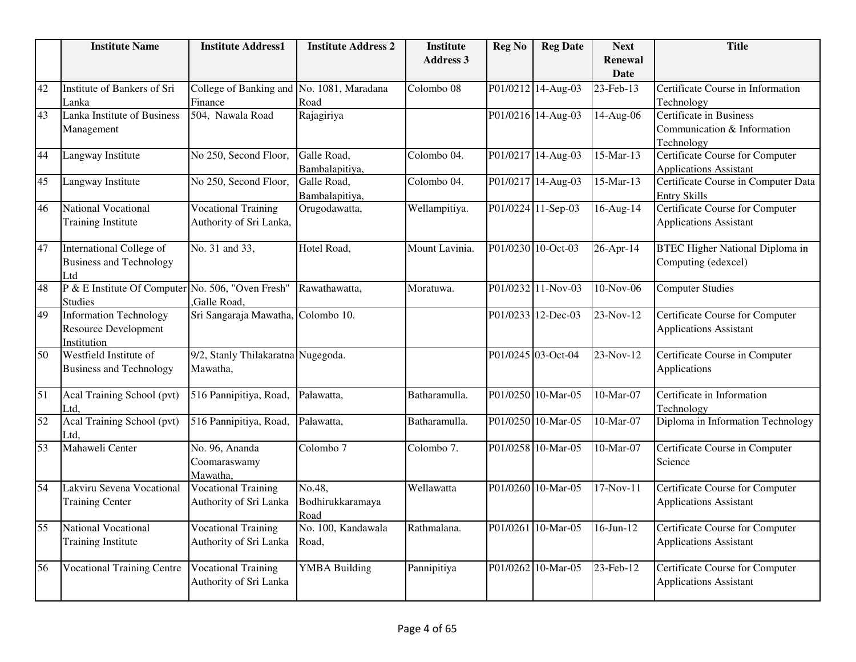|                 | <b>Institute Name</b>                                                       | <b>Institute Address1</b>                             | <b>Institute Address 2</b>         | <b>Institute</b> | <b>Reg No</b> | <b>Reg Date</b>    | <b>Next</b>             | <b>Title</b>                                                            |
|-----------------|-----------------------------------------------------------------------------|-------------------------------------------------------|------------------------------------|------------------|---------------|--------------------|-------------------------|-------------------------------------------------------------------------|
|                 |                                                                             |                                                       |                                    | <b>Address 3</b> |               |                    | <b>Renewal</b><br>Date  |                                                                         |
| 42              | Institute of Bankers of Sri                                                 | College of Banking and                                | No. 1081, Maradana                 | Colombo 08       |               | P01/0212 14-Aug-03 | 23-Feb-13               | Certificate Course in Information                                       |
| $\overline{43}$ | Lanka<br>Lanka Institute of Business                                        | Finance<br>504, Nawala Road                           | Road<br>Rajagiriya                 |                  |               | P01/0216 14-Aug-03 | 14-Aug-06               | Technology<br><b>Certificate in Business</b>                            |
|                 | Management                                                                  |                                                       |                                    |                  |               |                    |                         | Communication & Information<br>Technology                               |
| 44              | Langway Institute                                                           | No 250, Second Floor,                                 | Galle Road,<br>Bambalapitiya,      | Colombo 04.      |               | P01/0217 14-Aug-03 | 15-Mar-13               | Certificate Course for Computer<br><b>Applications Assistant</b>        |
| 45              | Langway Institute                                                           | No 250, Second Floor,                                 | Galle Road,<br>Bambalapitiya,      | Colombo 04.      |               | P01/0217 14-Aug-03 | 15-Mar-13               | Certificate Course in Computer Data<br><b>Entry Skills</b>              |
| 46              | <b>National Vocational</b><br><b>Training Institute</b>                     | <b>Vocational Training</b><br>Authority of Sri Lanka, | Orugodawatta,                      | Wellampitiya.    |               | P01/0224 11-Sep-03 | $\overline{16}$ -Aug-14 | <b>Certificate Course for Computer</b><br><b>Applications Assistant</b> |
| 47              | <b>International College of</b><br><b>Business and Technology</b><br>Ltd    | No. 31 and 33,                                        | Hotel Road,                        | Mount Lavinia.   |               | P01/0230 10-Oct-03 | 26-Apr-14               | <b>BTEC Higher National Diploma in</b><br>Computing (edexcel)           |
| 48              | P & E Institute Of Computer No. 506, "Oven Fresh"<br><b>Studies</b>         | ,Galle Road,                                          | Rawathawatta,                      | Moratuwa.        |               | P01/0232 11-Nov-03 | 10-Nov-06               | <b>Computer Studies</b>                                                 |
| 49              | <b>Information Technology</b><br><b>Resource Development</b><br>Institution | Sri Sangaraja Mawatha, Colombo 10.                    |                                    |                  |               | P01/0233 12-Dec-03 | 23-Nov-12               | Certificate Course for Computer<br><b>Applications Assistant</b>        |
| 50              | Westfield Institute of<br><b>Business and Technology</b>                    | 9/2, Stanly Thilakaratna Nugegoda.<br>Mawatha,        |                                    |                  |               | P01/0245 03-Oct-04 | 23-Nov-12               | Certificate Course in Computer<br>Applications                          |
| 51              | Acal Training School (pvt)<br>Ltd.                                          | 516 Pannipitiya, Road,                                | Palawatta,                         | Batharamulla.    |               | P01/0250 10-Mar-05 | 10-Mar-07               | Certificate in Information<br>Technology                                |
| $\overline{52}$ | Acal Training School (pvt)<br>Ltd,                                          | 516 Pannipitiya, Road,                                | Palawatta,                         | Batharamulla.    |               | P01/0250 10-Mar-05 | 10-Mar-07               | Diploma in Information Technology                                       |
| 53              | Mahaweli Center                                                             | No. 96, Ananda<br>Coomaraswamy<br>Mawatha,            | Colombo <sub>7</sub>               | Colombo 7.       |               | P01/0258 10-Mar-05 | 10-Mar-07               | Certificate Course in Computer<br>Science                               |
| 54              | Lakviru Sevena Vocational<br><b>Training Center</b>                         | <b>Vocational Training</b><br>Authority of Sri Lanka  | No.48,<br>Bodhirukkaramaya<br>Road | Wellawatta       |               | P01/0260 10-Mar-05 | $17-Nov-11$             | Certificate Course for Computer<br><b>Applications Assistant</b>        |
| $\overline{55}$ | <b>National Vocational</b><br><b>Training Institute</b>                     | <b>Vocational Training</b><br>Authority of Sri Lanka  | No. 100, Kandawala<br>Road,        | Rathmalana.      |               | P01/0261 10-Mar-05 | $16$ -Jun- $12$         | Certificate Course for Computer<br><b>Applications Assistant</b>        |
| 56              | <b>Vocational Training Centre</b>                                           | <b>Vocational Training</b><br>Authority of Sri Lanka  | <b>YMBA Building</b>               | Pannipitiya      |               | P01/0262 10-Mar-05 | 23-Feb-12               | Certificate Course for Computer<br><b>Applications Assistant</b>        |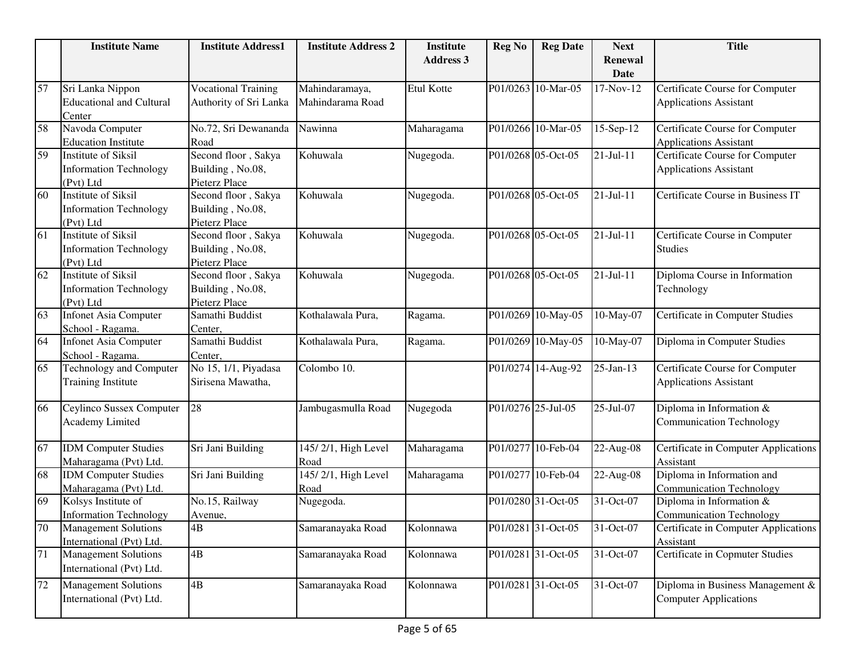|        | <b>Institute Name</b>           | <b>Institute Address1</b>  | <b>Institute Address 2</b> | <b>Institute</b> | <b>Reg No</b>      | <b>Reg Date</b>    | <b>Next</b> | <b>Title</b>                         |
|--------|---------------------------------|----------------------------|----------------------------|------------------|--------------------|--------------------|-------------|--------------------------------------|
|        |                                 |                            |                            | <b>Address 3</b> |                    |                    | Renewal     |                                      |
|        |                                 |                            |                            |                  |                    |                    | <b>Date</b> |                                      |
| 57     | Sri Lanka Nippon                | <b>Vocational Training</b> | Mahindaramaya,             | Etul Kotte       |                    | P01/0263 10-Mar-05 | 17-Nov-12   | Certificate Course for Computer      |
|        | <b>Educational and Cultural</b> | Authority of Sri Lanka     | Mahindarama Road           |                  |                    |                    |             | <b>Applications Assistant</b>        |
|        | Center                          |                            |                            |                  |                    |                    |             |                                      |
| 58     | Navoda Computer                 | No.72, Sri Dewananda       | Nawinna                    | Maharagama       |                    | P01/0266 10-Mar-05 | 15-Sep-12   | Certificate Course for Computer      |
|        | <b>Education Institute</b>      | Road                       |                            |                  |                    |                    |             | <b>Applications Assistant</b>        |
| 59     | <b>Institute of Siksil</b>      | Second floor, Sakya        | Kohuwala                   | Nugegoda.        |                    | P01/0268 05-Oct-05 | $21-Jul-11$ | Certificate Course for Computer      |
|        | <b>Information Technology</b>   | Building, No.08,           |                            |                  |                    |                    |             | <b>Applications Assistant</b>        |
|        | (Pvt) Ltd                       | Pieterz Place              |                            |                  |                    |                    |             |                                      |
| 60     | <b>Institute of Siksil</b>      | Second floor, Sakya        | Kohuwala                   | Nugegoda.        |                    | P01/0268 05-Oct-05 | 21-Jul-11   | Certificate Course in Business IT    |
|        | <b>Information Technology</b>   | Building, No.08,           |                            |                  |                    |                    |             |                                      |
|        | (Pvt) Ltd                       | Pieterz Place              |                            |                  |                    |                    |             |                                      |
| 61     | <b>Institute of Siksil</b>      | Second floor, Sakya        | Kohuwala                   | Nugegoda.        |                    | P01/0268 05-Oct-05 | $21-Jul-11$ | Certificate Course in Computer       |
|        | <b>Information Technology</b>   | Building, No.08,           |                            |                  |                    |                    |             | <b>Studies</b>                       |
|        | (Pvt) Ltd                       | Pieterz Place              |                            |                  |                    |                    |             |                                      |
| 62     | <b>Institute of Siksil</b>      | Second floor, Sakya        | Kohuwala                   | Nugegoda.        |                    | P01/0268 05-Oct-05 | $21-Jul-11$ | Diploma Course in Information        |
|        | <b>Information Technology</b>   | Building, No.08,           |                            |                  |                    |                    |             | Technology                           |
|        | (Pvt) Ltd                       | Pieterz Place              |                            |                  |                    |                    |             |                                      |
| 63     | <b>Infonet Asia Computer</b>    | Samathi Buddist            | Kothalawala Pura,          | Ragama.          |                    | P01/0269 10-May-05 | 10-May-07   | Certificate in Computer Studies      |
|        | School - Ragama.                | Center,                    |                            |                  |                    |                    |             |                                      |
| 64     | <b>Infonet Asia Computer</b>    | Samathi Buddist            | Kothalawala Pura,          | Ragama.          |                    | P01/0269 10-May-05 | 10-May-07   | Diploma in Computer Studies          |
|        | School - Ragama.                | Center,                    |                            |                  |                    |                    |             |                                      |
| 65     | Technology and Computer         | No 15, 1/1, Piyadasa       | Colombo 10.                |                  |                    | P01/0274 14-Aug-92 | 25-Jan-13   | Certificate Course for Computer      |
|        | <b>Training Institute</b>       | Sirisena Mawatha,          |                            |                  |                    |                    |             | <b>Applications Assistant</b>        |
| 66     |                                 | 28                         |                            |                  | P01/0276 25-Jul-05 |                    | 25-Jul-07   |                                      |
|        | Ceylinco Sussex Computer        |                            | Jambugasmulla Road         | Nugegoda         |                    |                    |             | Diploma in Information &             |
|        | <b>Academy Limited</b>          |                            |                            |                  |                    |                    |             | <b>Communication Technology</b>      |
| 67     | <b>IDM</b> Computer Studies     | Sri Jani Building          | 145/2/1, High Level        | Maharagama       |                    | P01/0277 10-Feb-04 | 22-Aug-08   | Certificate in Computer Applications |
|        | Maharagama (Pvt) Ltd.           |                            | Road                       |                  |                    |                    |             | Assistant                            |
| 68     | <b>IDM Computer Studies</b>     | Sri Jani Building          | 145/2/1, High Level        | Maharagama       |                    | P01/0277 10-Feb-04 | 22-Aug-08   | Diploma in Information and           |
|        | Maharagama (Pvt) Ltd.           |                            | Road                       |                  |                    |                    |             | <b>Communication Technology</b>      |
| 69     | Kolsys Institute of             | No.15, Railway             | Nugegoda.                  |                  |                    | P01/0280 31-Oct-05 | 31-Oct-07   | Diploma in Information &             |
|        | <b>Information Technology</b>   | Avenue,                    |                            |                  |                    |                    |             | <b>Communication Technology</b>      |
| 70     | <b>Management Solutions</b>     | 4B                         | Samaranayaka Road          | Kolonnawa        |                    | P01/0281 31-Oct-05 | 31-Oct-07   | Certificate in Computer Applications |
|        | International (Pvt) Ltd.        |                            |                            |                  |                    |                    |             | Assistant                            |
| 71     | <b>Management Solutions</b>     | $4\mathrm{B}$              | Samaranayaka Road          | Kolonnawa        |                    | P01/0281 31-Oct-05 | 31-Oct-07   | Certificate in Copmuter Studies      |
|        | International (Pvt) Ltd.        |                            |                            |                  |                    |                    |             |                                      |
|        |                                 |                            |                            |                  |                    |                    |             |                                      |
| $72\,$ | <b>Management Solutions</b>     | 4B                         | Samaranayaka Road          | Kolonnawa        |                    | P01/0281 31-Oct-05 | 31-Oct-07   | Diploma in Business Management &     |
|        | International (Pvt) Ltd.        |                            |                            |                  |                    |                    |             | <b>Computer Applications</b>         |
|        |                                 |                            |                            |                  |                    |                    |             |                                      |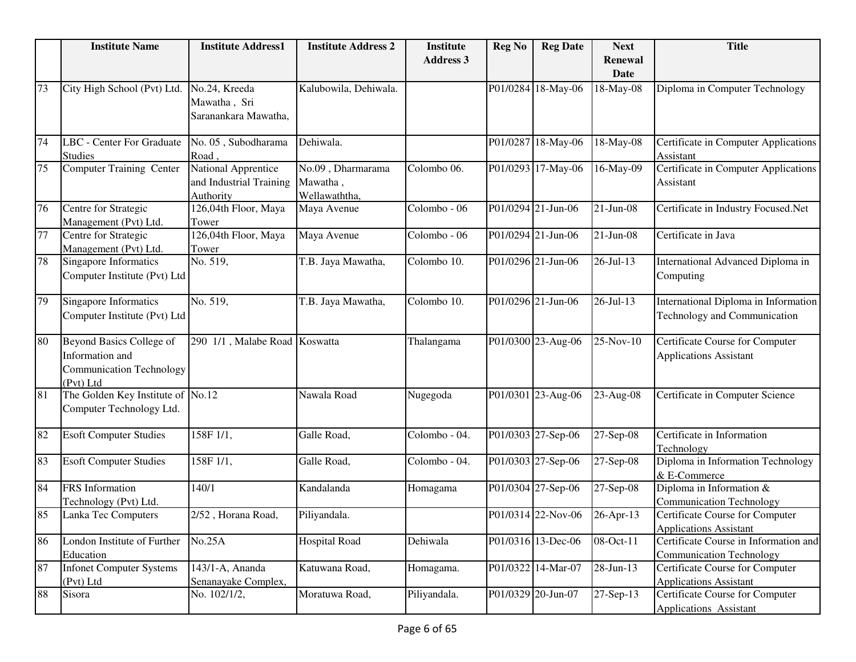|    | <b>Institute Name</b>             | <b>Institute Address1</b>     | <b>Institute Address 2</b> | <b>Institute</b> | <b>Reg No</b> | <b>Reg Date</b>    | <b>Next</b>  | <b>Title</b>                          |
|----|-----------------------------------|-------------------------------|----------------------------|------------------|---------------|--------------------|--------------|---------------------------------------|
|    |                                   |                               |                            | <b>Address 3</b> |               |                    | Renewal      |                                       |
|    |                                   |                               |                            |                  |               |                    | <b>Date</b>  |                                       |
| 73 | City High School (Pvt) Ltd.       | No.24, Kreeda                 | Kalubowila, Dehiwala.      |                  |               | P01/0284 18-May-06 | 18-May-08    | Diploma in Computer Technology        |
|    |                                   | Mawatha, Sri                  |                            |                  |               |                    |              |                                       |
|    |                                   | Saranankara Mawatha,          |                            |                  |               |                    |              |                                       |
| 74 | <b>LBC</b> - Center For Graduate  | No. 05, Subodharama           | Dehiwala.                  |                  |               | P01/0287 18-May-06 | 18-May-08    | Certificate in Computer Applications  |
|    | Studies                           | Road                          |                            |                  |               |                    |              | Assistant                             |
| 75 | Computer Training Center          | National Apprentice           | No.09, Dharmarama          | Colombo 06.      |               | P01/0293 17-May-06 | 16-May-09    | Certificate in Computer Applications  |
|    |                                   | and Industrial Training       | Mawatha,                   |                  |               |                    |              | Assistant                             |
|    |                                   | Authority                     | Wellawaththa,              |                  |               |                    |              |                                       |
| 76 | Centre for Strategic              | 126,04th Floor, Maya          | Maya Avenue                | Colombo - 06     |               | P01/0294 21-Jun-06 | $21-Jun-08$  | Certificate in Industry Focused.Net   |
|    | Management (Pvt) Ltd.             | Tower                         |                            |                  |               |                    |              |                                       |
| 77 | Centre for Strategic              | 126,04th Floor, Maya          | Maya Avenue                | Colombo - 06     |               | P01/0294 21-Jun-06 | $21-Jun-08$  | Certificate in Java                   |
|    | Management (Pvt) Ltd.             | Tower                         |                            |                  |               |                    |              |                                       |
| 78 | Singapore Informatics             | No. 519,                      | T.B. Jaya Mawatha,         | Colombo 10.      |               | P01/0296 21-Jun-06 | 26-Jul-13    | International Advanced Diploma in     |
|    | Computer Institute (Pvt) Ltd      |                               |                            |                  |               |                    |              | Computing                             |
| 79 | <b>Singapore Informatics</b>      | No. 519,                      | T.B. Jaya Mawatha,         | Colombo 10.      |               | P01/0296 21-Jun-06 | 26-Jul-13    | International Diploma in Information  |
|    | Computer Institute (Pvt) Ltd      |                               |                            |                  |               |                    |              | Technology and Communication          |
|    |                                   |                               |                            |                  |               |                    |              |                                       |
| 80 | Beyond Basics College of          | 290 1/1, Malabe Road Koswatta |                            | Thalangama       |               | P01/0300 23-Aug-06 | 25-Nov-10    | Certificate Course for Computer       |
|    | Information and                   |                               |                            |                  |               |                    |              | <b>Applications Assistant</b>         |
|    | <b>Communication Technology</b>   |                               |                            |                  |               |                    |              |                                       |
|    | (Pvt) Ltd                         |                               |                            |                  |               |                    |              |                                       |
| 81 | The Golden Key Institute of No.12 |                               | Nawala Road                | Nugegoda         |               | P01/0301 23-Aug-06 | 23-Aug-08    | Certificate in Computer Science       |
|    | Computer Technology Ltd.          |                               |                            |                  |               |                    |              |                                       |
| 82 | <b>Esoft Computer Studies</b>     | 158F 1/1,                     | Galle Road,                | Colombo - 04.    |               | P01/0303 27-Sep-06 | 27-Sep-08    | Certificate in Information            |
|    |                                   |                               |                            |                  |               |                    |              | Technology                            |
| 83 | <b>Esoft Computer Studies</b>     | 158F 1/1,                     | Galle Road,                | Colombo - 04.    |               | P01/0303 27-Sep-06 | 27-Sep-08    | Diploma in Information Technology     |
|    |                                   |                               |                            |                  |               |                    |              | & E-Commerce                          |
| 84 | <b>FRS</b> Information            | 140/1                         | Kandalanda                 | Homagama         |               | P01/0304 27-Sep-06 | 27-Sep-08    | Diploma in Information &              |
|    | Technology (Pvt) Ltd.             |                               |                            |                  |               |                    |              | <b>Communication Technology</b>       |
| 85 | Lanka Tec Computers               | 2/52, Horana Road,            | Piliyandala.               |                  |               | P01/0314 22-Nov-06 | 26-Apr-13    | Certificate Course for Computer       |
|    |                                   |                               |                            |                  |               |                    |              | <b>Applications Assistant</b>         |
| 86 | London Institute of Further       | No.25A                        | <b>Hospital Road</b>       | Dehiwala         |               | P01/0316 13-Dec-06 | $08$ -Oct-11 | Certificate Course in Information and |
|    | Education                         |                               |                            |                  |               |                    |              | <b>Communication Technology</b>       |
| 87 | <b>Infonet Computer Systems</b>   | 143/1-A, Ananda               | Katuwana Road,             | Homagama.        |               | P01/0322 14-Mar-07 | 28-Jun-13    | Certificate Course for Computer       |
|    | (Pvt) Ltd                         | Senanayake Complex,           |                            |                  |               | P01/0329 20-Jun-07 |              | <b>Applications Assistant</b>         |
| 88 | Sisora                            | No. 102/1/2,                  | Moratuwa Road,             | Piliyandala.     |               |                    | 27-Sep-13    | Certificate Course for Computer       |
|    |                                   |                               |                            |                  |               |                    |              | Applications Assistant                |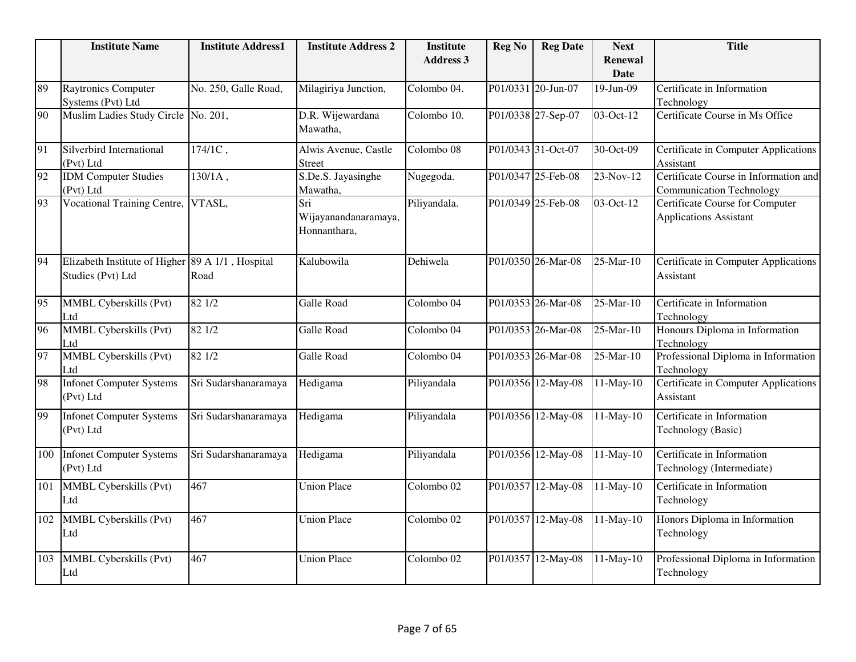|                 | <b>Institute Name</b>                                                 | <b>Institute Address1</b> | <b>Institute Address 2</b>                  | <b>Institute</b>      | <b>Reg No</b> | <b>Reg Date</b>    | <b>Next</b>                   | <b>Title</b>                                                             |
|-----------------|-----------------------------------------------------------------------|---------------------------|---------------------------------------------|-----------------------|---------------|--------------------|-------------------------------|--------------------------------------------------------------------------|
|                 |                                                                       |                           |                                             | <b>Address 3</b>      |               |                    | <b>Renewal</b><br><b>Date</b> |                                                                          |
| 89              | <b>Raytronics Computer</b>                                            | No. 250, Galle Road,      | Milagiriya Junction,                        | Colombo 04.           |               | P01/0331 20-Jun-07 | 19-Jun-09                     | Certificate in Information                                               |
|                 | Systems (Pvt) Ltd                                                     |                           |                                             |                       |               |                    |                               | Technology                                                               |
| 90              | Muslim Ladies Study Circle                                            | No. 201,                  | D.R. Wijewardana<br>Mawatha,                | Colombo 10.           |               | P01/0338 27-Sep-07 | 03-Oct-12                     | Certificate Course in Ms Office                                          |
| 91              | Silverbird International<br>(Pvt) Ltd                                 | $174/1C$ ,                | Alwis Avenue, Castle<br><b>Street</b>       | Colombo 08            |               | P01/0343 31-Oct-07 | 30-Oct-09                     | Certificate in Computer Applications<br>Assistant                        |
| 92              | <b>IDM</b> Computer Studies<br>(Pvt) Ltd                              | $130/1A$ ,                | S.De.S. Jayasinghe<br>Mawatha,              | Nugegoda.             |               | P01/0347 25-Feb-08 | 23-Nov-12                     | Certificate Course in Information and<br><b>Communication Technology</b> |
| 93              | <b>Vocational Training Centre,</b>                                    | VTASL,                    | Sri<br>Wijayanandanaramaya,<br>Honnanthara, | Piliyandala.          |               | P01/0349 25-Feb-08 | 03-Oct-12                     | Certificate Course for Computer<br><b>Applications Assistant</b>         |
| 94              | Elizabeth Institute of Higher 89 A 1/1, Hospital<br>Studies (Pvt) Ltd | Road                      | Kalubowila                                  | Dehiwela              |               | P01/0350 26-Mar-08 | 25-Mar-10                     | Certificate in Computer Applications<br>Assistant                        |
| $\overline{95}$ | MMBL Cyberskills (Pvt)<br>Ltd                                         | 82 1/2                    | Galle Road                                  | Colombo 04            |               | P01/0353 26-Mar-08 | 25-Mar-10                     | Certificate in Information<br>Technology                                 |
| 96              | <b>MMBL Cyberskills (Pvt)</b><br>Ltd                                  | 82 1/2                    | Galle Road                                  | Colombo 04            |               | P01/0353 26-Mar-08 | 25-Mar-10                     | Honours Diploma in Information<br>Technology                             |
| 97              | <b>MMBL Cyberskills (Pvt)</b><br>Ltd                                  | 821/2                     | Galle Road                                  | Colombo 04            |               | P01/0353 26-Mar-08 | $25-Mar-10$                   | Professional Diploma in Information<br>Technology                        |
| 98              | <b>Infonet Computer Systems</b><br>(Pvt) Ltd                          | Sri Sudarshanaramaya      | Hedigama                                    | Piliyandala           |               | P01/0356 12-May-08 | 11-May-10                     | Certificate in Computer Applications<br>Assistant                        |
| 99              | <b>Infonet Computer Systems</b><br>(Pvt) Ltd                          | Sri Sudarshanaramaya      | Hedigama                                    | Piliyandala           |               | P01/0356 12-May-08 | $11-May-10$                   | Certificate in Information<br>Technology (Basic)                         |
| 100             | <b>Infonet Computer Systems</b><br>(Pvt) Ltd                          | Sri Sudarshanaramaya      | Hedigama                                    | Piliyandala           |               | P01/0356 12-May-08 | 11-May-10                     | Certificate in Information<br>Technology (Intermediate)                  |
| 101             | MMBL Cyberskills (Pvt)<br>Ltd                                         | 467                       | <b>Union Place</b>                          | Colombo <sub>02</sub> |               | P01/0357 12-May-08 | 11-May-10                     | Certificate in Information<br>Technology                                 |
| 102             | MMBL Cyberskills (Pvt)<br>Ltd                                         | 467                       | <b>Union Place</b>                          | Colombo <sub>02</sub> |               | P01/0357 12-May-08 | 11-May-10                     | Honors Diploma in Information<br>Technology                              |
| 103             | MMBL Cyberskills (Pvt)<br>Ltd                                         | 467                       | <b>Union Place</b>                          | Colombo <sub>02</sub> |               | P01/0357 12-May-08 | 11-May-10                     | Professional Diploma in Information<br>Technology                        |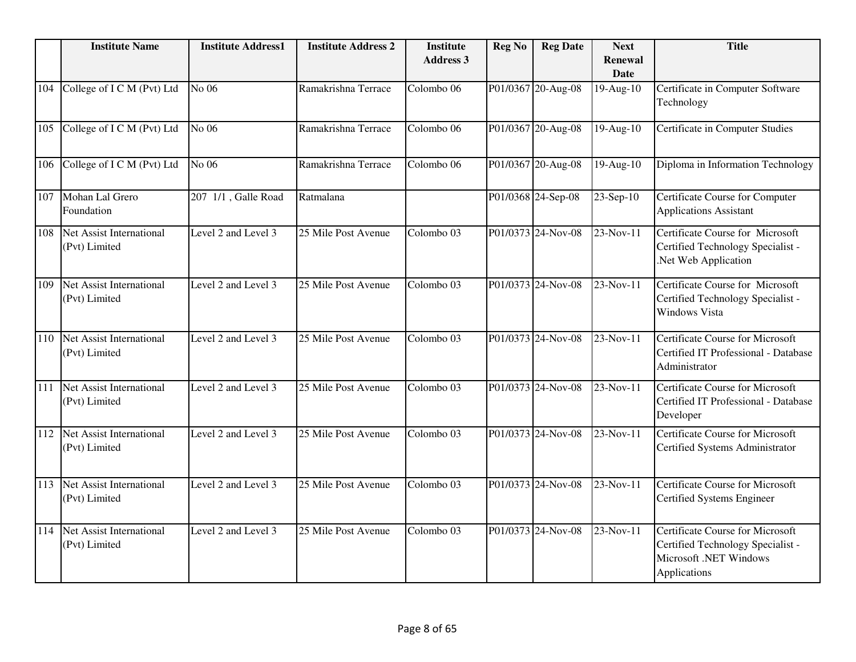|     | <b>Institute Name</b>                            | <b>Institute Address1</b> | <b>Institute Address 2</b> | <b>Institute</b>      | <b>Reg No</b> | <b>Reg Date</b>    | <b>Next</b>                   | <b>Title</b>                                                                                                           |
|-----|--------------------------------------------------|---------------------------|----------------------------|-----------------------|---------------|--------------------|-------------------------------|------------------------------------------------------------------------------------------------------------------------|
|     |                                                  |                           |                            | <b>Address 3</b>      |               |                    | <b>Renewal</b><br><b>Date</b> |                                                                                                                        |
| 104 | College of I C M (Pvt) Ltd                       | No 06                     | Ramakrishna Terrace        | Colombo 06            |               | P01/0367 20-Aug-08 | 19-Aug-10                     | Certificate in Computer Software<br>Technology                                                                         |
| 105 | College of I C M (Pvt) Ltd                       | No 06                     | Ramakrishna Terrace        | Colombo <sub>06</sub> |               | P01/0367 20-Aug-08 | $19-Aug-10$                   | <b>Certificate in Computer Studies</b>                                                                                 |
| 106 | College of I C M (Pvt) Ltd                       | No 06                     | Ramakrishna Terrace        | Colombo <sub>06</sub> |               | P01/0367 20-Aug-08 | 19-Aug-10                     | Diploma in Information Technology                                                                                      |
| 107 | Mohan Lal Grero<br>Foundation                    | 207 1/1, Galle Road       | Ratmalana                  |                       |               | P01/0368 24-Sep-08 | $23-Sep-10$                   | Certificate Course for Computer<br><b>Applications Assistant</b>                                                       |
| 108 | Net Assist International<br>(Pvt) Limited        | Level 2 and Level 3       | 25 Mile Post Avenue        | Colombo <sub>03</sub> |               | P01/0373 24-Nov-08 | 23-Nov-11                     | Certificate Course for Microsoft<br>Certified Technology Specialist -<br>.Net Web Application                          |
| 109 | <b>Net Assist International</b><br>(Pvt) Limited | Level 2 and Level 3       | 25 Mile Post Avenue        | Colombo <sub>03</sub> |               | P01/0373 24-Nov-08 | 23-Nov-11                     | <b>Certificate Course for Microsoft</b><br>Certified Technology Specialist -<br><b>Windows Vista</b>                   |
| 110 | Net Assist International<br>(Pvt) Limited        | Level 2 and Level 3       | 25 Mile Post Avenue        | Colombo 03            |               | P01/0373 24-Nov-08 | 23-Nov-11                     | Certificate Course for Microsoft<br>Certified IT Professional - Database<br>Administrator                              |
| 111 | Net Assist International<br>(Pvt) Limited        | Level 2 and Level 3       | 25 Mile Post Avenue        | Colombo 03            |               | P01/0373 24-Nov-08 | 23-Nov-11                     | Certificate Course for Microsoft<br>Certified IT Professional - Database<br>Developer                                  |
| 112 | Net Assist International<br>(Pvt) Limited        | Level 2 and Level 3       | 25 Mile Post Avenue        | Colombo 03            |               | P01/0373 24-Nov-08 | 23-Nov-11                     | <b>Certificate Course for Microsoft</b><br>Certified Systems Administrator                                             |
| 113 | Net Assist International<br>(Pvt) Limited        | Level 2 and Level 3       | 25 Mile Post Avenue        | Colombo <sub>03</sub> |               | P01/0373 24-Nov-08 | 23-Nov-11                     | <b>Certificate Course for Microsoft</b><br>Certified Systems Engineer                                                  |
| 114 | <b>Net Assist International</b><br>(Pvt) Limited | Level 2 and Level 3       | 25 Mile Post Avenue        | Colombo 03            |               | P01/0373 24-Nov-08 | 23-Nov-11                     | Certificate Course for Microsoft<br>Certified Technology Specialist -<br><b>Microsoft</b> .NET Windows<br>Applications |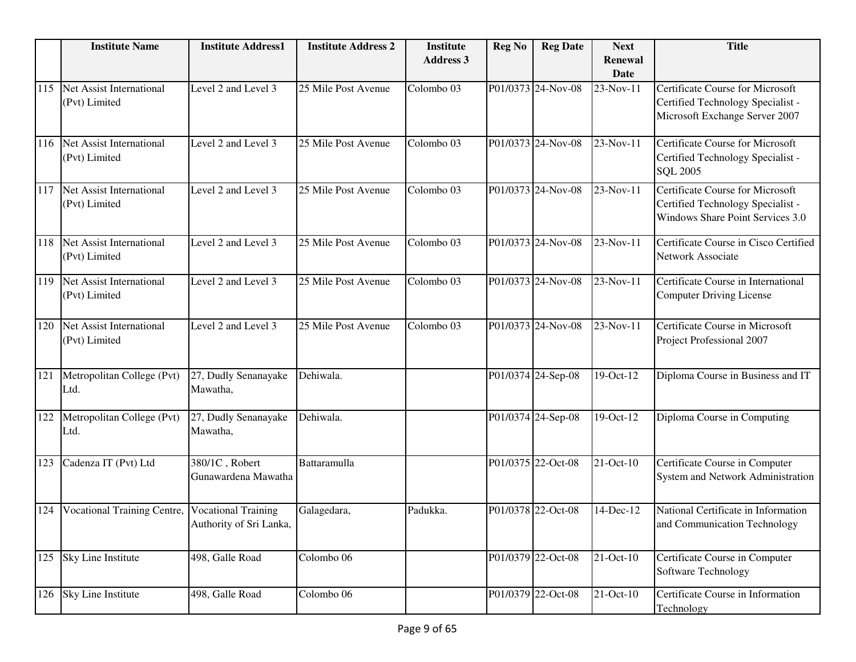|     | <b>Institute Name</b>                            | <b>Institute Address1</b>                             | <b>Institute Address 2</b> | <b>Institute</b>      | <b>Reg No</b> | <b>Reg Date</b>    | <b>Next</b>            | <b>Title</b>                                                                                                   |
|-----|--------------------------------------------------|-------------------------------------------------------|----------------------------|-----------------------|---------------|--------------------|------------------------|----------------------------------------------------------------------------------------------------------------|
|     |                                                  |                                                       |                            | <b>Address 3</b>      |               |                    | Renewal<br><b>Date</b> |                                                                                                                |
| 115 | Net Assist International<br>(Pvt) Limited        | Level 2 and Level 3                                   | 25 Mile Post Avenue        | Colombo 03            |               | P01/0373 24-Nov-08 | 23-Nov-11              | <b>Certificate Course for Microsoft</b><br>Certified Technology Specialist -<br>Microsoft Exchange Server 2007 |
| 116 | Net Assist International<br>(Pvt) Limited        | Level 2 and Level 3                                   | 25 Mile Post Avenue        | Colombo <sub>03</sub> |               | P01/0373 24-Nov-08 | 23-Nov-11              | <b>Certificate Course for Microsoft</b><br>Certified Technology Specialist -<br><b>SOL 2005</b>                |
| 117 | Net Assist International<br>(Pvt) Limited        | Level 2 and Level 3                                   | 25 Mile Post Avenue        | Colombo 03            |               | P01/0373 24-Nov-08 | 23-Nov-11              | Certificate Course for Microsoft<br>Certified Technology Specialist -<br>Windows Share Point Services 3.0      |
| 118 | Net Assist International<br>(Pvt) Limited        | Level 2 and Level 3                                   | 25 Mile Post Avenue        | Colombo 03            |               | P01/0373 24-Nov-08 | 23-Nov-11              | Certificate Course in Cisco Certified<br>Network Associate                                                     |
| 119 | <b>Net Assist International</b><br>(Pvt) Limited | Level 2 and Level 3                                   | 25 Mile Post Avenue        | Colombo 03            |               | P01/0373 24-Nov-08 | 23-Nov-11              | Certificate Course in International<br><b>Computer Driving License</b>                                         |
| 120 | Net Assist International<br>(Pvt) Limited        | Level 2 and Level 3                                   | 25 Mile Post Avenue        | Colombo 03            |               | P01/0373 24-Nov-08 | 23-Nov-11              | Certificate Course in Microsoft<br>Project Professional 2007                                                   |
| 121 | Metropolitan College (Pvt)<br>Ltd.               | 27, Dudly Senanayake<br>Mawatha,                      | Dehiwala.                  |                       |               | P01/0374 24-Sep-08 | 19-Oct-12              | Diploma Course in Business and IT                                                                              |
| 122 | Metropolitan College (Pvt)<br>Ltd.               | 27, Dudly Senanayake<br>Mawatha,                      | Dehiwala.                  |                       |               | P01/0374 24-Sep-08 | 19-Oct-12              | Diploma Course in Computing                                                                                    |
| 123 | Cadenza IT (Pvt) Ltd                             | 380/1C, Robert<br>Gunawardena Mawatha                 | Battaramulla               |                       |               | P01/0375 22-Oct-08 | 21-Oct-10              | Certificate Course in Computer<br>System and Network Administration                                            |
| 124 | Vocational Training Centre,                      | <b>Vocational Training</b><br>Authority of Sri Lanka, | Galagedara,                | Padukka.              |               | P01/0378 22-Oct-08 | 14-Dec-12              | National Certificate in Information<br>and Communication Technology                                            |
|     | 125 Sky Line Institute                           | 498, Galle Road                                       | Colombo 06                 |                       |               | P01/0379 22-Oct-08 | 21-Oct-10              | Certificate Course in Computer<br>Software Technology                                                          |
| 126 | Sky Line Institute                               | 498, Galle Road                                       | Colombo 06                 |                       |               | P01/0379 22-Oct-08 | $21$ -Oct-10           | Certificate Course in Information<br>Technology                                                                |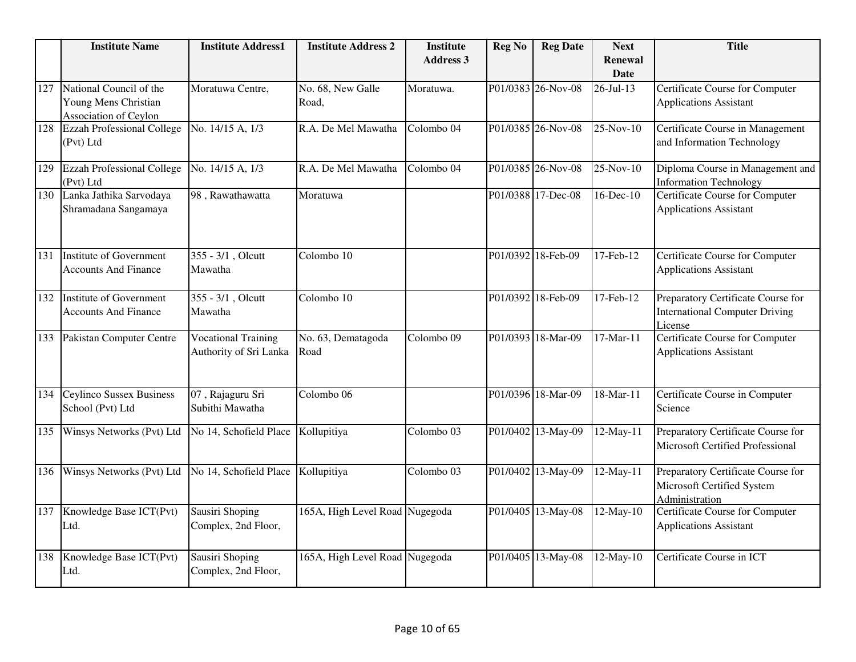|     | <b>Institute Name</b>                                                    | <b>Institute Address1</b>                            | <b>Institute Address 2</b>     | <b>Institute</b><br><b>Address 3</b> | <b>Reg No</b> | <b>Reg Date</b>    | <b>Next</b><br><b>Renewal</b> | <b>Title</b>                                                                           |
|-----|--------------------------------------------------------------------------|------------------------------------------------------|--------------------------------|--------------------------------------|---------------|--------------------|-------------------------------|----------------------------------------------------------------------------------------|
|     |                                                                          |                                                      |                                |                                      |               |                    | Date                          |                                                                                        |
| 127 | National Council of the<br>Young Mens Christian<br>Association of Ceylon | Moratuwa Centre,                                     | No. 68, New Galle<br>Road,     | Moratuwa.                            |               | P01/0383 26-Nov-08 | $26$ -Jul-13                  | Certificate Course for Computer<br><b>Applications Assistant</b>                       |
| 128 | <b>Ezzah Professional College</b><br>(Pvt) Ltd                           | No. 14/15 A, 1/3                                     | R.A. De Mel Mawatha            | Colombo <sub>04</sub>                |               | P01/0385 26-Nov-08 | 25-Nov-10                     | Certificate Course in Management<br>and Information Technology                         |
| 129 | <b>Ezzah Professional College</b><br>(Pvt) Ltd                           | No. 14/15 A, 1/3                                     | R.A. De Mel Mawatha            | Colombo 04                           |               | P01/0385 26-Nov-08 | 25-Nov-10                     | Diploma Course in Management and<br><b>Information Technology</b>                      |
| 130 | Lanka Jathika Sarvodaya<br>Shramadana Sangamaya                          | 98, Rawathawatta                                     | Moratuwa                       |                                      |               | P01/0388 17-Dec-08 | 16-Dec-10                     | Certificate Course for Computer<br><b>Applications Assistant</b>                       |
| 131 | <b>Institute of Government</b><br><b>Accounts And Finance</b>            | 355 - 3/1, Olcutt<br>Mawatha                         | Colombo 10                     |                                      |               | P01/0392 18-Feb-09 | 17-Feb-12                     | Certificate Course for Computer<br><b>Applications Assistant</b>                       |
| 132 | Institute of Government<br><b>Accounts And Finance</b>                   | 355 - 3/1, Olcutt<br>Mawatha                         | Colombo 10                     |                                      |               | P01/0392 18-Feb-09 | 17-Feb-12                     | Preparatory Certificate Course for<br><b>International Computer Driving</b><br>License |
| 133 | Pakistan Computer Centre                                                 | <b>Vocational Training</b><br>Authority of Sri Lanka | No. 63, Dematagoda<br>Road     | Colombo 09                           |               | P01/0393 18-Mar-09 | $17-Mar-11$                   | <b>Certificate Course for Computer</b><br><b>Applications Assistant</b>                |
| 134 | <b>Ceylinco Sussex Business</b><br>School (Pvt) Ltd                      | 07, Rajaguru Sri<br>Subithi Mawatha                  | Colombo <sub>06</sub>          |                                      |               | P01/0396 18-Mar-09 | $18-Mar-11$                   | Certificate Course in Computer<br>Science                                              |
| 135 | Winsys Networks (Pvt) Ltd                                                | No 14, Schofield Place                               | Kollupitiya                    | Colombo 03                           |               | P01/0402 13-May-09 | 12-May-11                     | Preparatory Certificate Course for<br>Microsoft Certified Professional                 |
| 136 | Winsys Networks (Pvt) Ltd                                                | No 14, Schofield Place                               | Kollupitiya                    | Colombo 03                           |               | P01/0402 13-May-09 | 12-May-11                     | Preparatory Certificate Course for<br>Microsoft Certified System<br>Administration     |
| 137 | Knowledge Base ICT(Pvt)<br>Ltd.                                          | Sausiri Shoping<br>Complex, 2nd Floor,               | 165A, High Level Road Nugegoda |                                      |               | P01/0405 13-May-08 | $12-May-10$                   | <b>Certificate Course for Computer</b><br><b>Applications Assistant</b>                |
| 138 | Knowledge Base ICT(Pvt)<br>Ltd.                                          | Sausiri Shoping<br>Complex, 2nd Floor,               | 165A, High Level Road Nugegoda |                                      |               | P01/0405 13-May-08 | 12-May-10                     | Certificate Course in ICT                                                              |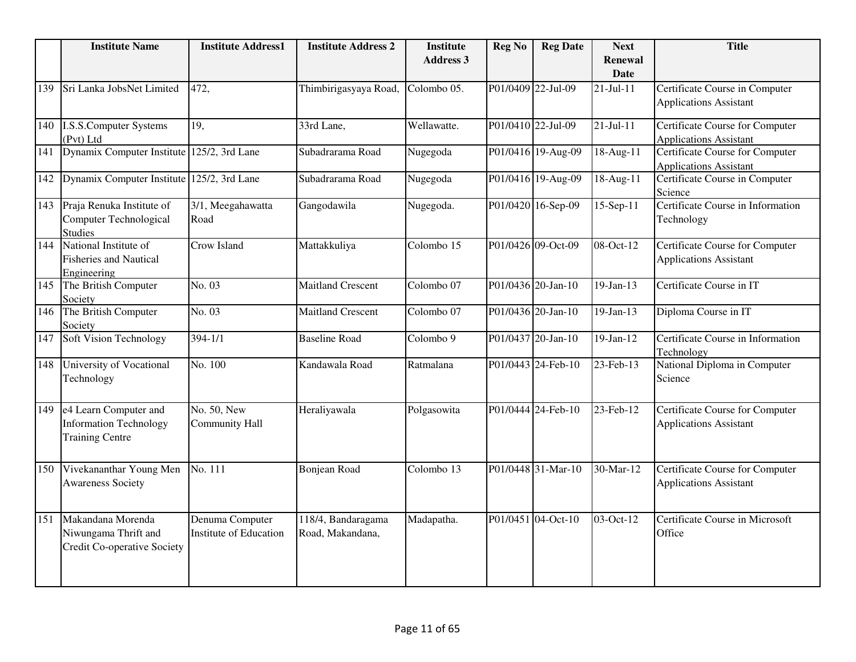|     | <b>Institute Name</b>                                                            | <b>Institute Address1</b>                 | <b>Institute Address 2</b>             | <b>Institute</b><br><b>Address 3</b> | <b>Reg No</b> | <b>Reg Date</b>    | <b>Next</b><br><b>Renewal</b> | <b>Title</b>                                                            |
|-----|----------------------------------------------------------------------------------|-------------------------------------------|----------------------------------------|--------------------------------------|---------------|--------------------|-------------------------------|-------------------------------------------------------------------------|
|     |                                                                                  |                                           |                                        |                                      |               |                    | <b>Date</b>                   |                                                                         |
| 139 | Sri Lanka JobsNet Limited                                                        | 472,                                      | Thimbirigasyaya Road, Colombo 05.      |                                      |               | P01/0409 22-Jul-09 | $21-Jul-11$                   | Certificate Course in Computer<br><b>Applications Assistant</b>         |
| 140 | <b>I.S.S.Computer Systems</b><br>(Pvt) Ltd                                       | 19,                                       | 33rd Lane,                             | Wellawatte.                          |               | P01/0410 22-Jul-09 | $21-Jul-11$                   | <b>Certificate Course for Computer</b><br><b>Applications Assistant</b> |
| 141 | Dynamix Computer Institute                                                       | 125/2, 3rd Lane                           | Subadrarama Road                       | Nugegoda                             |               | P01/0416 19-Aug-09 | 18-Aug-11                     | Certificate Course for Computer<br><b>Applications Assistant</b>        |
| 142 | Dynamix Computer Institute                                                       | 125/2, 3rd Lane                           | Subadrarama Road                       | Nugegoda                             |               | P01/0416 19-Aug-09 | 18-Aug-11                     | Certificate Course in Computer<br>Science                               |
| 143 | Praja Renuka Institute of<br>Computer Technological<br><b>Studies</b>            | 3/1, Meegahawatta<br>Road                 | Gangodawila                            | Nugegoda.                            |               | P01/0420 16-Sep-09 | 15-Sep-11                     | Certificate Course in Information<br>Technology                         |
| 144 | National Institute of<br><b>Fisheries and Nautical</b><br>Engineering            | Crow Island                               | Mattakkuliya                           | Colombo 15                           |               | P01/0426 09-Oct-09 | $08$ -Oct-12                  | Certificate Course for Computer<br><b>Applications Assistant</b>        |
| 145 | The British Computer<br>Society                                                  | No. 03                                    | <b>Maitland Crescent</b>               | Colombo 07                           |               | P01/0436 20-Jan-10 | $19-Jan-13$                   | Certificate Course in IT                                                |
| 146 | The British Computer<br>Society                                                  | No. 03                                    | <b>Maitland Crescent</b>               | Colombo 07                           |               | P01/0436 20-Jan-10 | $19-Jan-13$                   | Diploma Course in IT                                                    |
| 147 | <b>Soft Vision Technology</b>                                                    | $394 - 1/1$                               | <b>Baseline Road</b>                   | Colombo 9                            |               | P01/0437 20-Jan-10 | $19-Jan-12$                   | Certificate Course in Information<br>Technology                         |
| 148 | <b>University of Vocational</b><br>Technology                                    | No. 100                                   | Kandawala Road                         | Ratmalana                            |               | P01/0443 24-Feb-10 | 23-Feb-13                     | National Diploma in Computer<br>Science                                 |
| 149 | e4 Learn Computer and<br><b>Information Technology</b><br><b>Training Centre</b> | No. 50, New<br><b>Community Hall</b>      | Heraliyawala                           | Polgasowita                          |               | P01/0444 24-Feb-10 | 23-Feb-12                     | Certificate Course for Computer<br><b>Applications Assistant</b>        |
| 150 | Vivekananthar Young Men<br><b>Awareness Society</b>                              | No. 111                                   | <b>Bonjean Road</b>                    | Colombo 13                           |               | P01/0448 31-Mar-10 | 30-Mar-12                     | <b>Certificate Course for Computer</b><br><b>Applications Assistant</b> |
| 151 | Makandana Morenda<br>Niwungama Thrift and<br>Credit Co-operative Society         | Denuma Computer<br>Institute of Education | 118/4, Bandaragama<br>Road, Makandana, | Madapatha.                           |               | P01/0451 04-Oct-10 | 03-Oct-12                     | Certificate Course in Microsoft<br>Office                               |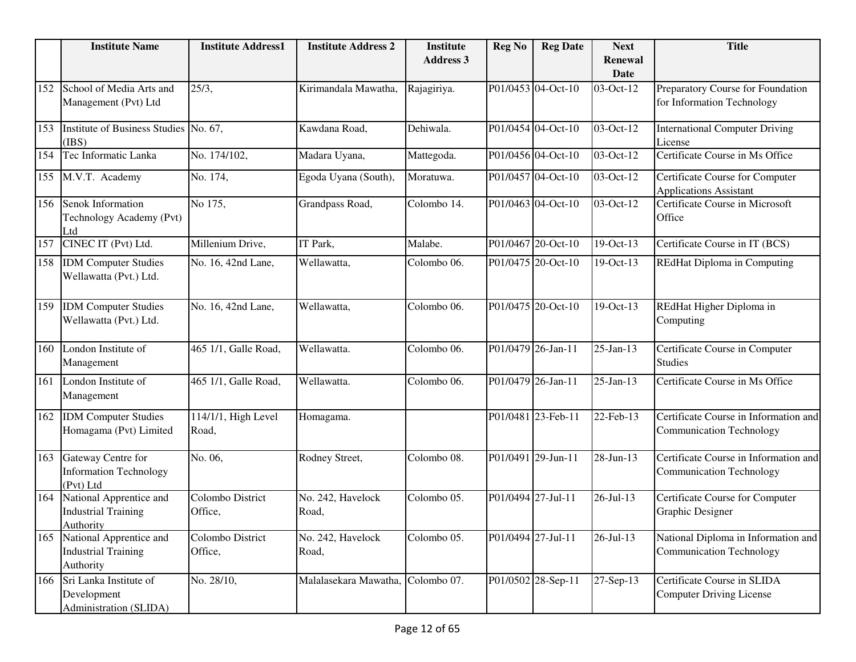|     | <b>Institute Name</b>                                                     | <b>Institute Address1</b>    | <b>Institute Address 2</b> | <b>Institute</b><br><b>Address 3</b> | <b>Reg No</b>      | <b>Reg Date</b>    | <b>Next</b><br><b>Renewal</b> | <b>Title</b>                                                             |
|-----|---------------------------------------------------------------------------|------------------------------|----------------------------|--------------------------------------|--------------------|--------------------|-------------------------------|--------------------------------------------------------------------------|
|     |                                                                           |                              |                            |                                      |                    |                    | <b>Date</b>                   |                                                                          |
| 152 | School of Media Arts and<br>Management (Pvt) Ltd                          | 25/3,                        | Kirimandala Mawatha,       | Rajagiriya.                          |                    | P01/0453 04-Oct-10 | 03-Oct-12                     | Preparatory Course for Foundation<br>for Information Technology          |
| 153 | <b>Institute of Business Studies</b><br>(IBS)                             | No. 67,                      | Kawdana Road,              | Dehiwala.                            |                    | P01/0454 04-Oct-10 | 03-Oct-12                     | <b>International Computer Driving</b><br>License                         |
| 154 | Tec Informatic Lanka                                                      | No. 174/102,                 | Madara Uyana,              | Mattegoda.                           |                    | P01/0456 04-Oct-10 | 03-Oct-12                     | Certificate Course in Ms Office                                          |
| 155 | M.V.T. Academy                                                            | No. 174,                     | Egoda Uyana (South),       | Moratuwa.                            |                    | P01/0457 04-Oct-10 | 03-Oct-12                     | Certificate Course for Computer<br>Applications Assistant                |
| 156 | Senok Information<br>Technology Academy (Pvt)<br>Ltd                      | No 175,                      | Grandpass Road,            | Colombo 14.                          |                    | P01/0463 04-Oct-10 | 03-Oct-12                     | Certificate Course in Microsoft<br>Office                                |
| 157 | CINEC IT (Pvt) Ltd.                                                       | Millenium Drive,             | IT Park,                   | Malabe.                              |                    | P01/0467 20-Oct-10 | 19-Oct-13                     | Certificate Course in IT (BCS)                                           |
| 158 | <b>IDM</b> Computer Studies<br>Wellawatta (Pvt.) Ltd.                     | No. 16, 42nd Lane,           | Wellawatta,                | Colombo 06.                          |                    | P01/0475 20-Oct-10 | 19-Oct-13                     | REdHat Diploma in Computing                                              |
| 159 | <b>IDM</b> Computer Studies<br>Wellawatta (Pvt.) Ltd.                     | No. 16, 42nd Lane,           | Wellawatta,                | Colombo 06.                          |                    | P01/0475 20-Oct-10 | 19-Oct-13                     | REdHat Higher Diploma in<br>Computing                                    |
| 160 | London Institute of<br>Management                                         | 465 1/1, Galle Road,         | Wellawatta.                | Colombo 06.                          |                    | P01/0479 26-Jan-11 | $25$ -Jan-13                  | Certificate Course in Computer<br><b>Studies</b>                         |
| 161 | London Institute of<br>Management                                         | 465 1/1, Galle Road,         | Wellawatta.                | Colombo 06.                          |                    | P01/0479 26-Jan-11 | $25$ -Jan-13                  | Certificate Course in Ms Office                                          |
| 162 | <b>IDM Computer Studies</b><br>Homagama (Pvt) Limited                     | 114/1/1, High Level<br>Road, | Homagama.                  |                                      |                    | P01/0481 23-Feb-11 | 22-Feb-13                     | Certificate Course in Information and<br><b>Communication Technology</b> |
| 163 | Gateway Centre for<br><b>Information Technology</b><br>(Pvt) Ltd          | No. 06,                      | Rodney Street,             | Colombo 08.                          |                    | P01/0491 29-Jun-11 | 28-Jun-13                     | Certificate Course in Information and<br>Communication Technology        |
| 164 | National Apprentice and<br><b>Industrial Training</b><br><b>Authority</b> | Colombo District<br>Office,  | No. 242, Havelock<br>Road, | Colombo 05.                          | P01/0494 27-Jul-11 |                    | $26 - Jul - 13$               | Certificate Course for Computer<br>Graphic Designer                      |
|     | 165 National Apprentice and<br><b>Industrial Training</b><br>Authority    | Colombo District<br>Office,  | No. 242, Havelock<br>Road, | Colombo 05.                          |                    | P01/0494 27-Jul-11 | $26$ -Jul-13                  | National Diploma in Information and<br><b>Communication Technology</b>   |
| 166 | Sri Lanka Institute of<br>Development<br>Administration (SLIDA)           | No. 28/10,                   | Malalasekara Mawatha,      | Colombo 07.                          |                    | P01/0502 28-Sep-11 | 27-Sep-13                     | Certificate Course in SLIDA<br><b>Computer Driving License</b>           |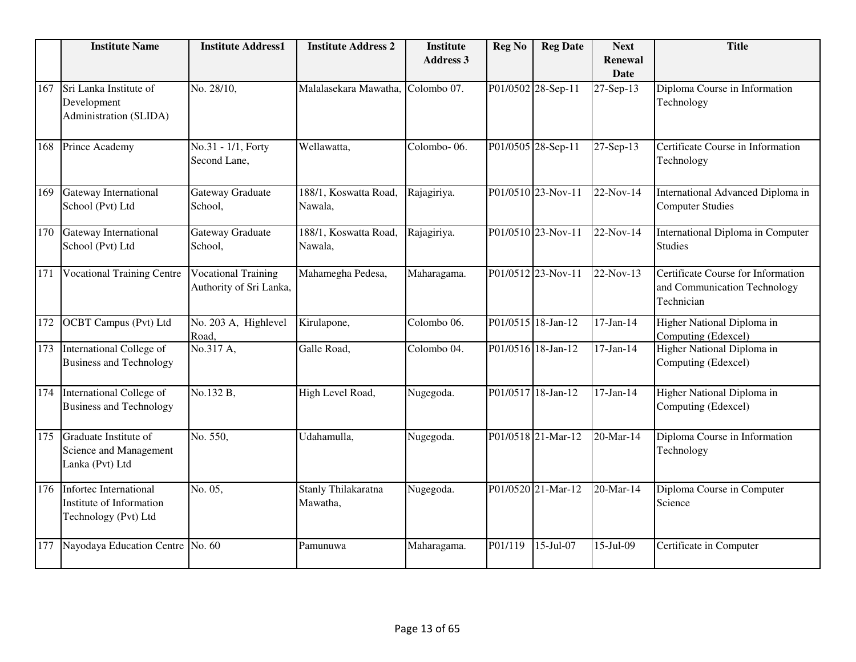|     | <b>Institute Name</b>                                                      | <b>Institute Address1</b>                             | <b>Institute Address 2</b>       | <b>Institute</b><br><b>Address 3</b> | <b>Reg No</b> | <b>Reg Date</b>    | <b>Next</b><br>Renewal<br><b>Date</b> | <b>Title</b>                                                                     |
|-----|----------------------------------------------------------------------------|-------------------------------------------------------|----------------------------------|--------------------------------------|---------------|--------------------|---------------------------------------|----------------------------------------------------------------------------------|
| 167 | Sri Lanka Institute of<br>Development<br>Administration (SLIDA)            | No. 28/10,                                            | Malalasekara Mawatha,            | Colombo 07.                          |               | P01/0502 28-Sep-11 | 27-Sep-13                             | Diploma Course in Information<br>Technology                                      |
| 168 | Prince Academy                                                             | No.31 - 1/1, Forty<br>Second Lane,                    | Wellawatta,                      | Colombo-06.                          |               | P01/0505 28-Sep-11 | 27-Sep-13                             | Certificate Course in Information<br>Technology                                  |
| 169 | <b>Gateway International</b><br>School (Pvt) Ltd                           | Gateway Graduate<br>School,                           | 188/1, Koswatta Road,<br>Nawala, | Rajagiriya.                          |               | P01/0510 23-Nov-11 | 22-Nov-14                             | International Advanced Diploma in<br><b>Computer Studies</b>                     |
| 170 | Gateway International<br>School (Pvt) Ltd                                  | Gateway Graduate<br>School,                           | 188/1, Koswatta Road,<br>Nawala, | Rajagiriya.                          |               | P01/0510 23-Nov-11 | 22-Nov-14                             | International Diploma in Computer<br><b>Studies</b>                              |
| 171 | <b>Vocational Training Centre</b>                                          | <b>Vocational Training</b><br>Authority of Sri Lanka, | Mahamegha Pedesa,                | Maharagama.                          |               | P01/0512 23-Nov-11 | 22-Nov-13                             | Certificate Course for Information<br>and Communication Technology<br>Technician |
| 172 | <b>OCBT</b> Campus (Pvt) Ltd                                               | No. 203 A, Highlevel<br>Road,                         | Kirulapone,                      | Colombo 06.                          |               | P01/0515 18-Jan-12 | $17-Jan-14$                           | Higher National Diploma in<br>Computing (Edexcel)                                |
| 173 | International College of<br><b>Business and Technology</b>                 | No.317 A,                                             | Galle Road,                      | Colombo 04.                          |               | P01/0516 18-Jan-12 | $\overline{17}$ -Jan-14               | Higher National Diploma in<br>Computing (Edexcel)                                |
| 174 | International College of<br><b>Business and Technology</b>                 | No.132 B,                                             | High Level Road,                 | Nugegoda.                            |               | P01/0517 18-Jan-12 | $17-Jan-14$                           | Higher National Diploma in<br>Computing (Edexcel)                                |
| 175 | Graduate Institute of<br>Science and Management<br>Lanka (Pvt) Ltd         | $\overline{\text{No}}$ . 550,                         | Udahamulla,                      | Nugegoda.                            |               | P01/0518 21-Mar-12 | 20-Mar-14                             | Diploma Course in Information<br>Technology                                      |
| 176 | Infortec International<br>Institute of Information<br>Technology (Pvt) Ltd | No. 05,                                               | Stanly Thilakaratna<br>Mawatha,  | Nugegoda.                            |               | P01/0520 21-Mar-12 | 20-Mar-14                             | Diploma Course in Computer<br>Science                                            |
| 177 | Nayodaya Education Centre No. 60                                           |                                                       | Pamunuwa                         | Maharagama.                          | P01/119       | 15-Jul-07          | 15-Jul-09                             | Certificate in Computer                                                          |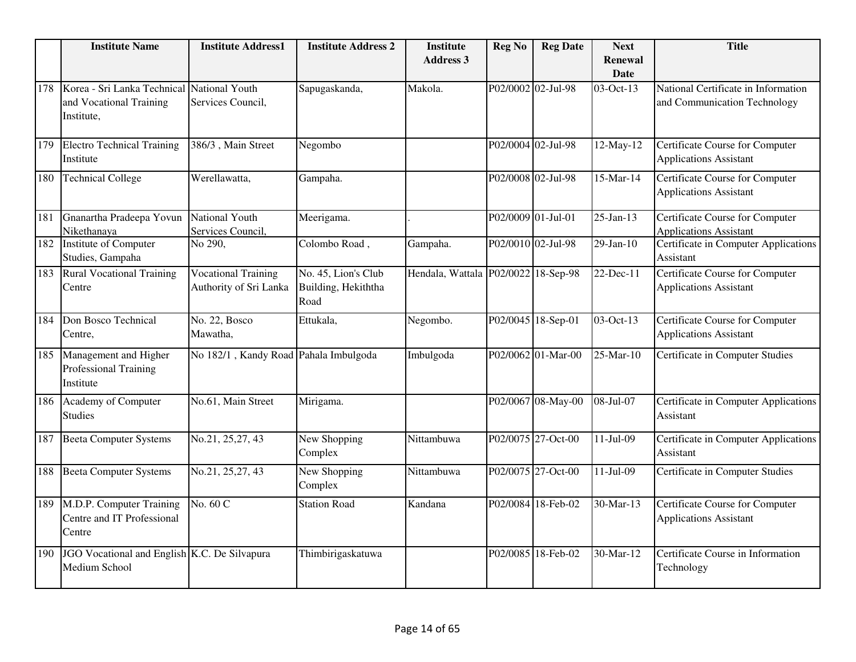|     | <b>Institute Name</b>                                                               | <b>Institute Address1</b>                            | <b>Institute Address 2</b>                         | <b>Institute</b><br><b>Address 3</b> | <b>Reg No</b>      | <b>Reg Date</b>    | <b>Next</b><br><b>Renewal</b><br><b>Date</b> | <b>Title</b>                                                            |
|-----|-------------------------------------------------------------------------------------|------------------------------------------------------|----------------------------------------------------|--------------------------------------|--------------------|--------------------|----------------------------------------------|-------------------------------------------------------------------------|
| 178 | Korea - Sri Lanka Technical National Youth<br>and Vocational Training<br>Institute, | Services Council,                                    | Sapugaskanda,                                      | Makola.                              | P02/0002 02-Jul-98 |                    | 03-Oct-13                                    | National Certificate in Information<br>and Communication Technology     |
| 179 | <b>Electro Technical Training</b><br>Institute                                      | 386/3, Main Street                                   | Negombo                                            |                                      |                    | P02/0004 02-Jul-98 | 12-May-12                                    | <b>Certificate Course for Computer</b><br><b>Applications Assistant</b> |
| 180 | <b>Technical College</b>                                                            | Werellawatta,                                        | Gampaha.                                           |                                      |                    | P02/0008 02-Jul-98 | $15$ -Mar-14                                 | Certificate Course for Computer<br><b>Applications Assistant</b>        |
| 181 | Gnanartha Pradeepa Yovun<br>Nikethanava                                             | National Youth<br>Services Council.                  | Meerigama.                                         |                                      |                    | P02/0009 01-Jul-01 | $25$ -Jan-13                                 | Certificate Course for Computer<br><b>Applications Assistant</b>        |
| 182 | Institute of Computer<br>Studies, Gampaha                                           | No 290,                                              | Colombo Road,                                      | Gampaha.                             |                    | P02/0010 02-Jul-98 | $29$ -Jan-10                                 | Certificate in Computer Applications<br>Assistant                       |
| 183 | <b>Rural Vocational Training</b><br>Centre                                          | <b>Vocational Training</b><br>Authority of Sri Lanka | No. 45, Lion's Club<br>Building, Hekiththa<br>Road | Hendala, Wattala P02/0022 18-Sep-98  |                    |                    | $22-Dec-11$                                  | <b>Certificate Course for Computer</b><br><b>Applications Assistant</b> |
| 184 | Don Bosco Technical<br>Centre,                                                      | No. 22, Bosco<br>Mawatha,                            | Ettukala,                                          | Negombo.                             |                    | P02/0045 18-Sep-01 | 03-Oct-13                                    | <b>Certificate Course for Computer</b><br><b>Applications Assistant</b> |
| 185 | Management and Higher<br>Professional Training<br>Institute                         | No 182/1, Kandy Road Pahala Imbulgoda                |                                                    | Imbulgoda                            |                    | P02/0062 01-Mar-00 | 25-Mar-10                                    | Certificate in Computer Studies                                         |
| 186 | Academy of Computer<br><b>Studies</b>                                               | No.61, Main Street                                   | Mirigama.                                          |                                      |                    | P02/0067 08-May-00 | $\overline{08}$ -Jul-07                      | Certificate in Computer Applications<br>Assistant                       |
| 187 | <b>Beeta Computer Systems</b>                                                       | No.21, 25,27, 43                                     | New Shopping<br>Complex                            | Nittambuwa                           |                    | P02/0075 27-Oct-00 | 11-Jul-09                                    | Certificate in Computer Applications<br>Assistant                       |
| 188 | <b>Beeta Computer Systems</b>                                                       | No.21, 25,27, 43                                     | New Shopping<br>Complex                            | Nittambuwa                           |                    | P02/0075 27-Oct-00 | $11-Jul-09$                                  | Certificate in Computer Studies                                         |
| 189 | M.D.P. Computer Training<br>Centre and IT Professional<br>Centre                    | No. 60 C                                             | <b>Station Road</b>                                | Kandana                              |                    | P02/0084 18-Feb-02 | 30-Mar-13                                    | Certificate Course for Computer<br><b>Applications Assistant</b>        |
| 190 | JGO Vocational and English K.C. De Silvapura<br>Medium School                       |                                                      | Thimbirigaskatuwa                                  |                                      |                    | P02/0085 18-Feb-02 | 30-Mar-12                                    | Certificate Course in Information<br>Technology                         |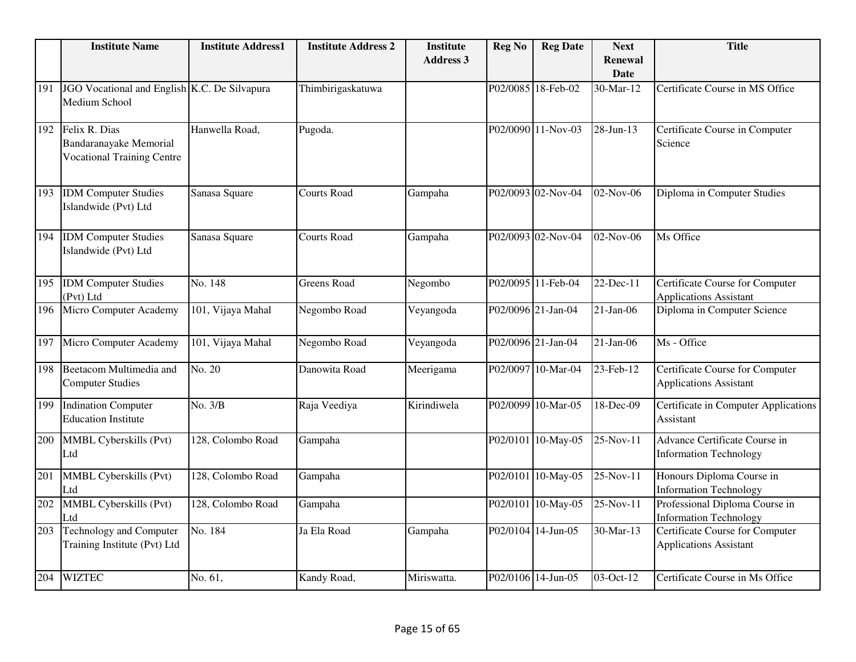|     | <b>Institute Name</b>                                                        | <b>Institute Address1</b> | <b>Institute Address 2</b> | <b>Institute</b> | <b>Reg No</b> | <b>Reg Date</b>    | <b>Next</b>                   | <b>Title</b>                                                            |
|-----|------------------------------------------------------------------------------|---------------------------|----------------------------|------------------|---------------|--------------------|-------------------------------|-------------------------------------------------------------------------|
|     |                                                                              |                           |                            | <b>Address 3</b> |               |                    | <b>Renewal</b><br><b>Date</b> |                                                                         |
| 191 | JGO Vocational and English K.C. De Silvapura<br>Medium School                |                           | Thimbirigaskatuwa          |                  |               | P02/0085 18-Feb-02 | 30-Mar-12                     | Certificate Course in MS Office                                         |
| 192 | Felix R. Dias<br>Bandaranayake Memorial<br><b>Vocational Training Centre</b> | Hanwella Road,            | Pugoda.                    |                  |               | P02/0090 11-Nov-03 | 28-Jun-13                     | Certificate Course in Computer<br>Science                               |
| 193 | <b>IDM</b> Computer Studies<br>Islandwide (Pvt) Ltd                          | Sanasa Square             | <b>Courts Road</b>         | Gampaha          |               | P02/0093 02-Nov-04 | 02-Nov-06                     | Diploma in Computer Studies                                             |
| 194 | <b>IDM</b> Computer Studies<br>Islandwide (Pvt) Ltd                          | Sanasa Square             | <b>Courts Road</b>         | Gampaha          |               | P02/0093 02-Nov-04 | 02-Nov-06                     | Ms Office                                                               |
| 195 | <b>IDM</b> Computer Studies<br>(Pvt) Ltd                                     | No. 148                   | <b>Greens Road</b>         | Negombo          |               | P02/0095 11-Feb-04 | 22-Dec-11                     | Certificate Course for Computer<br><b>Applications Assistant</b>        |
| 196 | Micro Computer Academy                                                       | 101, Vijaya Mahal         | Negombo Road               | Veyangoda        |               | P02/0096 21-Jan-04 | $21-Jan-06$                   | Diploma in Computer Science                                             |
| 197 | Micro Computer Academy                                                       | 101, Vijaya Mahal         | Negombo Road               | Veyangoda        |               | P02/0096 21-Jan-04 | $21-Jan-06$                   | Ms - Office                                                             |
| 198 | Beetacom Multimedia and<br><b>Computer Studies</b>                           | $\overline{No. 20}$       | Danowita Road              | Meerigama        |               | P02/0097 10-Mar-04 | 23-Feb-12                     | Certificate Course for Computer<br><b>Applications Assistant</b>        |
| 199 | <b>Indination Computer</b><br><b>Education Institute</b>                     | No. 3/B                   | Raja Veediya               | Kirindiwela      |               | P02/0099 10-Mar-05 | 18-Dec-09                     | Certificate in Computer Applications<br>Assistant                       |
| 200 | MMBL Cyberskills (Pvt)<br>Ltd                                                | 128, Colombo Road         | Gampaha                    |                  |               | P02/0101 10-May-05 | 25-Nov-11                     | Advance Certificate Course in<br><b>Information Technology</b>          |
| 201 | <b>MMBL Cyberskills (Pvt)</b><br>Ltd                                         | 128, Colombo Road         | Gampaha                    |                  |               | P02/0101 10-May-05 | $25-Nov-11$                   | Honours Diploma Course in<br><b>Information Technology</b>              |
| 202 | MMBL Cyberskills (Pvt)<br>Ltd                                                | 128, Colombo Road         | Gampaha                    |                  |               | P02/0101 10-May-05 | $25-Nov-11$                   | Professional Diploma Course in<br><b>Information Technology</b>         |
| 203 | <b>Technology and Computer</b><br>Training Institute (Pvt) Ltd               | No. 184                   | Ja Ela Road                | Gampaha          |               | P02/0104 14-Jun-05 | 30-Mar-13                     | <b>Certificate Course for Computer</b><br><b>Applications Assistant</b> |
| 204 | <b>WIZTEC</b>                                                                | No. 61,                   | Kandy Road,                | Miriswatta.      |               | P02/0106 14-Jun-05 | 03-Oct-12                     | Certificate Course in Ms Office                                         |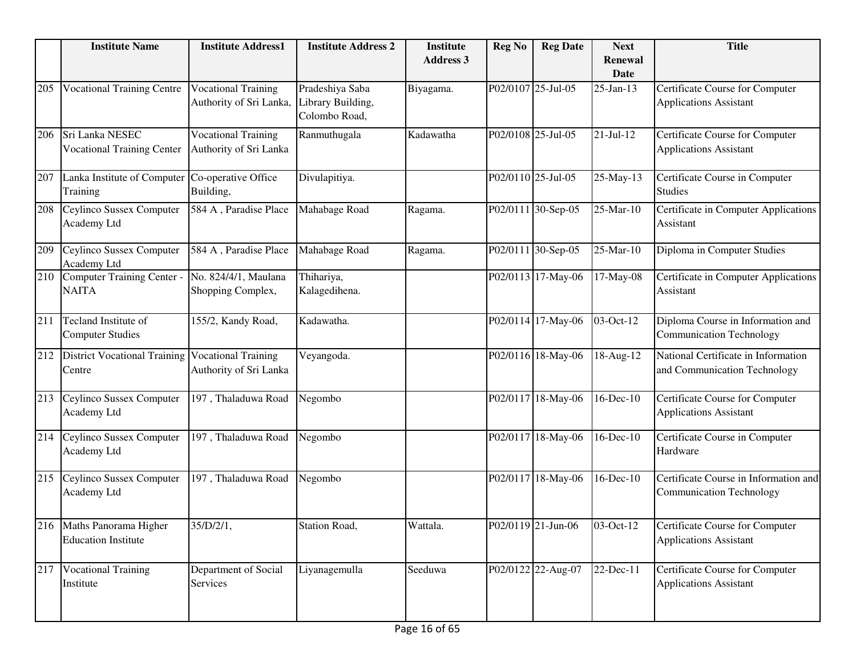|     | <b>Institute Name</b>                                      | <b>Institute Address1</b>                             | <b>Institute Address 2</b>                            | <b>Institute</b><br><b>Address 3</b> | <b>Reg No</b>      | <b>Reg Date</b>    | <b>Next</b><br>Renewal<br><b>Date</b> | <b>Title</b>                                                             |
|-----|------------------------------------------------------------|-------------------------------------------------------|-------------------------------------------------------|--------------------------------------|--------------------|--------------------|---------------------------------------|--------------------------------------------------------------------------|
| 205 | <b>Vocational Training Centre</b>                          | <b>Vocational Training</b><br>Authority of Sri Lanka, | Pradeshiya Saba<br>Library Building,<br>Colombo Road, | Biyagama.                            | P02/0107 25-Jul-05 |                    | 25-Jan-13                             | Certificate Course for Computer<br><b>Applications Assistant</b>         |
| 206 | Sri Lanka NESEC<br><b>Vocational Training Center</b>       | <b>Vocational Training</b><br>Authority of Sri Lanka  | Ranmuthugala                                          | Kadawatha                            | P02/0108 25-Jul-05 |                    | $21-Jul-12$                           | Certificate Course for Computer<br><b>Applications Assistant</b>         |
| 207 | Lanka Institute of Computer<br>Training                    | Co-operative Office<br>Building,                      | Divulapitiya.                                         |                                      | P02/0110 25-Jul-05 |                    | 25-May-13                             | Certificate Course in Computer<br><b>Studies</b>                         |
| 208 | Ceylinco Sussex Computer<br>Academy Ltd                    | 584 A, Paradise Place                                 | Mahabage Road                                         | Ragama.                              |                    | P02/0111 30-Sep-05 | 25-Mar-10                             | Certificate in Computer Applications<br>Assistant                        |
| 209 | Ceylinco Sussex Computer<br>Academy Ltd                    | 584 A, Paradise Place                                 | Mahabage Road                                         | Ragama.                              |                    | P02/0111 30-Sep-05 | 25-Mar-10                             | Diploma in Computer Studies                                              |
| 210 | Computer Training Center -<br><b>NAITA</b>                 | No. 824/4/1, Maulana<br>Shopping Complex,             | Thihariya,<br>Kalagedihena.                           |                                      |                    | P02/0113 17-May-06 | 17-May-08                             | Certificate in Computer Applications<br>Assistant                        |
| 211 | Tecland Institute of<br><b>Computer Studies</b>            | 155/2, Kandy Road,                                    | Kadawatha.                                            |                                      |                    | P02/0114 17-May-06 | 03-Oct-12                             | Diploma Course in Information and<br><b>Communication Technology</b>     |
| 212 | District Vocational Training Vocational Training<br>Centre | Authority of Sri Lanka                                | Veyangoda.                                            |                                      |                    | P02/0116 18-May-06 | 18-Aug-12                             | National Certificate in Information<br>and Communication Technology      |
| 213 | Ceylinco Sussex Computer<br>Academy Ltd                    | 197, Thaladuwa Road                                   | Negombo                                               |                                      |                    | P02/0117 18-May-06 | 16-Dec-10                             | Certificate Course for Computer<br><b>Applications Assistant</b>         |
| 214 | Ceylinco Sussex Computer<br>Academy Ltd                    | 197, Thaladuwa Road                                   | Negombo                                               |                                      |                    | P02/0117 18-May-06 | 16-Dec-10                             | Certificate Course in Computer<br>Hardware                               |
| 215 | Ceylinco Sussex Computer<br>Academy Ltd                    | 197, Thaladuwa Road                                   | Negombo                                               |                                      |                    | P02/0117 18-May-06 | 16-Dec-10                             | Certificate Course in Information and<br><b>Communication Technology</b> |
|     | 216 Maths Panorama Higher<br><b>Education Institute</b>    | 35/D/2/1,                                             | Station Road,                                         | Wattala.                             |                    | P02/0119 21-Jun-06 | 03-Oct-12                             | Certificate Course for Computer<br><b>Applications Assistant</b>         |
| 217 | <b>Vocational Training</b><br>Institute                    | Department of Social<br>Services                      | Liyanagemulla                                         | Seeduwa                              |                    | P02/0122 22-Aug-07 | 22-Dec-11                             | Certificate Course for Computer<br><b>Applications Assistant</b>         |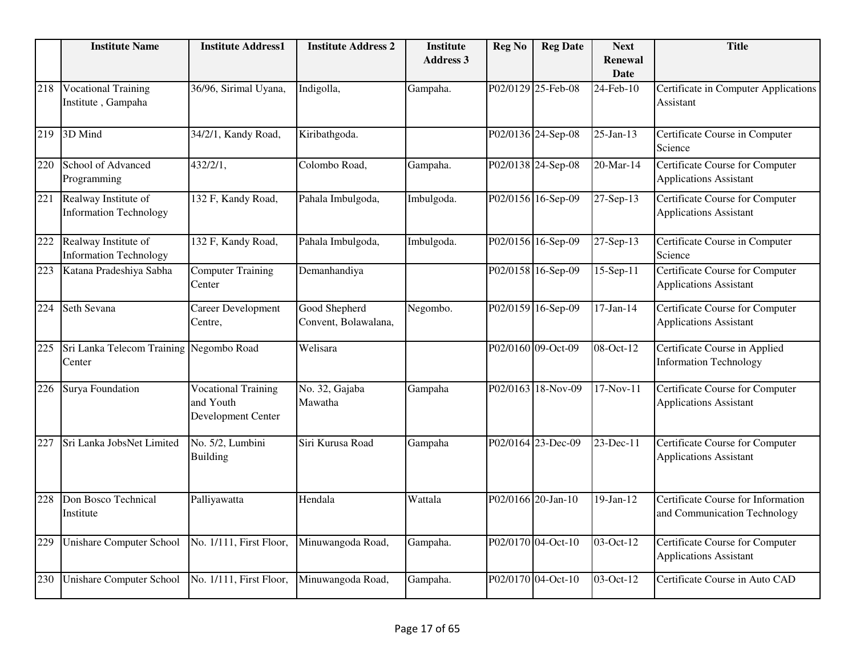|     | <b>Institute Name</b>                                 | <b>Institute Address1</b>                                     | <b>Institute Address 2</b>            | <b>Institute</b><br><b>Address 3</b> | <b>Reg No</b> | <b>Reg Date</b>    | <b>Next</b><br><b>Renewal</b><br><b>Date</b> | <b>Title</b>                                                            |
|-----|-------------------------------------------------------|---------------------------------------------------------------|---------------------------------------|--------------------------------------|---------------|--------------------|----------------------------------------------|-------------------------------------------------------------------------|
| 218 | <b>Vocational Training</b><br>Institute, Gampaha      | 36/96, Sirimal Uyana,                                         | Indigolla,                            | Gampaha.                             |               | P02/0129 25-Feb-08 | 24-Feb-10                                    | Certificate in Computer Applications<br>Assistant                       |
| 219 | 3D Mind                                               | 34/2/1, Kandy Road,                                           | Kiribathgoda.                         |                                      |               | P02/0136 24-Sep-08 | $25$ -Jan-13                                 | Certificate Course in Computer<br>Science                               |
| 220 | School of Advanced<br>Programming                     | 432/2/1,                                                      | Colombo Road,                         | Gampaha.                             |               | P02/0138 24-Sep-08 | 20-Mar-14                                    | Certificate Course for Computer<br><b>Applications Assistant</b>        |
| 221 | Realway Institute of<br><b>Information Technology</b> | 132 F, Kandy Road,                                            | Pahala Imbulgoda,                     | Imbulgoda.                           |               | P02/0156 16-Sep-09 | 27-Sep-13                                    | Certificate Course for Computer<br><b>Applications Assistant</b>        |
| 222 | Realway Institute of<br><b>Information Technology</b> | 132 F, Kandy Road,                                            | Pahala Imbulgoda,                     | Imbulgoda.                           |               | P02/0156 16-Sep-09 | 27-Sep-13                                    | Certificate Course in Computer<br>Science                               |
| 223 | Katana Pradeshiya Sabha                               | <b>Computer Training</b><br>Center                            | Demanhandiya                          |                                      |               | P02/0158 16-Sep-09 | $15 - Sep-11$                                | <b>Certificate Course for Computer</b><br><b>Applications Assistant</b> |
| 224 | Seth Sevana                                           | Career Development<br>Centre,                                 | Good Shepherd<br>Convent, Bolawalana, | Negombo.                             |               | P02/0159 16-Sep-09 | $17-Jan-14$                                  | <b>Certificate Course for Computer</b><br><b>Applications Assistant</b> |
| 225 | Sri Lanka Telecom Training Negombo Road<br>Center     |                                                               | Welisara                              |                                      |               | P02/0160 09-Oct-09 | 08-Oct-12                                    | Certificate Course in Applied<br><b>Information Technology</b>          |
| 226 | Surya Foundation                                      | <b>Vocational Training</b><br>and Youth<br>Development Center | No. 32, Gajaba<br>Mawatha             | Gampaha                              |               | P02/0163 18-Nov-09 | 17-Nov-11                                    | Certificate Course for Computer<br><b>Applications Assistant</b>        |
| 227 | Sri Lanka JobsNet Limited                             | No. 5/2, Lumbini<br><b>Building</b>                           | Siri Kurusa Road                      | Gampaha                              |               | P02/0164 23-Dec-09 | $23$ -Dec-11                                 | <b>Certificate Course for Computer</b><br><b>Applications Assistant</b> |
| 228 | Don Bosco Technical<br>Institute                      | Palliyawatta                                                  | Hendala                               | Wattala                              |               | P02/0166 20-Jan-10 | 19-Jan-12                                    | Certificate Course for Information<br>and Communication Technology      |
| 229 | <b>Unishare Computer School</b>                       | No. 1/111, First Floor,                                       | Minuwangoda Road,                     | Gampaha.                             |               | P02/0170 04-Oct-10 | 03-Oct-12                                    | Certificate Course for Computer<br><b>Applications Assistant</b>        |
| 230 | <b>Unishare Computer School</b>                       | No. 1/111, First Floor,                                       | Minuwangoda Road,                     | Gampaha.                             |               | P02/0170 04-Oct-10 | 03-Oct-12                                    | Certificate Course in Auto CAD                                          |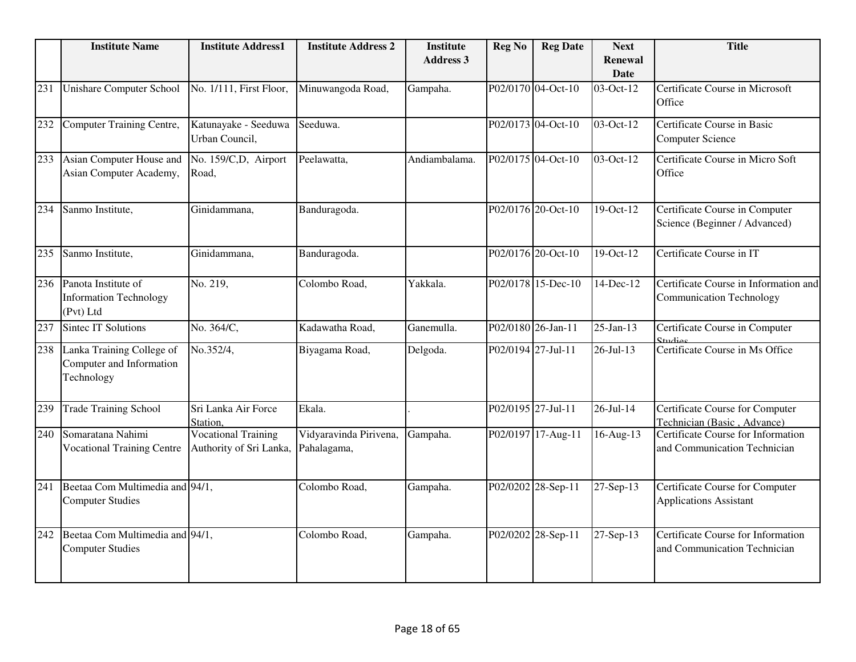|     | <b>Institute Name</b>                                               | <b>Institute Address1</b>                             | <b>Institute Address 2</b>            | <b>Institute</b><br><b>Address 3</b> | <b>Reg No</b>      | <b>Reg Date</b>    | <b>Next</b><br>Renewal<br><b>Date</b> | <b>Title</b>                                                             |
|-----|---------------------------------------------------------------------|-------------------------------------------------------|---------------------------------------|--------------------------------------|--------------------|--------------------|---------------------------------------|--------------------------------------------------------------------------|
| 231 | <b>Unishare Computer School</b>                                     | No. 1/111, First Floor,                               | Minuwangoda Road,                     | Gampaha.                             |                    | P02/0170 04-Oct-10 | 03-Oct-12                             | Certificate Course in Microsoft<br>Office                                |
| 232 | Computer Training Centre,                                           | Katunayake - Seeduwa<br>Urban Council,                | Seeduwa.                              |                                      |                    | P02/0173 04-Oct-10 | 03-Oct-12                             | Certificate Course in Basic<br><b>Computer Science</b>                   |
| 233 | Asian Computer House and<br>Asian Computer Academy,                 | No. 159/C,D, Airport<br>Road,                         | Peelawatta,                           | Andiambalama.                        |                    | P02/0175 04-Oct-10 | 03-Oct-12                             | Certificate Course in Micro Soft<br>Office                               |
| 234 | Sanmo Institute,                                                    | Ginidammana,                                          | Banduragoda.                          |                                      |                    | P02/0176 20-Oct-10 | 19-Oct-12                             | Certificate Course in Computer<br>Science (Beginner / Advanced)          |
| 235 | Sanmo Institute,                                                    | Ginidammana,                                          | Banduragoda.                          |                                      |                    | P02/0176 20-Oct-10 | 19-Oct-12                             | Certificate Course in IT                                                 |
| 236 | Panota Institute of<br><b>Information Technology</b><br>(Pvt) Ltd   | No. 219,                                              | Colombo Road,                         | Yakkala.                             |                    | P02/0178 15-Dec-10 | 14-Dec-12                             | Certificate Course in Information and<br><b>Communication Technology</b> |
| 237 | <b>Sintec IT Solutions</b>                                          | No. 364/C,                                            | Kadawatha Road,                       | Ganemulla.                           |                    | P02/0180 26-Jan-11 | $25$ -Jan-13                          | Certificate Course in Computer                                           |
| 238 | Lanka Training College of<br>Computer and Information<br>Technology | No.352/4,                                             | Biyagama Road,                        | Delgoda.                             | P02/0194 27-Jul-11 |                    | $26 - Jul - 13$                       | Certificate Course in Ms Office                                          |
| 239 | <b>Trade Training School</b>                                        | Sri Lanka Air Force<br>Station,                       | Ekala.                                |                                      |                    | P02/0195 27-Jul-11 | $26 - Jul - 14$                       | Certificate Course for Computer<br>Technician (Basic, Advance)           |
| 240 | Somaratana Nahimi<br><b>Vocational Training Centre</b>              | <b>Vocational Training</b><br>Authority of Sri Lanka, | Vidyaravinda Pirivena,<br>Pahalagama, | Gampaha.                             |                    | P02/0197 17-Aug-11 | $16$ -Aug-13                          | Certificate Course for Information<br>and Communication Technician       |
| 241 | Beetaa Com Multimedia and 94/1,<br><b>Computer Studies</b>          |                                                       | Colombo Road,                         | Gampaha.                             |                    | P02/0202 28-Sep-11 | 27-Sep-13                             | Certificate Course for Computer<br><b>Applications Assistant</b>         |
| 242 | Beetaa Com Multimedia and 94/1,<br><b>Computer Studies</b>          |                                                       | Colombo Road,                         | Gampaha.                             |                    | P02/0202 28-Sep-11 | 27-Sep-13                             | Certificate Course for Information<br>and Communication Technician       |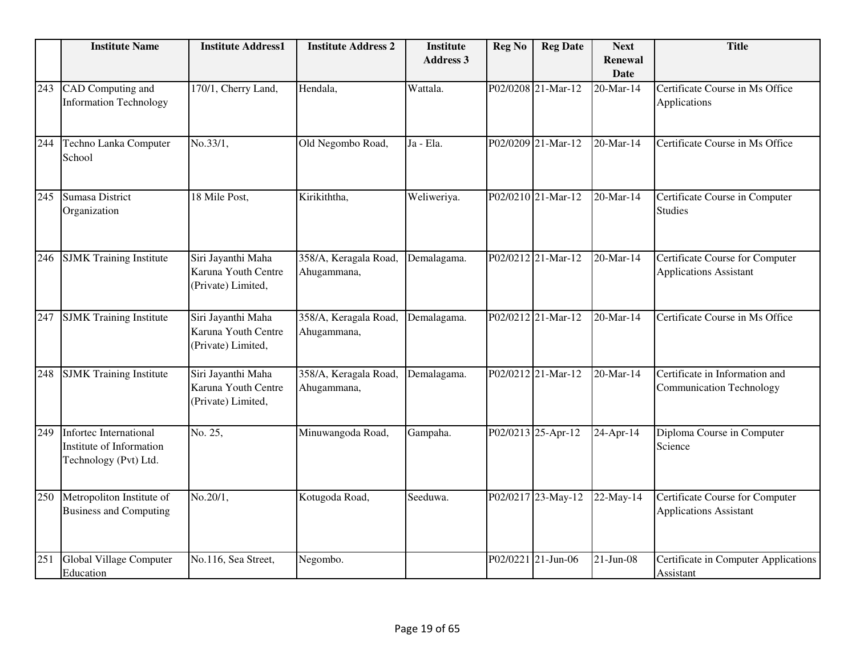|     | <b>Institute Name</b>                                                              | <b>Institute Address1</b>                                       | <b>Institute Address 2</b>           | <b>Institute</b><br><b>Address 3</b> | <b>Reg No</b> | <b>Reg Date</b>    | <b>Next</b><br><b>Renewal</b><br><b>Date</b> | <b>Title</b>                                                      |
|-----|------------------------------------------------------------------------------------|-----------------------------------------------------------------|--------------------------------------|--------------------------------------|---------------|--------------------|----------------------------------------------|-------------------------------------------------------------------|
| 243 | CAD Computing and<br><b>Information Technology</b>                                 | 170/1, Cherry Land,                                             | Hendala,                             | Wattala.                             |               | P02/0208 21-Mar-12 | 20-Mar-14                                    | Certificate Course in Ms Office<br>Applications                   |
| 244 | Techno Lanka Computer<br>School                                                    | No.33/1,                                                        | Old Negombo Road,                    | Ja - Ela.                            |               | P02/0209 21-Mar-12 | 20-Mar-14                                    | Certificate Course in Ms Office                                   |
| 245 | Sumasa District<br>Organization                                                    | 18 Mile Post,                                                   | Kirikiththa,                         | Weliweriya.                          |               | P02/0210 21-Mar-12 | 20-Mar-14                                    | Certificate Course in Computer<br><b>Studies</b>                  |
| 246 | <b>SJMK</b> Training Institute                                                     | Siri Jayanthi Maha<br>Karuna Youth Centre<br>(Private) Limited, | 358/A, Keragala Road,<br>Ahugammana, | Demalagama.                          |               | P02/0212 21-Mar-12 | 20-Mar-14                                    | Certificate Course for Computer<br><b>Applications Assistant</b>  |
| 247 | <b>SJMK</b> Training Institute                                                     | Siri Jayanthi Maha<br>Karuna Youth Centre<br>(Private) Limited, | 358/A, Keragala Road,<br>Ahugammana, | Demalagama.                          |               | P02/0212 21-Mar-12 | 20-Mar-14                                    | Certificate Course in Ms Office                                   |
| 248 | <b>SJMK</b> Training Institute                                                     | Siri Jayanthi Maha<br>Karuna Youth Centre<br>(Private) Limited, | 358/A, Keragala Road,<br>Ahugammana, | Demalagama.                          |               | P02/0212 21-Mar-12 | 20-Mar-14                                    | Certificate in Information and<br><b>Communication Technology</b> |
| 249 | <b>Infortec International</b><br>Institute of Information<br>Technology (Pvt) Ltd. | No. 25,                                                         | Minuwangoda Road,                    | Gampaha.                             |               | P02/0213 25-Apr-12 | 24-Apr-14                                    | Diploma Course in Computer<br>Science                             |
| 250 | Metropoliton Institute of<br><b>Business and Computing</b>                         | No.20/1,                                                        | Kotugoda Road,                       | Seeduwa.                             |               | P02/0217 23-May-12 | 22-May-14                                    | Certificate Course for Computer<br><b>Applications Assistant</b>  |
| 251 | <b>Global Village Computer</b><br>Education                                        | No.116, Sea Street,                                             | Negombo.                             |                                      |               | P02/0221 21-Jun-06 | $21-Jun-08$                                  | Certificate in Computer Applications<br>Assistant                 |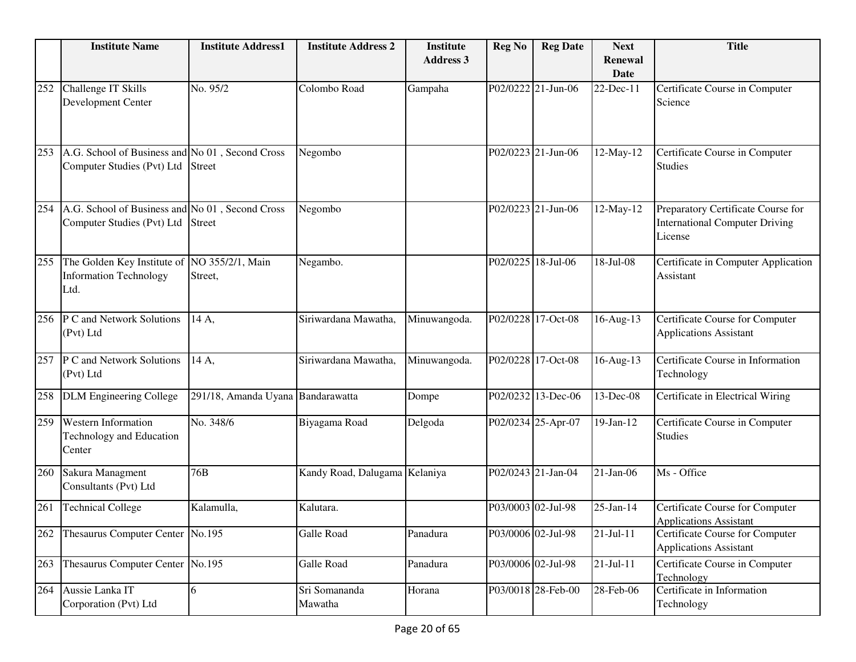|     | <b>Institute Name</b>                                                         | <b>Institute Address1</b>         | <b>Institute Address 2</b>    | <b>Institute</b> | <b>Reg No</b> | <b>Reg Date</b>    | <b>Next</b>             | <b>Title</b>                                                                           |
|-----|-------------------------------------------------------------------------------|-----------------------------------|-------------------------------|------------------|---------------|--------------------|-------------------------|----------------------------------------------------------------------------------------|
|     |                                                                               |                                   |                               | <b>Address 3</b> |               |                    | Renewal                 |                                                                                        |
|     | Challenge IT Skills                                                           | No. 95/2                          | Colombo Road                  |                  |               | P02/0222 21-Jun-06 | Date<br>22-Dec-11       |                                                                                        |
| 252 | Development Center                                                            |                                   |                               | Gampaha          |               |                    |                         | Certificate Course in Computer<br>Science                                              |
| 253 | A.G. School of Business and No 01, Second Cross<br>Computer Studies (Pvt) Ltd | <b>Street</b>                     | Negombo                       |                  |               | P02/0223 21-Jun-06 | 12-May-12               | Certificate Course in Computer<br><b>Studies</b>                                       |
| 254 | A.G. School of Business and No 01, Second Cross<br>Computer Studies (Pvt) Ltd | <b>Street</b>                     | Negombo                       |                  |               | P02/0223 21-Jun-06 | 12-May-12               | Preparatory Certificate Course for<br><b>International Computer Driving</b><br>License |
| 255 | The Golden Key Institute of<br><b>Information Technology</b><br>Ltd.          | NO 355/2/1, Main<br>Street,       | Negambo.                      |                  |               | P02/0225 18-Jul-06 | $\overline{18}$ -Jul-08 | Certificate in Computer Application<br>Assistant                                       |
| 256 | P C and Network Solutions<br>(Pvt) Ltd                                        | 14 A,                             | Siriwardana Mawatha,          | Minuwangoda.     |               | P02/0228 17-Oct-08 | 16-Aug-13               | Certificate Course for Computer<br><b>Applications Assistant</b>                       |
| 257 | P C and Network Solutions<br>(Pvt) Ltd                                        | 14 A,                             | Siriwardana Mawatha,          | Minuwangoda.     |               | P02/0228 17-Oct-08 | 16-Aug-13               | Certificate Course in Information<br>Technology                                        |
| 258 | <b>DLM Engineering College</b>                                                | 291/18, Amanda Uyana Bandarawatta |                               | Dompe            |               | P02/0232 13-Dec-06 | 13-Dec-08               | Certificate in Electrical Wiring                                                       |
| 259 | <b>Western Information</b><br>Technology and Education<br>Center              | No. 348/6                         | Biyagama Road                 | Delgoda          |               | P02/0234 25-Apr-07 | 19-Jan-12               | Certificate Course in Computer<br><b>Studies</b>                                       |
| 260 | Sakura Managment<br>Consultants (Pvt) Ltd                                     | 76B                               | Kandy Road, Dalugama Kelaniya |                  |               | P02/0243 21-Jan-04 | $21-Jan-06$             | Ms - Office                                                                            |
| 261 | <b>Technical College</b>                                                      | Kalamulla,                        | Kalutara.                     |                  |               | P03/0003 02-Jul-98 | 25-Jan-14               | Certificate Course for Computer<br>Applications Assistant                              |
| 262 | Thesaurus Computer Center No.195                                              |                                   | Galle Road                    | Panadura         |               | P03/0006 02-Jul-98 | $21-Jul-11$             | Certificate Course for Computer<br><b>Applications Assistant</b>                       |
| 263 | Thesaurus Computer Center No.195                                              |                                   | Galle Road                    | Panadura         |               | P03/0006 02-Jul-98 | $21-Jul-11$             | Certificate Course in Computer<br>Technology                                           |
| 264 | Aussie Lanka IT<br>Corporation (Pvt) Ltd                                      | 6                                 | Sri Somananda<br>Mawatha      | Horana           |               | P03/0018 28-Feb-00 | 28-Feb-06               | Certificate in Information<br>Technology                                               |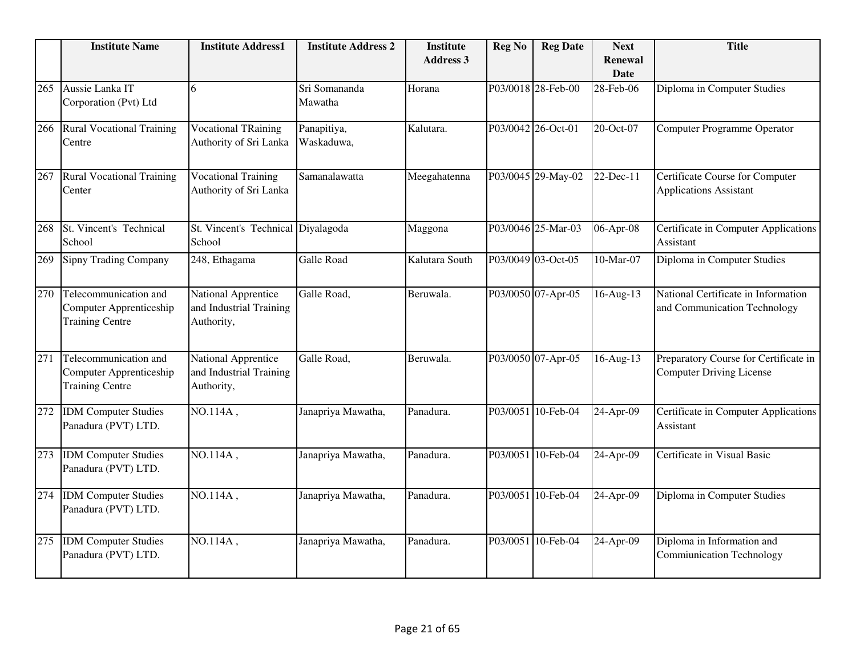|     | <b>Institute Name</b>                                                             | <b>Institute Address1</b>                                           | <b>Institute Address 2</b> | <b>Institute</b><br><b>Address 3</b> | <b>Reg No</b> | <b>Reg Date</b>    | <b>Next</b><br>Renewal | <b>Title</b>                                                             |
|-----|-----------------------------------------------------------------------------------|---------------------------------------------------------------------|----------------------------|--------------------------------------|---------------|--------------------|------------------------|--------------------------------------------------------------------------|
|     |                                                                                   |                                                                     |                            |                                      |               |                    | <b>Date</b>            |                                                                          |
| 265 | Aussie Lanka IT<br>Corporation (Pvt) Ltd                                          | 6                                                                   | Sri Somananda<br>Mawatha   | Horana                               |               | P03/0018 28-Feb-00 | 28-Feb-06              | Diploma in Computer Studies                                              |
| 266 | <b>Rural Vocational Training</b><br>Centre                                        | <b>Vocational TRaining</b><br>Authority of Sri Lanka                | Panapitiya,<br>Waskaduwa,  | Kalutara.                            |               | P03/0042 26-Oct-01 | 20-Oct-07              | <b>Computer Programme Operator</b>                                       |
| 267 | <b>Rural Vocational Training</b><br>Center                                        | <b>Vocational Training</b><br>Authority of Sri Lanka                | Samanalawatta              | Meegahatenna                         |               | P03/0045 29-May-02 | 22-Dec-11              | Certificate Course for Computer<br><b>Applications Assistant</b>         |
| 268 | St. Vincent's Technical<br>School                                                 | St. Vincent's Technical Diyalagoda<br>School                        |                            | Maggona                              |               | P03/0046 25-Mar-03 | 06-Apr-08              | <b>Certificate in Computer Applications</b><br>Assistant                 |
| 269 | <b>Sipny Trading Company</b>                                                      | 248, Ethagama                                                       | <b>Galle Road</b>          | Kalutara South                       |               | P03/0049 03-Oct-05 | 10-Mar-07              | Diploma in Computer Studies                                              |
| 270 | Telecommunication and<br>Computer Apprenticeship<br><b>Training Centre</b>        | National Apprentice<br>and Industrial Training<br>Authority,        | Galle Road,                | Beruwala.                            |               | P03/0050 07-Apr-05 | 16-Aug-13              | National Certificate in Information<br>and Communication Technology      |
| 271 | Telecommunication and<br><b>Computer Apprenticeship</b><br><b>Training Centre</b> | <b>National Apprentice</b><br>and Industrial Training<br>Authority, | Galle Road,                | Beruwala.                            |               | P03/0050 07-Apr-05 | $16$ -Aug-13           | Preparatory Course for Certificate in<br><b>Computer Driving License</b> |
| 272 | <b>IDM</b> Computer Studies<br>Panadura (PVT) LTD.                                | NO.114A,                                                            | Janapriya Mawatha,         | Panadura.                            |               | P03/0051 10-Feb-04 | 24-Apr-09              | Certificate in Computer Applications<br>Assistant                        |
| 273 | <b>IDM</b> Computer Studies<br>Panadura (PVT) LTD.                                | NO.114A,                                                            | Janapriya Mawatha,         | Panadura.                            |               | P03/0051 10-Feb-04 | 24-Apr-09              | Certificate in Visual Basic                                              |
| 274 | <b>IDM</b> Computer Studies<br>Panadura (PVT) LTD.                                | NO.114A,                                                            | Janapriya Mawatha,         | Panadura.                            |               | P03/0051 10-Feb-04 | 24-Apr-09              | Diploma in Computer Studies                                              |
| 275 | <b>IDM</b> Computer Studies<br>Panadura (PVT) LTD.                                | NO.114A,                                                            | Janapriya Mawatha,         | Panadura.                            |               | P03/0051 10-Feb-04 | 24-Apr-09              | Diploma in Information and<br><b>Commiunication Technology</b>           |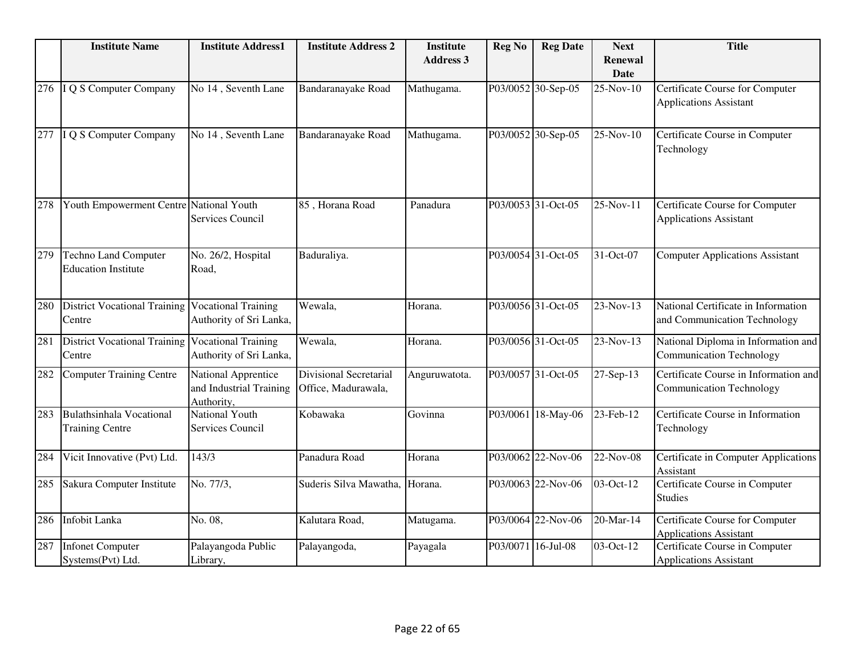|     | <b>Institute Name</b>                                     | <b>Institute Address1</b>                                    | <b>Institute Address 2</b>                    | <b>Institute</b> | <b>Reg No</b> | <b>Reg Date</b>    | <b>Next</b>                   | <b>Title</b>                                                             |
|-----|-----------------------------------------------------------|--------------------------------------------------------------|-----------------------------------------------|------------------|---------------|--------------------|-------------------------------|--------------------------------------------------------------------------|
|     |                                                           |                                                              |                                               | <b>Address 3</b> |               |                    | <b>Renewal</b><br><b>Date</b> |                                                                          |
| 276 | I Q S Computer Company                                    | No 14, Seventh Lane                                          | Bandaranayake Road                            | Mathugama.       |               | P03/0052 30-Sep-05 | 25-Nov-10                     | Certificate Course for Computer<br><b>Applications Assistant</b>         |
| 277 | Q S Computer Company                                      | No 14, Seventh Lane                                          | Bandaranayake Road                            | Mathugama.       |               | P03/0052 30-Sep-05 | 25-Nov-10                     | Certificate Course in Computer<br>Technology                             |
| 278 | Youth Empowerment Centre National Youth                   | Services Council                                             | 85, Horana Road                               | Panadura         |               | P03/0053 31-Oct-05 | 25-Nov-11                     | Certificate Course for Computer<br><b>Applications Assistant</b>         |
| 279 | <b>Techno Land Computer</b><br><b>Education Institute</b> | No. 26/2, Hospital<br>Road,                                  | Baduraliya.                                   |                  |               | P03/0054 31-Oct-05 | 31-Oct-07                     | <b>Computer Applications Assistant</b>                                   |
| 280 | <b>District Vocational Training</b><br>Centre             | <b>Vocational Training</b><br>Authority of Sri Lanka,        | Wewala,                                       | Horana.          |               | P03/0056 31-Oct-05 | 23-Nov-13                     | National Certificate in Information<br>and Communication Technology      |
| 281 | <b>District Vocational Training</b><br>Centre             | <b>Vocational Training</b><br>Authority of Sri Lanka,        | Wewala,                                       | Horana.          |               | P03/0056 31-Oct-05 | 23-Nov-13                     | National Diploma in Information and<br><b>Communication Technology</b>   |
| 282 | Computer Training Centre                                  | National Apprentice<br>and Industrial Training<br>Authority, | Divisional Secretarial<br>Office, Madurawala, | Anguruwatota.    |               | P03/0057 31-Oct-05 | 27-Sep-13                     | Certificate Course in Information and<br><b>Communication Technology</b> |
| 283 | <b>Bulathsinhala Vocational</b><br><b>Training Centre</b> | National Youth<br>Services Council                           | Kobawaka                                      | Govinna          |               | P03/0061 18-May-06 | 23-Feb-12                     | Certificate Course in Information<br>Technology                          |
| 284 | Vicit Innovative (Pvt) Ltd.                               | 143/3                                                        | Panadura Road                                 | Horana           |               | P03/0062 22-Nov-06 | 22-Nov-08                     | Certificate in Computer Applications<br>Assistant                        |
| 285 | Sakura Computer Institute                                 | No. 77/3,                                                    | Suderis Silva Mawatha, Horana.                |                  |               | P03/0063 22-Nov-06 | 03-Oct-12                     | Certificate Course in Computer<br><b>Studies</b>                         |
| 286 | Infobit Lanka                                             | No. 08,                                                      | Kalutara Road,                                | Matugama.        |               | P03/0064 22-Nov-06 | 20-Mar-14                     | Certificate Course for Computer<br><b>Applications Assistant</b>         |
| 287 | <b>Infonet Computer</b><br>Systems(Pvt) Ltd.              | Palayangoda Public<br>Library,                               | Palayangoda,                                  | Payagala         |               | P03/0071 16-Jul-08 | 03-Oct-12                     | Certificate Course in Computer<br><b>Applications Assistant</b>          |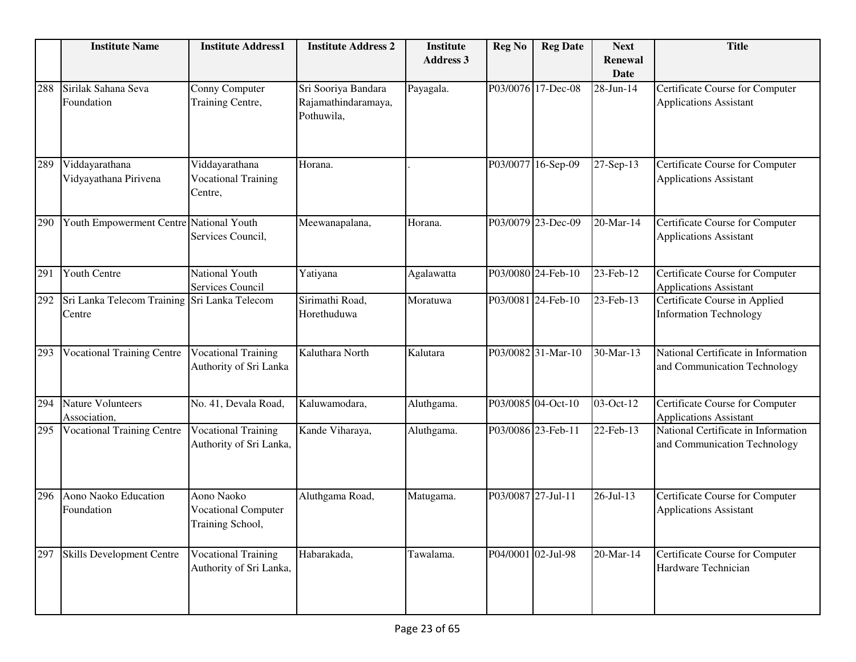|     | <b>Institute Name</b>                                  | <b>Institute Address1</b>                                    | <b>Institute Address 2</b>                               | <b>Institute</b><br><b>Address 3</b> | <b>Reg No</b>      | <b>Reg Date</b>    | <b>Next</b><br>Renewal<br><b>Date</b> | <b>Title</b>                                                        |
|-----|--------------------------------------------------------|--------------------------------------------------------------|----------------------------------------------------------|--------------------------------------|--------------------|--------------------|---------------------------------------|---------------------------------------------------------------------|
| 288 | Sirilak Sahana Seva<br>Foundation                      | Conny Computer<br>Training Centre,                           | Sri Sooriya Bandara<br>Rajamathindaramaya,<br>Pothuwila, | Payagala.                            |                    | P03/0076 17-Dec-08 | 28-Jun-14                             | Certificate Course for Computer<br><b>Applications Assistant</b>    |
| 289 | Viddayarathana<br>Vidyayathana Pirivena                | Viddayarathana<br><b>Vocational Training</b><br>Centre,      | Horana.                                                  |                                      |                    | P03/0077 16-Sep-09 | 27-Sep-13                             | Certificate Course for Computer<br><b>Applications Assistant</b>    |
| 290 | Youth Empowerment Centre National Youth                | Services Council,                                            | Meewanapalana,                                           | Horana.                              |                    | P03/0079 23-Dec-09 | 20-Mar-14                             | Certificate Course for Computer<br><b>Applications Assistant</b>    |
| 291 | Youth Centre                                           | National Youth<br>Services Council                           | Yatiyana                                                 | Agalawatta                           |                    | P03/0080 24-Feb-10 | 23-Feb-12                             | Certificate Course for Computer<br><b>Applications Assistant</b>    |
| 292 | Sri Lanka Telecom Training Sri Lanka Telecom<br>Centre |                                                              | Sirimathi Road,<br>Horethuduwa                           | Moratuwa                             |                    | P03/0081 24-Feb-10 | 23-Feb-13                             | Certificate Course in Applied<br><b>Information Technology</b>      |
| 293 | <b>Vocational Training Centre</b>                      | Vocational Training<br>Authority of Sri Lanka                | Kaluthara North                                          | Kalutara                             |                    | P03/0082 31-Mar-10 | 30-Mar-13                             | National Certificate in Information<br>and Communication Technology |
| 294 | <b>Nature Volunteers</b><br>Association,               | No. 41, Devala Road,                                         | Kaluwamodara,                                            | Aluthgama.                           |                    | P03/0085 04-Oct-10 | 03-Oct-12                             | Certificate Course for Computer<br><b>Applications Assistant</b>    |
| 295 | <b>Vocational Training Centre</b>                      | <b>Vocational Training</b><br>Authority of Sri Lanka,        | Kande Viharaya,                                          | Aluthgama.                           |                    | P03/0086 23-Feb-11 | 22-Feb-13                             | National Certificate in Information<br>and Communication Technology |
| 296 | Aono Naoko Education<br>Foundation                     | Aono Naoko<br><b>Vocational Computer</b><br>Training School, | Aluthgama Road,                                          | Matugama.                            | P03/0087 27-Jul-11 |                    | 26-Jul-13                             | Certificate Course for Computer<br><b>Applications Assistant</b>    |
| 297 | <b>Skills Development Centre</b>                       | <b>Vocational Training</b><br>Authority of Sri Lanka,        | Habarakada,                                              | Tawalama.                            |                    | P04/0001 02-Jul-98 | 20-Mar-14                             | Certificate Course for Computer<br>Hardware Technician              |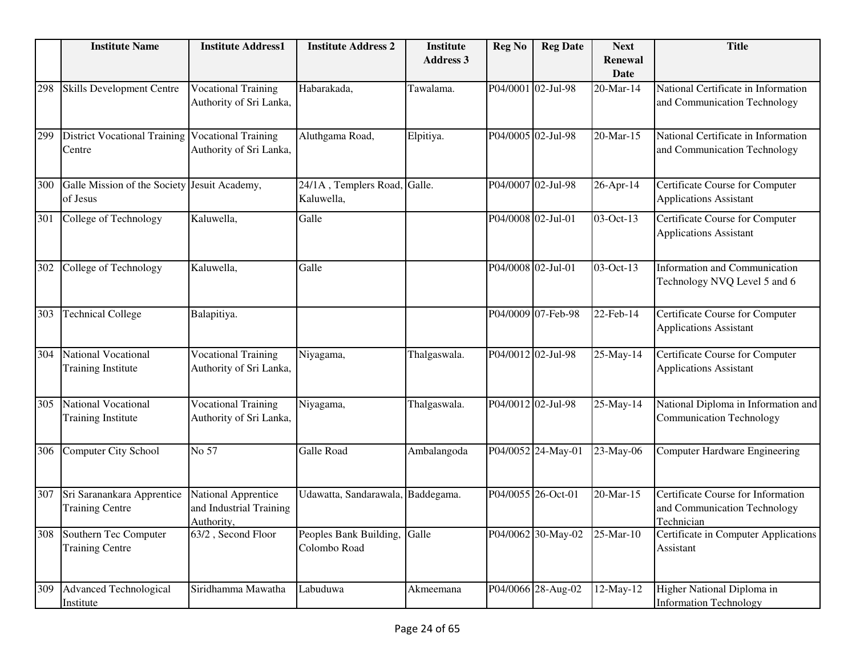|     | <b>Institute Name</b>                                      | <b>Institute Address1</b>                                    | <b>Institute Address 2</b>                 | <b>Institute</b><br><b>Address 3</b> | <b>Reg No</b>      | <b>Reg Date</b>    | <b>Next</b><br><b>Renewal</b> | <b>Title</b>                                                                     |
|-----|------------------------------------------------------------|--------------------------------------------------------------|--------------------------------------------|--------------------------------------|--------------------|--------------------|-------------------------------|----------------------------------------------------------------------------------|
|     |                                                            |                                                              |                                            |                                      |                    |                    | <b>Date</b>                   |                                                                                  |
| 298 | Skills Development Centre                                  | <b>Vocational Training</b><br>Authority of Sri Lanka,        | Habarakada,                                | Tawalama.                            |                    | P04/0001 02-Jul-98 | 20-Mar-14                     | National Certificate in Information<br>and Communication Technology              |
| 299 | District Vocational Training Vocational Training<br>Centre | Authority of Sri Lanka,                                      | Aluthgama Road,                            | Elpitiya.                            |                    | P04/0005 02-Jul-98 | 20-Mar-15                     | National Certificate in Information<br>and Communication Technology              |
| 300 | Galle Mission of the Society Jesuit Academy,<br>of Jesus   |                                                              | 24/1A, Templers Road, Galle.<br>Kaluwella, |                                      |                    | P04/0007 02-Jul-98 | 26-Apr-14                     | Certificate Course for Computer<br><b>Applications Assistant</b>                 |
| 301 | College of Technology                                      | Kaluwella,                                                   | Galle                                      |                                      | P04/0008 02-Jul-01 |                    | 03-Oct-13                     | Certificate Course for Computer<br><b>Applications Assistant</b>                 |
| 302 | College of Technology                                      | Kaluwella,                                                   | Galle                                      |                                      | P04/0008 02-Jul-01 |                    | 03-Oct-13                     | Information and Communication<br>Technology NVQ Level 5 and 6                    |
| 303 | <b>Technical College</b>                                   | Balapitiya.                                                  |                                            |                                      |                    | P04/0009 07-Feb-98 | 22-Feb-14                     | Certificate Course for Computer<br><b>Applications Assistant</b>                 |
| 304 | National Vocational<br><b>Training Institute</b>           | <b>Vocational Training</b><br>Authority of Sri Lanka,        | Niyagama,                                  | Thalgaswala.                         |                    | P04/0012 02-Jul-98 | 25-May-14                     | Certificate Course for Computer<br><b>Applications Assistant</b>                 |
| 305 | National Vocational<br><b>Training Institute</b>           | <b>Vocational Training</b><br>Authority of Sri Lanka,        | Niyagama,                                  | Thalgaswala.                         |                    | P04/0012 02-Jul-98 | 25-May-14                     | National Diploma in Information and<br><b>Communication Technology</b>           |
| 306 | Computer City School                                       | No 57                                                        | Galle Road                                 | Ambalangoda                          |                    | P04/0052 24-May-01 | 23-May-06                     | <b>Computer Hardware Engineering</b>                                             |
| 307 | Sri Saranankara Apprentice<br><b>Training Centre</b>       | National Apprentice<br>and Industrial Training<br>Authority, | Udawatta, Sandarawala,                     | Baddegama.                           |                    | P04/0055 26-Oct-01 | 20-Mar-15                     | Certificate Course for Information<br>and Communication Technology<br>Technician |
| 308 | Southern Tec Computer<br><b>Training Centre</b>            | 63/2, Second Floor                                           | Peoples Bank Building,<br>Colombo Road     | Galle                                |                    | P04/0062 30-May-02 | 25-Mar-10                     | Certificate in Computer Applications<br>Assistant                                |
| 309 | <b>Advanced Technological</b><br>Institute                 | Siridhamma Mawatha                                           | Labuduwa                                   | Akmeemana                            |                    | P04/0066 28-Aug-02 | 12-May-12                     | Higher National Diploma in<br><b>Information Technology</b>                      |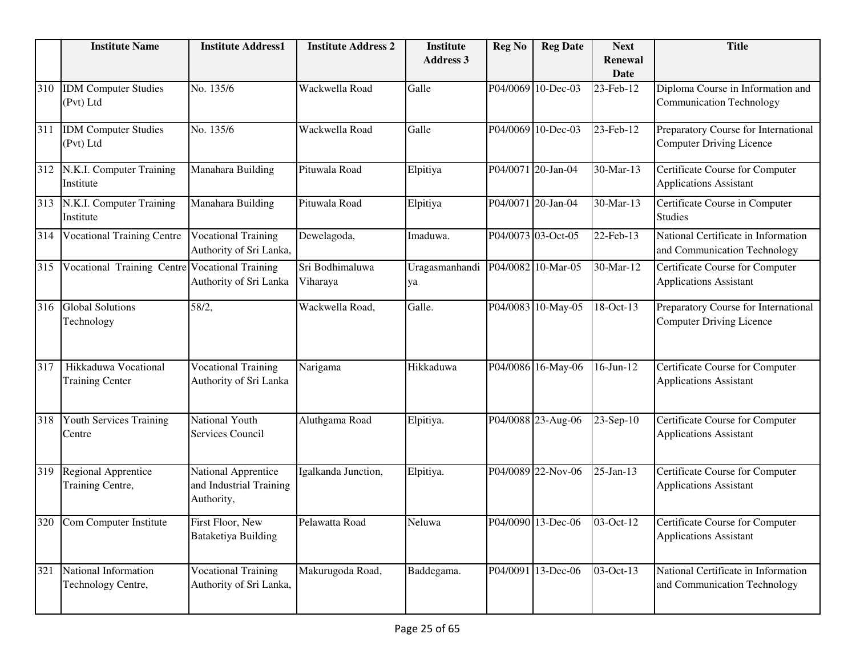|     | <b>Institute Name</b>                          | <b>Institute Address1</b>                                    | <b>Institute Address 2</b>  | <b>Institute</b><br><b>Address 3</b> | <b>Reg No</b> | <b>Reg Date</b>    | <b>Next</b><br><b>Renewal</b> | <b>Title</b>                                                            |
|-----|------------------------------------------------|--------------------------------------------------------------|-----------------------------|--------------------------------------|---------------|--------------------|-------------------------------|-------------------------------------------------------------------------|
|     |                                                |                                                              |                             |                                      |               |                    | <b>Date</b>                   |                                                                         |
| 310 | <b>IDM</b> Computer Studies<br>(Pvt) Ltd       | No. 135/6                                                    | Wackwella Road              | Galle                                |               | P04/0069 10-Dec-03 | 23-Feb-12                     | Diploma Course in Information and<br><b>Communication Technology</b>    |
| 311 | <b>IDM</b> Computer Studies<br>(Pvt) Ltd       | No. 135/6                                                    | Wackwella Road              | Galle                                |               | P04/0069 10-Dec-03 | 23-Feb-12                     | Preparatory Course for International<br><b>Computer Driving Licence</b> |
| 312 | N.K.I. Computer Training<br>Institute          | Manahara Building                                            | Pituwala Road               | Elpitiya                             |               | P04/0071 20-Jan-04 | 30-Mar-13                     | Certificate Course for Computer<br><b>Applications Assistant</b>        |
| 313 | N.K.I. Computer Training<br>Institute          | Manahara Building                                            | Pituwala Road               | Elpitiya                             |               | P04/0071 20-Jan-04 | 30-Mar-13                     | Certificate Course in Computer<br><b>Studies</b>                        |
| 314 | <b>Vocational Training Centre</b>              | <b>Vocational Training</b><br>Authority of Sri Lanka,        | Dewelagoda,                 | Imaduwa.                             |               | P04/0073 03-Oct-05 | 22-Feb-13                     | National Certificate in Information<br>and Communication Technology     |
| 315 | Vocational Training Centre                     | <b>Vocational Training</b><br>Authority of Sri Lanka         | Sri Bodhimaluwa<br>Viharaya | Uragasmanhandi<br>ya                 |               | P04/0082 10-Mar-05 | 30-Mar-12                     | Certificate Course for Computer<br><b>Applications Assistant</b>        |
| 316 | <b>Global Solutions</b><br>Technology          | 58/2,                                                        | Wackwella Road,             | Galle.                               |               | P04/0083 10-May-05 | 18-Oct-13                     | Preparatory Course for International<br><b>Computer Driving Licence</b> |
| 317 | Hikkaduwa Vocational<br><b>Training Center</b> | <b>Vocational Training</b><br>Authority of Sri Lanka         | Narigama                    | Hikkaduwa                            |               | P04/0086 16-May-06 | $16$ -Jun- $12$               | Certificate Course for Computer<br><b>Applications Assistant</b>        |
| 318 | Youth Services Training<br>Centre              | National Youth<br>Services Council                           | Aluthgama Road              | Elpitiya.                            |               | P04/0088 23-Aug-06 | 23-Sep-10                     | Certificate Course for Computer<br><b>Applications Assistant</b>        |
| 319 | <b>Regional Apprentice</b><br>Training Centre, | National Apprentice<br>and Industrial Training<br>Authority, | Igalkanda Junction,         | Elpitiya.                            |               | P04/0089 22-Nov-06 | $25$ -Jan-13                  | Certificate Course for Computer<br><b>Applications Assistant</b>        |
|     | 320 Com Computer Institute                     | First Floor, New<br>Bataketiya Building                      | Pelawatta Road              | Neluwa                               |               | P04/0090 13-Dec-06 | $\sqrt{03-Oct-12}$            | Certificate Course for Computer<br><b>Applications Assistant</b>        |
| 321 | National Information<br>Technology Centre,     | <b>Vocational Training</b><br>Authority of Sri Lanka,        | Makurugoda Road,            | Baddegama.                           |               | P04/0091 13-Dec-06 | 03-Oct-13                     | National Certificate in Information<br>and Communication Technology     |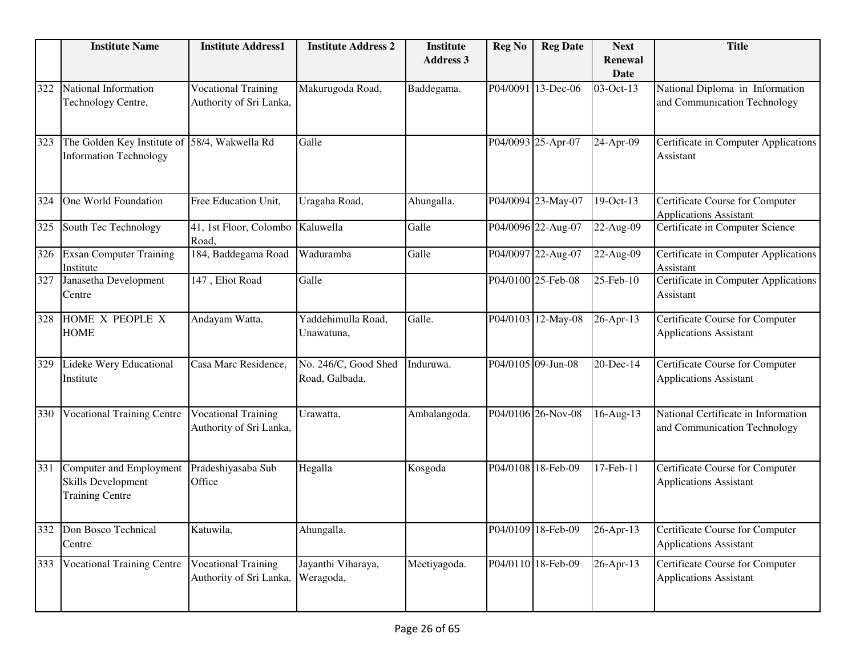|     | <b>Institute Name</b>                                                          | <b>Institute Address1</b>                             | <b>Institute Address 2</b>             | <b>Institute</b> | <b>Reg No</b> | <b>Reg Date</b>    | <b>Next</b>     | <b>Title</b>                                                        |
|-----|--------------------------------------------------------------------------------|-------------------------------------------------------|----------------------------------------|------------------|---------------|--------------------|-----------------|---------------------------------------------------------------------|
|     |                                                                                |                                                       |                                        | <b>Address 3</b> |               |                    | Renewal<br>Date |                                                                     |
| 322 | National Information<br>Technology Centre,                                     | <b>Vocational Training</b><br>Authority of Sri Lanka, | Makurugoda Road,                       | Baddegama.       |               | P04/0091 13-Dec-06 | 03-Oct-13       | National Diploma in Information<br>and Communication Technology     |
| 323 | The Golden Key Institute of<br><b>Information Technology</b>                   | 58/4, Wakwella Rd                                     | Galle                                  |                  |               | P04/0093 25-Apr-07 | 24-Apr-09       | Certificate in Computer Applications<br>Assistant                   |
| 324 | One World Foundation                                                           | Free Education Unit,                                  | Uragaha Road,                          | Ahungalla.       |               | P04/0094 23-May-07 | 19-Oct-13       | Certificate Course for Computer<br><b>Applications Assistant</b>    |
| 325 | South Tec Technology                                                           | 41, 1st Floor, Colombo<br>Road,                       | Kaluwella                              | Galle            |               | P04/0096 22-Aug-07 | 22-Aug-09       | Certificate in Computer Science                                     |
| 326 | <b>Exsan Computer Training</b><br>Institute                                    | 184, Baddegama Road                                   | Waduramba                              | Galle            |               | P04/0097 22-Aug-07 | 22-Aug-09       | Certificate in Computer Applications<br>Assistant                   |
| 327 | Janasetha Development<br>Centre                                                | 147, Eliot Road                                       | Galle                                  |                  |               | P04/0100 25-Feb-08 | 25-Feb-10       | Certificate in Computer Applications<br>Assistant                   |
| 328 | HOME X PEOPLE X<br><b>HOME</b>                                                 | Andayam Watta,                                        | Yaddehimulla Road,<br>Unawatuna,       | Galle.           |               | P04/0103 12-May-08 | 26-Apr-13       | Certificate Course for Computer<br><b>Applications Assistant</b>    |
| 329 | Lideke Wery Educational<br>Institute                                           | Casa Marc Residence,                                  | No. 246/C, Good Shed<br>Road, Galbada, | Induruwa.        |               | P04/0105 09-Jun-08 | 20-Dec-14       | Certificate Course for Computer<br><b>Applications Assistant</b>    |
| 330 | <b>Vocational Training Centre</b>                                              | <b>Vocational Training</b><br>Authority of Sri Lanka, | Urawatta,                              | Ambalangoda.     |               | P04/0106 26-Nov-08 | 16-Aug-13       | National Certificate in Information<br>and Communication Technology |
| 331 | Computer and Employment<br><b>Skills Development</b><br><b>Training Centre</b> | Pradeshiyasaba Sub<br>Office                          | Hegalla                                | Kosgoda          |               | P04/0108 18-Feb-09 | 17-Feb-11       | Certificate Course for Computer<br><b>Applications Assistant</b>    |
| 332 | Don Bosco Technical<br>Centre                                                  | Katuwila,                                             | Ahungalla.                             |                  |               | P04/0109 18-Feb-09 | 26-Apr-13       | Certificate Course for Computer<br><b>Applications Assistant</b>    |
| 333 | <b>Vocational Training Centre</b>                                              | <b>Vocational Training</b><br>Authority of Sri Lanka, | Jayanthi Viharaya,<br>Weragoda,        | Meetiyagoda.     |               | P04/0110 18-Feb-09 | 26-Apr-13       | Certificate Course for Computer<br><b>Applications Assistant</b>    |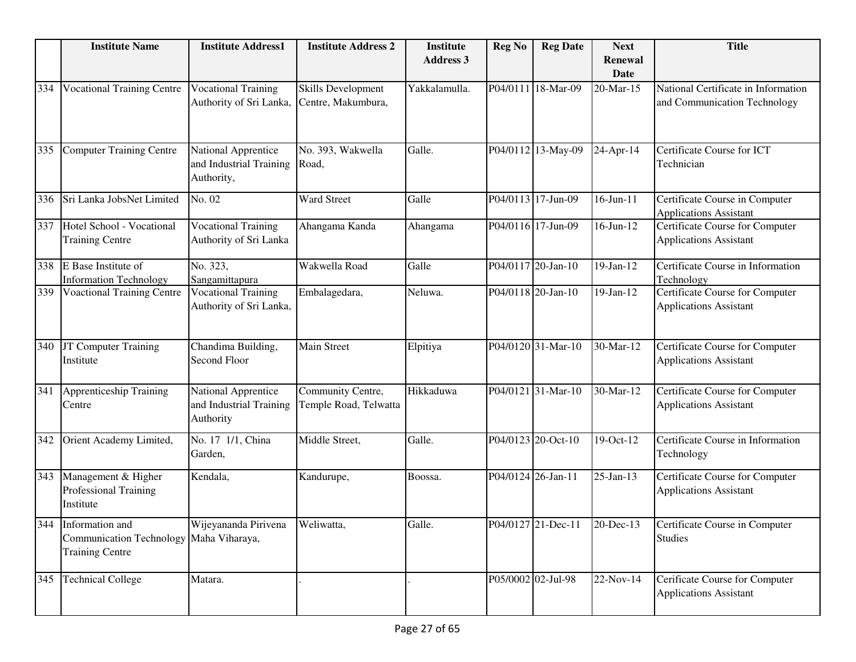|     | <b>Institute Name</b>                                                                    | <b>Institute Address1</b>                                    | <b>Institute Address 2</b>                      | <b>Institute</b><br><b>Address 3</b> | <b>Reg No</b> | <b>Reg Date</b>              | <b>Next</b><br><b>Renewal</b> | <b>Title</b>                                                        |
|-----|------------------------------------------------------------------------------------------|--------------------------------------------------------------|-------------------------------------------------|--------------------------------------|---------------|------------------------------|-------------------------------|---------------------------------------------------------------------|
|     |                                                                                          |                                                              |                                                 |                                      |               |                              | <b>Date</b>                   |                                                                     |
| 334 | <b>Vocational Training Centre</b>                                                        | <b>Vocational Training</b><br>Authority of Sri Lanka,        | <b>Skills Development</b><br>Centre, Makumbura, | Yakkalamulla.                        |               | P04/0111 18-Mar-09           | 20-Mar-15                     | National Certificate in Information<br>and Communication Technology |
| 335 | <b>Computer Training Centre</b>                                                          | National Apprentice<br>and Industrial Training<br>Authority, | No. 393, Wakwella<br>Road,                      | Galle.                               |               | P04/0112 13-May-09           | 24-Apr-14                     | Certificate Course for ICT<br>Technician                            |
| 336 | Sri Lanka JobsNet Limited                                                                | No. 02                                                       | Ward Street                                     | Galle                                |               | P04/0113 17-Jun-09           | $16$ -Jun- $11$               | Certificate Course in Computer<br><b>Applications Assistant</b>     |
| 337 | Hotel School - Vocational<br><b>Training Centre</b>                                      | <b>Vocational Training</b><br>Authority of Sri Lanka         | Ahangama Kanda                                  | Ahangama                             |               | P04/0116 17-Jun-09           | $16$ -Jun- $12$               | Certificate Course for Computer<br><b>Applications Assistant</b>    |
| 338 | E Base Institute of<br><b>Information Technology</b>                                     | No. 323,<br>Sangamittapura                                   | Wakwella Road                                   | Galle                                |               | P04/0117 20-Jan-10           | $19$ -Jan- $12$               | Certificate Course in Information<br>Technology                     |
| 339 | <b>Voactional Training Centre</b>                                                        | <b>Vocational Training</b><br>Authority of Sri Lanka,        | Embalagedara,                                   | Neluwa.                              |               | P04/0118 20-Jan-10           | $19-Jan-12$                   | Certificate Course for Computer<br><b>Applications Assistant</b>    |
| 340 | JT Computer Training<br>Institute                                                        | Chandima Building,<br>Second Floor                           | <b>Main Street</b>                              | Elpitiya                             |               | P04/0120 31-Mar-10           | 30-Mar-12                     | Certificate Course for Computer<br><b>Applications Assistant</b>    |
| 341 | <b>Apprenticeship Training</b><br>Centre                                                 | National Apprentice<br>and Industrial Training<br>Authority  | Community Centre,<br>Temple Road, Telwatta      | Hikkaduwa                            |               | P04/0121 31-Mar-10           | 30-Mar-12                     | Certificate Course for Computer<br><b>Applications Assistant</b>    |
| 342 | Orient Academy Limited,                                                                  | No. 17 1/1, China<br>Garden,                                 | Middle Street,                                  | Galle.                               |               | P04/0123 20-Oct-10           | 19-Oct-12                     | Certificate Course in Information<br>Technology                     |
| 343 | Management & Higher<br>Professional Training<br>Institute                                | Kendala,                                                     | Kandurupe,                                      | Boossa.                              |               | P04/0124 26-Jan-11           | $25$ -Jan-13                  | Certificate Course for Computer<br><b>Applications Assistant</b>    |
|     | 344 Information and<br>Communication Technology Maha Viharaya,<br><b>Training Centre</b> | Wijeyananda Pirivena                                         | Weliwatta,                                      | Galle.                               |               | P04/0127 21-Dec-11 20-Dec-13 |                               | Certificate Course in Computer<br><b>Studies</b>                    |
| 345 | <b>Technical College</b>                                                                 | Matara.                                                      |                                                 |                                      |               | P05/0002 02-Jul-98           | 22-Nov-14                     | Cerificate Course for Computer<br><b>Applications Assistant</b>     |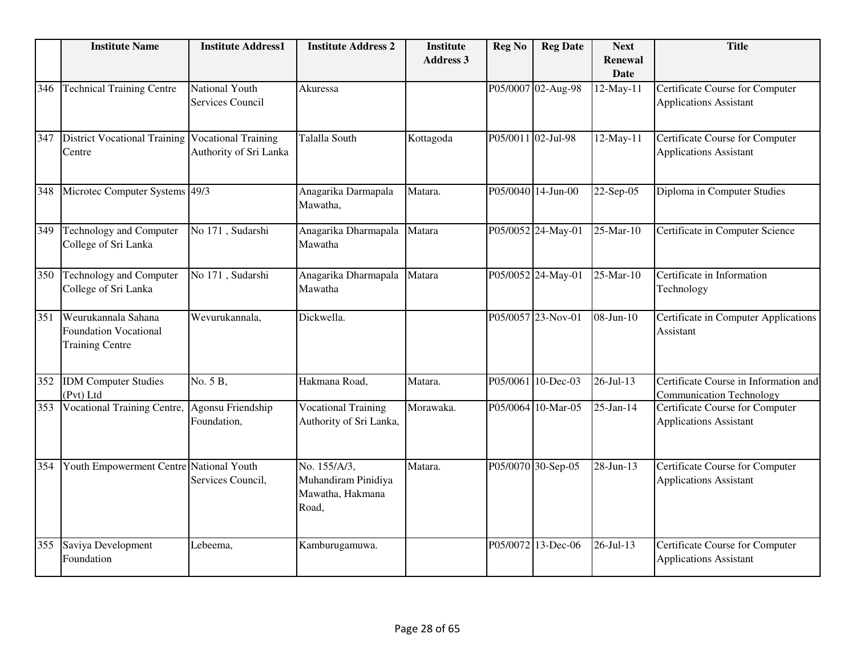|     | <b>Institute Name</b>                                                         | <b>Institute Address1</b>                            | <b>Institute Address 2</b>                                       | <b>Institute</b><br><b>Address 3</b> | <b>Reg No</b>      | <b>Reg Date</b>    | <b>Next</b><br><b>Renewal</b><br><b>Date</b> | <b>Title</b>                                                             |
|-----|-------------------------------------------------------------------------------|------------------------------------------------------|------------------------------------------------------------------|--------------------------------------|--------------------|--------------------|----------------------------------------------|--------------------------------------------------------------------------|
| 346 | <b>Technical Training Centre</b>                                              | National Youth<br><b>Services Council</b>            | Akuressa                                                         |                                      |                    | P05/0007 02-Aug-98 | 12-May-11                                    | Certificate Course for Computer<br><b>Applications Assistant</b>         |
| 347 | <b>District Vocational Training</b><br>Centre                                 | <b>Vocational Training</b><br>Authority of Sri Lanka | <b>Talalla South</b>                                             | Kottagoda                            | P05/0011 02-Jul-98 |                    | 12-May-11                                    | Certificate Course for Computer<br><b>Applications Assistant</b>         |
| 348 | Microtec Computer Systems 49/3                                                |                                                      | Anagarika Darmapala<br>Mawatha,                                  | Matara.                              |                    | P05/0040 14-Jun-00 | 22-Sep-05                                    | Diploma in Computer Studies                                              |
| 349 | <b>Technology and Computer</b><br>College of Sri Lanka                        | No 171, Sudarshi                                     | Anagarika Dharmapala<br>Mawatha                                  | Matara                               |                    | P05/0052 24-May-01 | 25-Mar-10                                    | Certificate in Computer Science                                          |
| 350 | Technology and Computer<br>College of Sri Lanka                               | No 171, Sudarshi                                     | Anagarika Dharmapala<br>Mawatha                                  | Matara                               |                    | P05/0052 24-May-01 | 25-Mar-10                                    | Certificate in Information<br>Technology                                 |
| 351 | Weurukannala Sahana<br><b>Foundation Vocational</b><br><b>Training Centre</b> | Wevurukannala,                                       | Dickwella.                                                       |                                      |                    | P05/0057 23-Nov-01 | $08-Jun-10$                                  | Certificate in Computer Applications<br>Assistant                        |
| 352 | <b>IDM</b> Computer Studies<br>(Pvt) Ltd                                      | No. 5 B,                                             | Hakmana Road,                                                    | Matara.                              |                    | P05/0061 10-Dec-03 | 26-Jul-13                                    | Certificate Course in Information and<br><b>Communication Technology</b> |
| 353 | <b>Vocational Training Centre,</b>                                            | Agonsu Friendship<br>Foundation,                     | <b>Vocational Training</b><br>Authority of Sri Lanka,            | Morawaka.                            |                    | P05/0064 10-Mar-05 | 25-Jan-14                                    | Certificate Course for Computer<br><b>Applications Assistant</b>         |
| 354 | Youth Empowerment Centre National Youth                                       | Services Council,                                    | No. 155/A/3,<br>Muhandiram Pinidiya<br>Mawatha, Hakmana<br>Road, | Matara.                              |                    | P05/0070 30-Sep-05 | 28-Jun-13                                    | Certificate Course for Computer<br><b>Applications Assistant</b>         |
| 355 | Saviya Development<br>Foundation                                              | Lebeema,                                             | Kamburugamuwa.                                                   |                                      |                    | P05/0072 13-Dec-06 | $26$ -Jul-13                                 | <b>Certificate Course for Computer</b><br><b>Applications Assistant</b>  |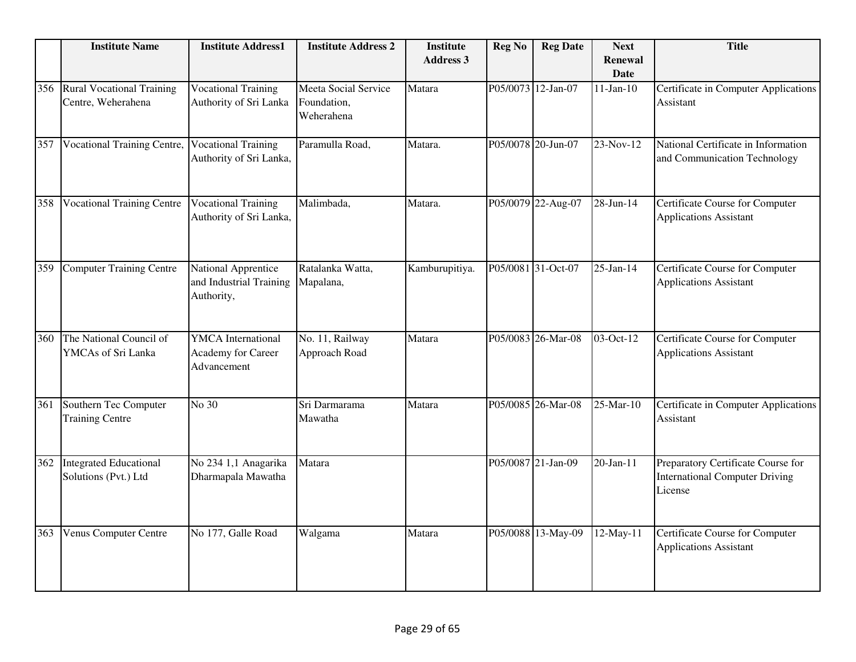|     | <b>Institute Name</b>                                  | <b>Institute Address1</b>                                      | <b>Institute Address 2</b>                        | <b>Institute</b><br><b>Address 3</b> | <b>Reg No</b> | <b>Reg Date</b>    | <b>Next</b><br>Renewal<br><b>Date</b> | <b>Title</b>                                                                           |
|-----|--------------------------------------------------------|----------------------------------------------------------------|---------------------------------------------------|--------------------------------------|---------------|--------------------|---------------------------------------|----------------------------------------------------------------------------------------|
| 356 | <b>Rural Vocational Training</b><br>Centre, Weherahena | <b>Vocational Training</b><br>Authority of Sri Lanka           | Meeta Social Service<br>Foundation,<br>Weherahena | Matara                               |               | P05/0073 12-Jan-07 | $11-Jan-10$                           | Certificate in Computer Applications<br>Assistant                                      |
| 357 | <b>Vocational Training Centre,</b>                     | <b>Vocational Training</b><br>Authority of Sri Lanka,          | Paramulla Road,                                   | Matara.                              |               | P05/0078 20-Jun-07 | 23-Nov-12                             | National Certificate in Information<br>and Communication Technology                    |
| 358 | <b>Vocational Training Centre</b>                      | <b>Vocational Training</b><br>Authority of Sri Lanka,          | Malimbada,                                        | Matara.                              |               | P05/0079 22-Aug-07 | 28-Jun-14                             | Certificate Course for Computer<br><b>Applications Assistant</b>                       |
| 359 | <b>Computer Training Centre</b>                        | National Apprentice<br>and Industrial Training<br>Authority,   | Ratalanka Watta,<br>Mapalana,                     | Kamburupitiya.                       |               | P05/0081 31-Oct-07 | 25-Jan-14                             | Certificate Course for Computer<br><b>Applications Assistant</b>                       |
| 360 | The National Council of<br>YMCAs of Sri Lanka          | <b>YMCA</b> International<br>Academy for Career<br>Advancement | No. 11, Railway<br>Approach Road                  | Matara                               |               | P05/0083 26-Mar-08 | 03-Oct-12                             | Certificate Course for Computer<br><b>Applications Assistant</b>                       |
| 361 | Southern Tec Computer<br><b>Training Centre</b>        | No 30                                                          | Sri Darmarama<br>Mawatha                          | Matara                               |               | P05/0085 26-Mar-08 | 25-Mar-10                             | Certificate in Computer Applications<br>Assistant                                      |
| 362 | <b>Integrated Educational</b><br>Solutions (Pvt.) Ltd  | No 234 1,1 Anagarika<br>Dharmapala Mawatha                     | Matara                                            |                                      |               | P05/0087 21-Jan-09 | $20$ -Jan-11                          | Preparatory Certificate Course for<br><b>International Computer Driving</b><br>License |
| 363 | Venus Computer Centre                                  | No 177, Galle Road                                             | Walgama                                           | Matara                               |               | P05/0088 13-May-09 | 12-May-11                             | Certificate Course for Computer<br><b>Applications Assistant</b>                       |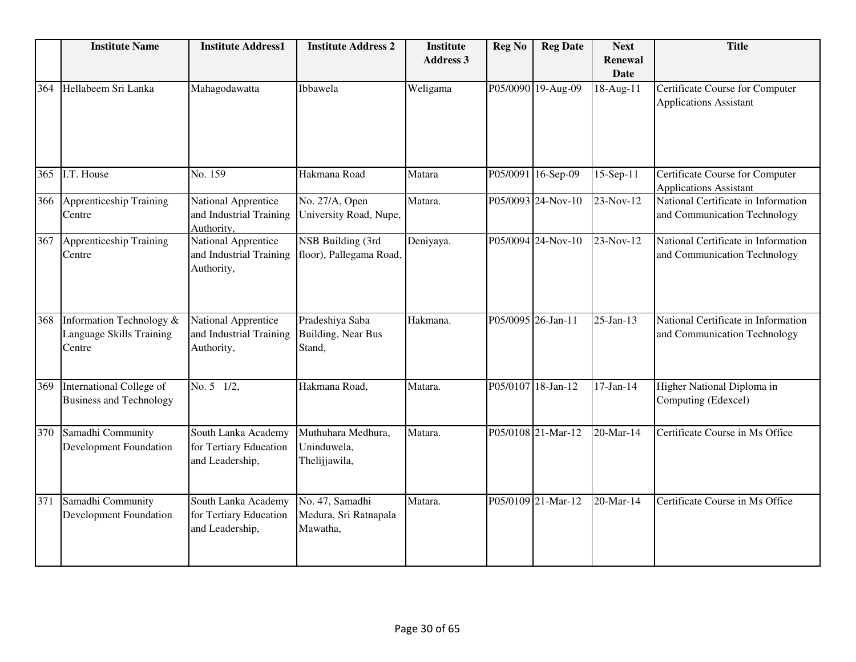|     | <b>Institute Name</b>                                          | <b>Institute Address1</b>                                           | <b>Institute Address 2</b>                           | <b>Institute</b><br><b>Address 3</b> | <b>Reg No</b>      | <b>Reg Date</b>    | <b>Next</b><br><b>Renewal</b><br><b>Date</b> | <b>Title</b>                                                        |
|-----|----------------------------------------------------------------|---------------------------------------------------------------------|------------------------------------------------------|--------------------------------------|--------------------|--------------------|----------------------------------------------|---------------------------------------------------------------------|
| 364 | Hellabeem Sri Lanka                                            | Mahagodawatta                                                       | Ibbawela                                             | Weligama                             |                    | P05/0090 19-Aug-09 | 18-Aug-11                                    | Certificate Course for Computer<br><b>Applications Assistant</b>    |
| 365 | I.T. House                                                     | No. 159                                                             | Hakmana Road                                         | Matara                               | P05/0091           | 16-Sep-09          | 15-Sep-11                                    | Certificate Course for Computer<br><b>Applications Assistant</b>    |
| 366 | <b>Apprenticeship Training</b><br>Centre                       | National Apprentice<br>and Industrial Training<br>Authority,        | No. 27/A, Open<br>University Road, Nupe,             | Matara.                              |                    | P05/0093 24-Nov-10 | $23-Nov-12$                                  | National Certificate in Information<br>and Communication Technology |
| 367 | Apprenticeship Training<br>Centre                              | National Apprentice<br>and Industrial Training<br>Authority,        | NSB Building (3rd<br>floor), Pallegama Road,         | Deniyaya.                            |                    | P05/0094 24-Nov-10 | 23-Nov-12                                    | National Certificate in Information<br>and Communication Technology |
| 368 | Information Technology &<br>Language Skills Training<br>Centre | <b>National Apprentice</b><br>and Industrial Training<br>Authority, | Pradeshiya Saba<br>Building, Near Bus<br>Stand,      | Hakmana.                             | P05/0095 26-Jan-11 |                    | $25$ -Jan-13                                 | National Certificate in Information<br>and Communication Technology |
| 369 | International College of<br><b>Business and Technology</b>     | No. 5 1/2,                                                          | Hakmana Road,                                        | Matara.                              |                    | P05/0107 18-Jan-12 | $17-Jan-14$                                  | Higher National Diploma in<br>Computing (Edexcel)                   |
| 370 | Samadhi Community<br>Development Foundation                    | South Lanka Academy<br>for Tertiary Education<br>and Leadership,    | Muthuhara Medhura,<br>Uninduwela,<br>Thelijjawila,   | Matara.                              |                    | P05/0108 21-Mar-12 | 20-Mar-14                                    | Certificate Course in Ms Office                                     |
| 371 | Samadhi Community<br><b>Development Foundation</b>             | South Lanka Academy<br>for Tertiary Education<br>and Leadership,    | No. 47, Samadhi<br>Medura, Sri Ratnapala<br>Mawatha, | Matara.                              |                    | P05/0109 21-Mar-12 | $20$ -Mar-14                                 | Certificate Course in Ms Office                                     |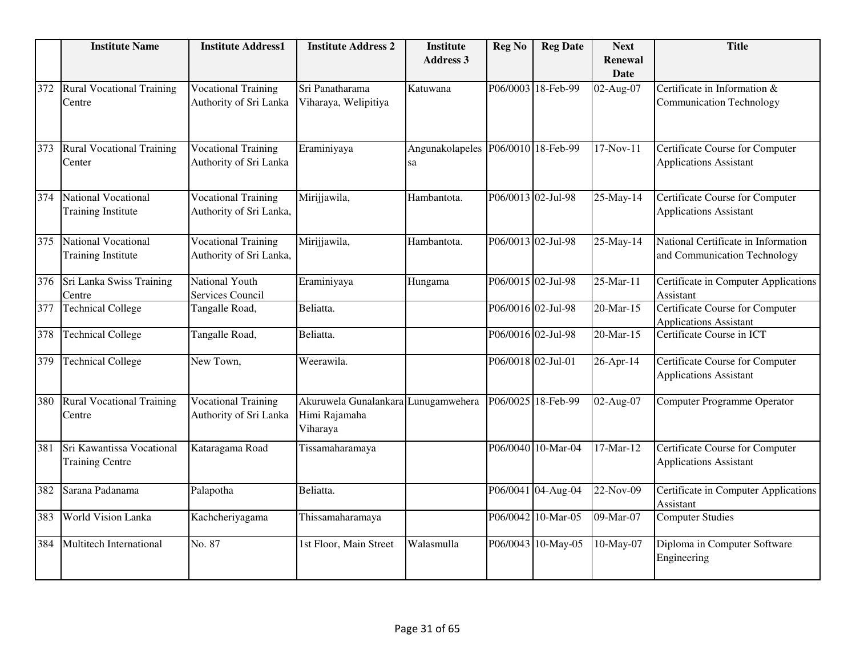|     | <b>Institute Name</b>                               | <b>Institute Address1</b>                             | <b>Institute Address 2</b>                                       | <b>Institute</b><br><b>Address 3</b>     | <b>Reg No</b> | <b>Reg Date</b>    | <b>Next</b><br>Renewal | <b>Title</b>                                                            |
|-----|-----------------------------------------------------|-------------------------------------------------------|------------------------------------------------------------------|------------------------------------------|---------------|--------------------|------------------------|-------------------------------------------------------------------------|
|     |                                                     |                                                       |                                                                  |                                          |               |                    | Date                   |                                                                         |
| 372 | <b>Rural Vocational Training</b><br>Centre          | <b>Vocational Training</b><br>Authority of Sri Lanka  | Sri Panatharama<br>Viharaya, Welipitiya                          | Katuwana                                 |               | P06/0003 18-Feb-99 | 02-Aug-07              | Certificate in Information &<br><b>Communication Technology</b>         |
| 373 | <b>Rural Vocational Training</b><br>Center          | <b>Vocational Training</b><br>Authority of Sri Lanka  | Eraminiyaya                                                      | Angunakolapeles P06/0010 18-Feb-99<br>sa |               |                    | 17-Nov-11              | Certificate Course for Computer<br><b>Applications Assistant</b>        |
| 374 | National Vocational<br><b>Training Institute</b>    | <b>Vocational Training</b><br>Authority of Sri Lanka, | Mirijjawila,                                                     | Hambantota.                              |               | P06/0013 02-Jul-98 | 25-May-14              | <b>Certificate Course for Computer</b><br><b>Applications Assistant</b> |
| 375 | National Vocational<br><b>Training Institute</b>    | <b>Vocational Training</b><br>Authority of Sri Lanka, | Mirijjawila,                                                     | Hambantota.                              |               | P06/0013 02-Jul-98 | 25-May-14              | National Certificate in Information<br>and Communication Technology     |
| 376 | Sri Lanka Swiss Training<br>Centre                  | <b>National Youth</b><br>Services Council             | Eraminiyaya                                                      | Hungama                                  |               | P06/0015 02-Jul-98 | $25$ -Mar-11           | Certificate in Computer Applications<br>Assistant                       |
| 377 | <b>Technical College</b>                            | Tangalle Road,                                        | Beliatta.                                                        |                                          |               | P06/0016 02-Jul-98 | 20-Mar-15              | <b>Certificate Course for Computer</b><br><b>Applications Assistant</b> |
| 378 | <b>Technical College</b>                            | Tangalle Road,                                        | Beliatta.                                                        |                                          |               | P06/0016 02-Jul-98 | 20-Mar-15              | Certificate Course in ICT                                               |
| 379 | <b>Technical College</b>                            | New Town,                                             | Weerawila.                                                       |                                          |               | P06/0018 02-Jul-01 | 26-Apr-14              | Certificate Course for Computer<br><b>Applications Assistant</b>        |
| 380 | <b>Rural Vocational Training</b><br>Centre          | <b>Vocational Training</b><br>Authority of Sri Lanka  | Akuruwela Gunalankara Lunugamwehera<br>Himi Rajamaha<br>Viharaya |                                          |               | P06/0025 18-Feb-99 | 02-Aug-07              | <b>Computer Programme Operator</b>                                      |
| 381 | Sri Kawantissa Vocational<br><b>Training Centre</b> | Kataragama Road                                       | Tissamaharamaya                                                  |                                          |               | P06/0040 10-Mar-04 | 17-Mar-12              | <b>Certificate Course for Computer</b><br><b>Applications Assistant</b> |
| 382 | Sarana Padanama                                     | Palapotha                                             | Beliatta.                                                        |                                          |               | P06/0041 04-Aug-04 | 22-Nov-09              | Certificate in Computer Applications<br>Assistant                       |
| 383 | World Vision Lanka                                  | Kachcheriyagama                                       | Thissamaharamaya                                                 |                                          |               | P06/0042 10-Mar-05 | 09-Mar-07              | <b>Computer Studies</b>                                                 |
| 384 | <b>Multitech International</b>                      | No. 87                                                | 1st Floor, Main Street                                           | Walasmulla                               |               | P06/0043 10-May-05 | 10-May-07              | Diploma in Computer Software<br>Engineering                             |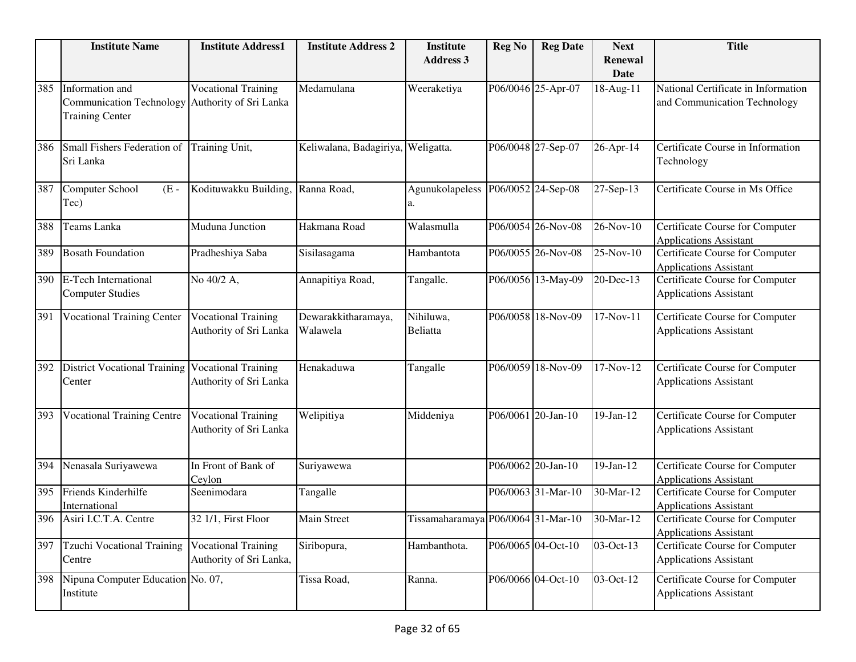|     | <b>Institute Name</b>                                                        | <b>Institute Address1</b>                             | <b>Institute Address 2</b>         | <b>Institute</b><br><b>Address 3</b> | <b>Reg No</b> | <b>Reg Date</b>    | <b>Next</b><br>Renewal | <b>Title</b>                                                            |
|-----|------------------------------------------------------------------------------|-------------------------------------------------------|------------------------------------|--------------------------------------|---------------|--------------------|------------------------|-------------------------------------------------------------------------|
|     |                                                                              |                                                       |                                    |                                      |               |                    | <b>Date</b>            |                                                                         |
| 385 | Information and<br><b>Communication Technology</b><br><b>Training Center</b> | <b>Vocational Training</b><br>Authority of Sri Lanka  | Medamulana                         | Weeraketiya                          |               | P06/0046 25-Apr-07 | 18-Aug-11              | National Certificate in Information<br>and Communication Technology     |
| 386 | Small Fishers Federation of<br>Sri Lanka                                     | Training Unit,                                        | Keliwalana, Badagiriya, Weligatta. |                                      |               | P06/0048 27-Sep-07 | 26-Apr-14              | Certificate Course in Information<br>Technology                         |
| 387 | Computer School<br>$(E -$<br>Tec)                                            | Kodituwakku Building,                                 | Ranna Road,                        | Agunukolapeless<br>a.                |               | P06/0052 24-Sep-08 | 27-Sep-13              | Certificate Course in Ms Office                                         |
| 388 | Teams Lanka                                                                  | Muduna Junction                                       | Hakmana Road                       | Walasmulla                           |               | P06/0054 26-Nov-08 | 26-Nov-10              | Certificate Course for Computer<br><b>Applications Assistant</b>        |
| 389 | <b>Bosath Foundation</b>                                                     | Pradheshiya Saba                                      | Sisilasagama                       | Hambantota                           |               | P06/0055 26-Nov-08 | 25-Nov-10              | Certificate Course for Computer<br><b>Applications Assistant</b>        |
| 390 | <b>E-Tech International</b><br><b>Computer Studies</b>                       | No 40/2 A,                                            | Annapitiya Road,                   | Tangalle.                            |               | P06/0056 13-May-09 | 20-Dec-13              | Certificate Course for Computer<br><b>Applications Assistant</b>        |
| 391 | <b>Vocational Training Center</b>                                            | <b>Vocational Training</b><br>Authority of Sri Lanka  | Dewarakkitharamaya,<br>Walawela    | Nihiluwa,<br><b>Beliatta</b>         |               | P06/0058 18-Nov-09 | 17-Nov-11              | Certificate Course for Computer<br><b>Applications Assistant</b>        |
| 392 | <b>District Vocational Training</b><br>Center                                | <b>Vocational Training</b><br>Authority of Sri Lanka  | Henakaduwa                         | Tangalle                             |               | P06/0059 18-Nov-09 | 17-Nov-12              | Certificate Course for Computer<br><b>Applications Assistant</b>        |
| 393 | <b>Vocational Training Centre</b>                                            | <b>Vocational Training</b><br>Authority of Sri Lanka  | Welipitiya                         | Middeniya                            |               | P06/0061 20-Jan-10 | 19-Jan-12              | Certificate Course for Computer<br><b>Applications Assistant</b>        |
| 394 | Nenasala Suriyawewa                                                          | In Front of Bank of<br>Ceylon                         | Suriyawewa                         |                                      |               | P06/0062 20-Jan-10 | 19-Jan-12              | Certificate Course for Computer<br><b>Applications Assistant</b>        |
| 395 | Friends Kinderhilfe<br>International                                         | Seenimodara                                           | Tangalle                           |                                      |               | P06/0063 31-Mar-10 | 30-Mar-12              | Certificate Course for Computer<br><b>Applications Assistant</b>        |
|     | 396 Asiri I.C.T.A. Centre                                                    | 32 1/1, First Floor                                   | <b>Main Street</b>                 | Tissamaharamaya P06/0064 31-Mar-10   |               |                    | 30-Mar-12              | Certificate Course for Computer<br><b>Applications Assistant</b>        |
| 397 | Tzuchi Vocational Training<br>Centre                                         | <b>Vocational Training</b><br>Authority of Sri Lanka, | Siribopura,                        | Hambanthota.                         |               | P06/0065 04-Oct-10 | 03-Oct-13              | <b>Certificate Course for Computer</b><br><b>Applications Assistant</b> |
| 398 | Nipuna Computer Education No. 07,<br>Institute                               |                                                       | Tissa Road,                        | Ranna.                               |               | P06/0066 04-Oct-10 | 03-Oct-12              | Certificate Course for Computer<br><b>Applications Assistant</b>        |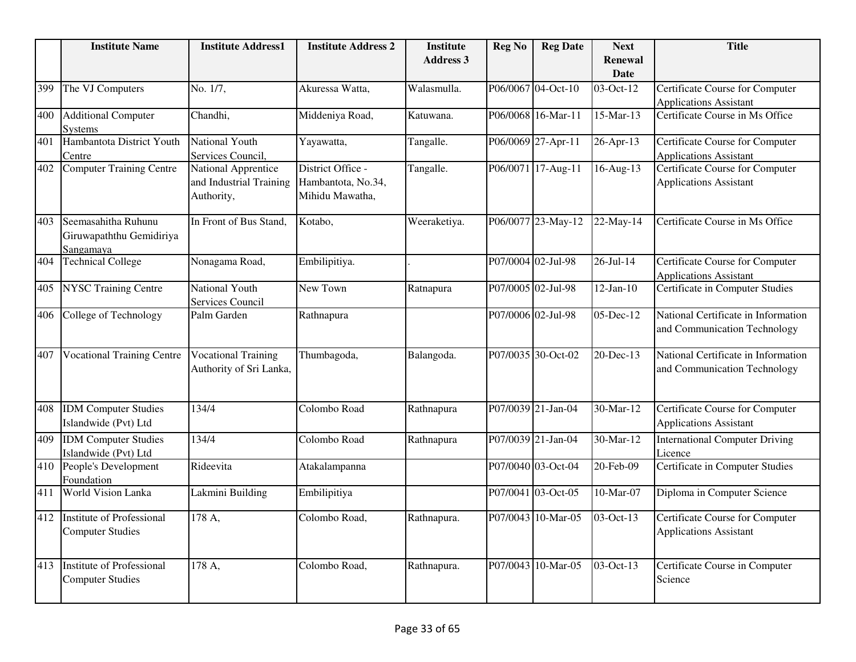|     | <b>Institute Name</b>                                        | <b>Institute Address1</b>                                    | <b>Institute Address 2</b>                                 | <b>Institute</b><br><b>Address 3</b> | <b>Reg No</b>      | <b>Reg Date</b>    | <b>Next</b><br><b>Renewal</b><br>Date | <b>Title</b>                                                            |
|-----|--------------------------------------------------------------|--------------------------------------------------------------|------------------------------------------------------------|--------------------------------------|--------------------|--------------------|---------------------------------------|-------------------------------------------------------------------------|
| 399 | The VJ Computers                                             | No. 1/7,                                                     | Akuressa Watta,                                            | Walasmulla.                          |                    | P06/0067 04-Oct-10 | $\overline{0}$ 3-Oct-12               | Certificate Course for Computer<br><b>Applications Assistant</b>        |
| 400 | <b>Additional Computer</b><br><b>Systems</b>                 | Chandhi,                                                     | Middeniya Road,                                            | Katuwana.                            |                    | P06/0068 16-Mar-11 | 15-Mar-13                             | Certificate Course in Ms Office                                         |
| 401 | Hambantota District Youth<br>Centre                          | National Youth<br>Services Council,                          | Yayawatta,                                                 | Tangalle.                            |                    | P06/0069 27-Apr-11 | 26-Apr-13                             | Certificate Course for Computer<br><b>Applications Assistant</b>        |
| 402 | <b>Computer Training Centre</b>                              | National Apprentice<br>and Industrial Training<br>Authority, | District Office -<br>Hambantota, No.34,<br>Mihidu Mawatha, | Tangalle.                            |                    | P06/0071 17-Aug-11 | 16-Aug-13                             | Certificate Course for Computer<br><b>Applications Assistant</b>        |
| 403 | Seemasahitha Ruhunu<br>Giruwapaththu Gemidiriya<br>Sangamaya | In Front of Bus Stand.                                       | Kotabo,                                                    | Weeraketiya.                         |                    | P06/0077 23-May-12 | 22-May-14                             | Certificate Course in Ms Office                                         |
| 404 | <b>Technical College</b>                                     | Nonagama Road,                                               | Embilipitiya.                                              |                                      | P07/0004 02-Jul-98 |                    | $26 - Jul - 14$                       | Certificate Course for Computer<br><b>Applications Assistant</b>        |
| 405 | <b>NYSC Training Centre</b>                                  | National Youth<br>Services Council                           | New Town                                                   | Ratnapura                            |                    | P07/0005 02-Jul-98 | $12-Jan-10$                           | Certificate in Computer Studies                                         |
| 406 | College of Technology                                        | Palm Garden                                                  | Rathnapura                                                 |                                      |                    | P07/0006 02-Jul-98 | 05-Dec-12                             | National Certificate in Information<br>and Communication Technology     |
| 407 | <b>Vocational Training Centre</b>                            | <b>Vocational Training</b><br>Authority of Sri Lanka,        | Thumbagoda,                                                | Balangoda.                           |                    | P07/0035 30-Oct-02 | 20-Dec-13                             | National Certificate in Information<br>and Communication Technology     |
| 408 | <b>IDM</b> Computer Studies<br>Islandwide (Pvt) Ltd          | 134/4                                                        | Colombo Road                                               | Rathnapura                           |                    | P07/0039 21-Jan-04 | 30-Mar-12                             | Certificate Course for Computer<br><b>Applications Assistant</b>        |
| 409 | <b>IDM</b> Computer Studies<br>Islandwide (Pvt) Ltd          | 134/4                                                        | Colombo Road                                               | Rathnapura                           |                    | P07/0039 21-Jan-04 | 30-Mar-12                             | <b>International Computer Driving</b><br>Licence                        |
| 410 | People's Development<br>Foundation                           | Rideevita                                                    | Atakalampanna                                              |                                      |                    | P07/0040 03-Oct-04 | 20-Feb-09                             | <b>Certificate in Computer Studies</b>                                  |
| 411 | World Vision Lanka                                           | Lakmini Building                                             | Embilipitiya                                               |                                      |                    | P07/0041 03-Oct-05 | 10-Mar-07                             | Diploma in Computer Science                                             |
| 412 | <b>Institute of Professional</b><br><b>Computer Studies</b>  | 178 A,                                                       | Colombo Road,                                              | Rathnapura.                          |                    | P07/0043 10-Mar-05 | 03-Oct-13                             | <b>Certificate Course for Computer</b><br><b>Applications Assistant</b> |
| 413 | <b>Institute of Professional</b><br><b>Computer Studies</b>  | 178 A.                                                       | Colombo Road.                                              | Rathnapura.                          |                    | P07/0043 10-Mar-05 | 03-Oct-13                             | Certificate Course in Computer<br>Science                               |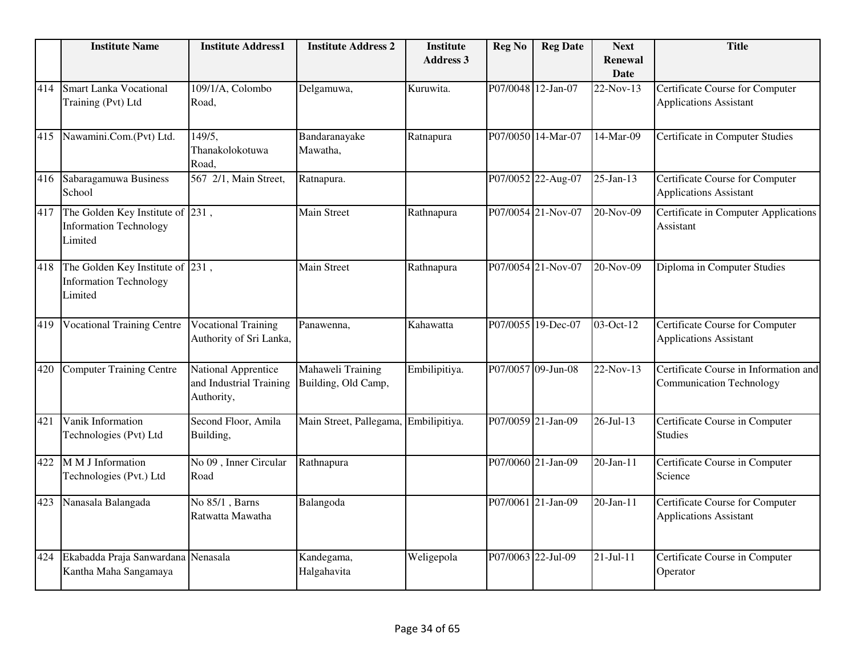|     | <b>Institute Name</b>                                                        | <b>Institute Address1</b>                                    | <b>Institute Address 2</b>               | <b>Institute</b><br><b>Address 3</b> | <b>Reg No</b>      | <b>Reg Date</b>    | <b>Next</b><br><b>Renewal</b><br><b>Date</b> | <b>Title</b>                                                             |
|-----|------------------------------------------------------------------------------|--------------------------------------------------------------|------------------------------------------|--------------------------------------|--------------------|--------------------|----------------------------------------------|--------------------------------------------------------------------------|
| 414 | <b>Smart Lanka Vocational</b><br>Training (Pvt) Ltd                          | 109/1/A, Colombo<br>Road,                                    | Delgamuwa,                               | Kuruwita.                            |                    | P07/0048 12-Jan-07 | 22-Nov-13                                    | Certificate Course for Computer<br><b>Applications Assistant</b>         |
| 415 | Nawamini.Com.(Pvt) Ltd.                                                      | 149/5,<br>Thanakolokotuwa<br>Road,                           | Bandaranayake<br>Mawatha,                | Ratnapura                            |                    | P07/0050 14-Mar-07 | 14-Mar-09                                    | Certificate in Computer Studies                                          |
| 416 | Sabaragamuwa Business<br>School                                              | 567 2/1, Main Street,                                        | Ratnapura.                               |                                      |                    | P07/0052 22-Aug-07 | $25$ -Jan-13                                 | Certificate Course for Computer<br><b>Applications Assistant</b>         |
| 417 | The Golden Key Institute of 231,<br><b>Information Technology</b><br>Limited |                                                              | <b>Main Street</b>                       | Rathnapura                           |                    | P07/0054 21-Nov-07 | 20-Nov-09                                    | Certificate in Computer Applications<br>Assistant                        |
| 418 | The Golden Key Institute of 231,<br><b>Information Technology</b><br>Limited |                                                              | Main Street                              | Rathnapura                           |                    | P07/0054 21-Nov-07 | 20-Nov-09                                    | Diploma in Computer Studies                                              |
| 419 | <b>Vocational Training Centre</b>                                            | <b>Vocational Training</b><br>Authority of Sri Lanka,        | Panawenna,                               | Kahawatta                            |                    | P07/0055 19-Dec-07 | 03-Oct-12                                    | Certificate Course for Computer<br><b>Applications Assistant</b>         |
| 420 | <b>Computer Training Centre</b>                                              | National Apprentice<br>and Industrial Training<br>Authority, | Mahaweli Training<br>Building, Old Camp, | Embilipitiya.                        |                    | P07/0057 09-Jun-08 | 22-Nov-13                                    | Certificate Course in Information and<br><b>Communication Technology</b> |
| 421 | Vanik Information<br>Technologies (Pvt) Ltd                                  | Second Floor, Amila<br>Building,                             | Main Street, Pallegama,                  | Embilipitiya.                        |                    | P07/0059 21-Jan-09 | $26 - Jul - 13$                              | Certificate Course in Computer<br><b>Studies</b>                         |
| 422 | M M J Information<br>Technologies (Pvt.) Ltd                                 | No 09, Inner Circular<br>Road                                | Rathnapura                               |                                      |                    | P07/0060 21-Jan-09 | 20-Jan-11                                    | Certificate Course in Computer<br>Science                                |
| 423 | Nanasala Balangada                                                           | No 85/1, Barns<br>Ratwatta Mawatha                           | Balangoda                                |                                      |                    | P07/0061 21-Jan-09 | $20$ -Jan-11                                 | Certificate Course for Computer<br><b>Applications Assistant</b>         |
| 424 | Ekabadda Praja Sanwardana Nenasala<br>Kantha Maha Sangamaya                  |                                                              | Kandegama,<br>Halgahavita                | Weligepola                           | P07/0063 22-Jul-09 |                    | $21 - Jul - 11$                              | Certificate Course in Computer<br>Operator                               |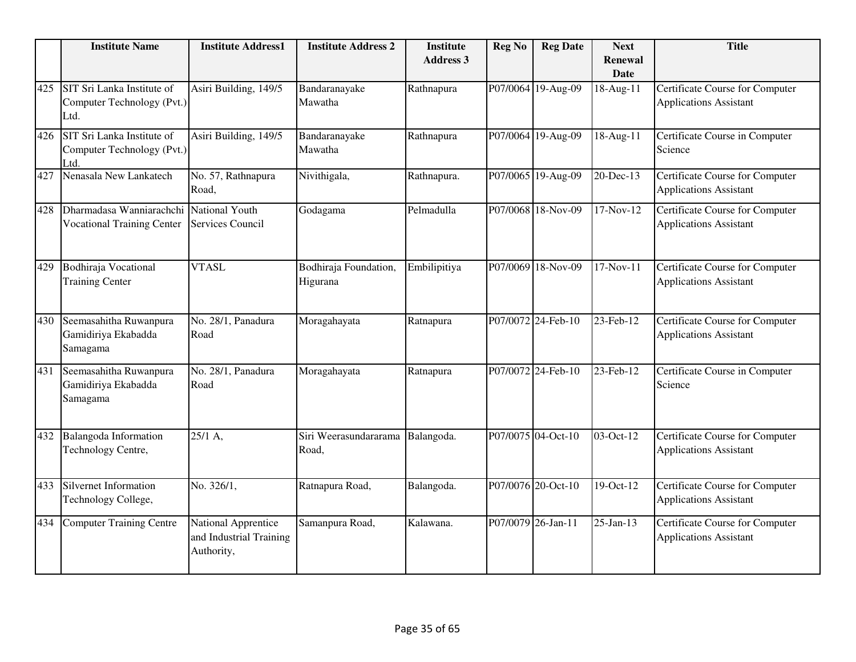|     | <b>Institute Name</b>                                            | <b>Institute Address1</b>                                    | <b>Institute Address 2</b>        | <b>Institute</b><br><b>Address 3</b> | <b>Reg No</b>      | <b>Reg Date</b>    | <b>Next</b><br><b>Renewal</b> | <b>Title</b>                                                     |
|-----|------------------------------------------------------------------|--------------------------------------------------------------|-----------------------------------|--------------------------------------|--------------------|--------------------|-------------------------------|------------------------------------------------------------------|
|     |                                                                  |                                                              |                                   |                                      |                    |                    | <b>Date</b>                   |                                                                  |
| 425 | SIT Sri Lanka Institute of<br>Computer Technology (Pvt.)<br>Ltd. | Asiri Building, 149/5                                        | Bandaranayake<br>Mawatha          | Rathnapura                           |                    | P07/0064 19-Aug-09 | 18-Aug-11                     | Certificate Course for Computer<br><b>Applications Assistant</b> |
| 426 | SIT Sri Lanka Institute of<br>Computer Technology (Pvt.)<br>Ltd. | Asiri Building, 149/5                                        | Bandaranayake<br>Mawatha          | Rathnapura                           |                    | P07/0064 19-Aug-09 | 18-Aug-11                     | Certificate Course in Computer<br>Science                        |
| 427 | Nenasala New Lankatech                                           | No. 57, Rathnapura<br>Road,                                  | Nivithigala,                      | Rathnapura.                          |                    | P07/0065 19-Aug-09 | 20-Dec-13                     | Certificate Course for Computer<br><b>Applications Assistant</b> |
| 428 | Dharmadasa Wanniarachchi<br><b>Vocational Training Center</b>    | National Youth<br>Services Council                           | Godagama                          | Pelmadulla                           |                    | P07/0068 18-Nov-09 | $17-Nov-12$                   | Certificate Course for Computer<br><b>Applications Assistant</b> |
| 429 | <b>Bodhiraja Vocational</b><br><b>Training Center</b>            | <b>VTASL</b>                                                 | Bodhiraja Foundation,<br>Higurana | Embilipitiya                         |                    | P07/0069 18-Nov-09 | $17-Nov-11$                   | Certificate Course for Computer<br><b>Applications Assistant</b> |
| 430 | Seemasahitha Ruwanpura<br>Gamidiriya Ekabadda<br>Samagama        | No. 28/1, Panadura<br>Road                                   | Moragahayata                      | Ratnapura                            |                    | P07/0072 24-Feb-10 | 23-Feb-12                     | Certificate Course for Computer<br><b>Applications Assistant</b> |
| 431 | Seemasahitha Ruwanpura<br>Gamidiriya Ekabadda<br>Samagama        | No. 28/1, Panadura<br>Road                                   | Moragahayata                      | Ratnapura                            |                    | P07/0072 24-Feb-10 | 23-Feb-12                     | Certificate Course in Computer<br>Science                        |
| 432 | Balangoda Information<br>Technology Centre,                      | 25/1 A,                                                      | Siri Weerasundararama<br>Road,    | Balangoda.                           |                    | P07/0075 04-Oct-10 | 03-Oct-12                     | Certificate Course for Computer<br><b>Applications Assistant</b> |
| 433 | Silvernet Information<br>Technology College,                     | No. 326/1,                                                   | Ratnapura Road,                   | Balangoda.                           |                    | P07/0076 20-Oct-10 | 19-Oct-12                     | Certificate Course for Computer<br><b>Applications Assistant</b> |
| 434 | Computer Training Centre                                         | National Apprentice<br>and Industrial Training<br>Authority, | Samanpura Road,                   | Kalawana.                            | P07/0079 26-Jan-11 |                    | 25-Jan-13                     | Certificate Course for Computer<br><b>Applications Assistant</b> |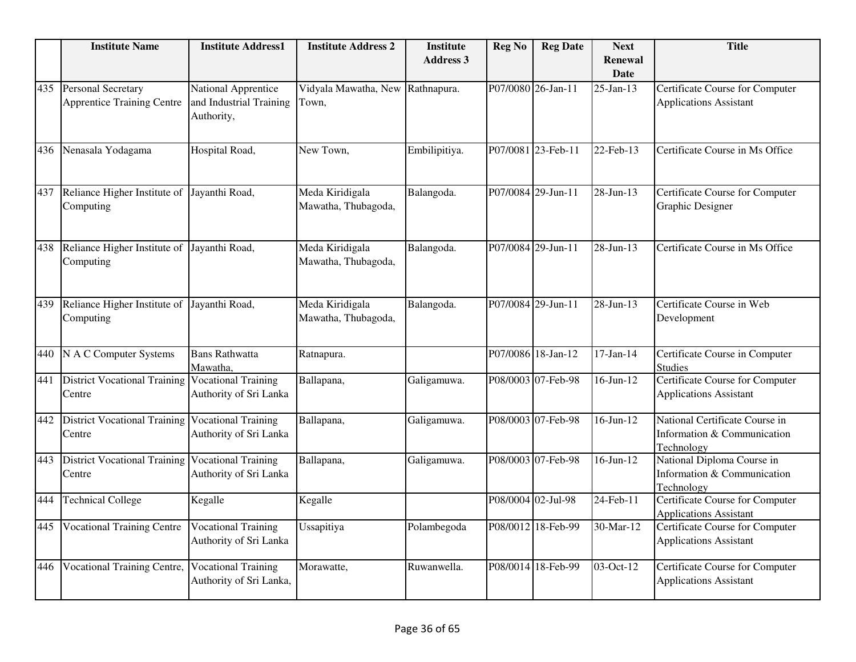|     | <b>Institute Name</b>                                      | <b>Institute Address1</b>                                    | <b>Institute Address 2</b>                | <b>Institute</b><br><b>Address 3</b> | <b>Reg No</b>      | <b>Reg Date</b>    | <b>Next</b><br><b>Renewal</b><br><b>Date</b> | <b>Title</b>                                                                |
|-----|------------------------------------------------------------|--------------------------------------------------------------|-------------------------------------------|--------------------------------------|--------------------|--------------------|----------------------------------------------|-----------------------------------------------------------------------------|
| 435 | Personal Secretary<br><b>Apprentice Training Centre</b>    | National Apprentice<br>and Industrial Training<br>Authority, | Vidyala Mawatha, New Rathnapura.<br>Town, |                                      |                    | P07/0080 26-Jan-11 | $25$ -Jan-13                                 | Certificate Course for Computer<br><b>Applications Assistant</b>            |
| 436 | Nenasala Yodagama                                          | Hospital Road,                                               | New Town,                                 | Embilipitiya.                        |                    | P07/0081 23-Feb-11 | 22-Feb-13                                    | Certificate Course in Ms Office                                             |
| 437 | Reliance Higher Institute of<br>Computing                  | Jayanthi Road,                                               | Meda Kiridigala<br>Mawatha, Thubagoda,    | Balangoda.                           |                    | P07/0084 29-Jun-11 | $\overline{28}$ -Jun-13                      | Certificate Course for Computer<br>Graphic Designer                         |
| 438 | Reliance Higher Institute of<br>Computing                  | Jayanthi Road,                                               | Meda Kiridigala<br>Mawatha, Thubagoda,    | Balangoda.                           |                    | P07/0084 29-Jun-11 | 28-Jun-13                                    | Certificate Course in Ms Office                                             |
| 439 | Reliance Higher Institute of<br>Computing                  | Jayanthi Road,                                               | Meda Kiridigala<br>Mawatha, Thubagoda,    | Balangoda.                           |                    | P07/0084 29-Jun-11 | 28-Jun-13                                    | Certificate Course in Web<br>Development                                    |
| 440 | N A C Computer Systems                                     | <b>Bans Rathwatta</b><br>Mawatha,                            | Ratnapura.                                |                                      |                    | P07/0086 18-Jan-12 | $17-Jan-14$                                  | Certificate Course in Computer<br><b>Studies</b>                            |
| 441 | <b>District Vocational Training</b><br>Centre              | <b>Vocational Training</b><br>Authority of Sri Lanka         | Ballapana,                                | Galigamuwa.                          |                    | P08/0003 07-Feb-98 | $\overline{16}$ -Jun-12                      | <b>Certificate Course for Computer</b><br><b>Applications Assistant</b>     |
| 442 | District Vocational Training Vocational Training<br>Centre | Authority of Sri Lanka                                       | Ballapana,                                | Galigamuwa.                          |                    | P08/0003 07-Feb-98 | $16$ -Jun- $12$                              | National Certificate Course in<br>Information & Communication<br>Technology |
| 443 | <b>District Vocational Training</b><br>Centre              | <b>Vocational Training</b><br>Authority of Sri Lanka         | Ballapana,                                | Galigamuwa.                          |                    | P08/0003 07-Feb-98 | $16$ -Jun- $12$                              | National Diploma Course in<br>Information & Communication<br>Technology     |
| 444 | <b>Technical College</b>                                   | Kegalle                                                      | Kegalle                                   |                                      | P08/0004 02-Jul-98 |                    | $\overline{24}$ -Feb-11                      | Certificate Course for Computer<br><b>Applications Assistant</b>            |
| 445 | <b>Vocational Training Centre</b>                          | <b>Vocational Training</b><br>Authority of Sri Lanka         | Ussapitiya                                | Polambegoda                          |                    | P08/0012 18-Feb-99 | 30-Mar-12                                    | Certificate Course for Computer<br><b>Applications Assistant</b>            |
| 446 | <b>Vocational Training Centre,</b>                         | <b>Vocational Training</b><br>Authority of Sri Lanka,        | Morawatte,                                | Ruwanwella.                          |                    | P08/0014 18-Feb-99 | 03-Oct-12                                    | <b>Certificate Course for Computer</b><br><b>Applications Assistant</b>     |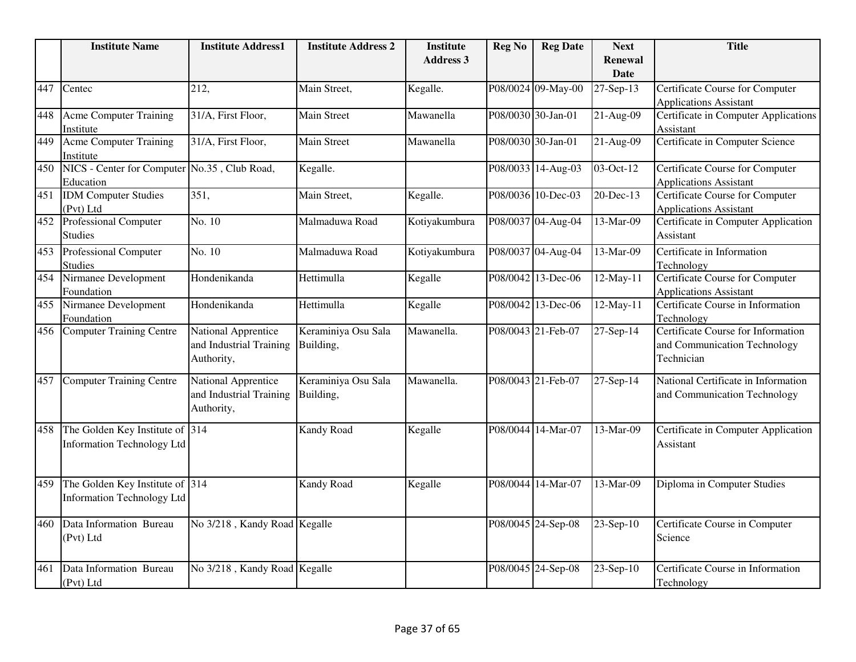|     | <b>Institute Name</b>                                                | <b>Institute Address1</b>                                    | <b>Institute Address 2</b>       | <b>Institute</b> | <b>Reg No</b> | <b>Reg Date</b>    | <b>Next</b>                   | <b>Title</b>                                                                     |
|-----|----------------------------------------------------------------------|--------------------------------------------------------------|----------------------------------|------------------|---------------|--------------------|-------------------------------|----------------------------------------------------------------------------------|
|     |                                                                      |                                                              |                                  | <b>Address 3</b> |               |                    | <b>Renewal</b><br><b>Date</b> |                                                                                  |
| 447 | Centec                                                               | 212,                                                         | Main Street,                     | Kegalle.         |               | P08/0024 09-May-00 | 27-Sep-13                     | Certificate Course for Computer                                                  |
|     |                                                                      |                                                              |                                  |                  |               |                    |                               | <b>Applications Assistant</b>                                                    |
| 448 | <b>Acme Computer Training</b><br>Institute                           | 31/A, First Floor,                                           | <b>Main Street</b>               | Mawanella        |               | P08/0030 30-Jan-01 | $21-Aug-09$                   | <b>Certificate in Computer Applications</b><br>Assistant                         |
| 449 | <b>Acme Computer Training</b><br>Institute                           | 31/A, First Floor,                                           | Main Street                      | Mawanella        |               | P08/0030 30-Jan-01 | 21-Aug-09                     | Certificate in Computer Science                                                  |
| 450 | NICS - Center for Computer No.35, Club Road,<br>Education            |                                                              | Kegalle.                         |                  |               | P08/0033 14-Aug-03 | 03-Oct-12                     | Certificate Course for Computer<br><b>Applications Assistant</b>                 |
| 451 | <b>IDM</b> Computer Studies<br>(Pvt) Ltd                             | 351,                                                         | Main Street,                     | Kegalle.         |               | P08/0036 10-Dec-03 | 20-Dec-13                     | <b>Certificate Course for Computer</b><br><b>Applications Assistant</b>          |
| 452 | <b>Professional Computer</b><br><b>Studies</b>                       | No. 10                                                       | Malmaduwa Road                   | Kotiyakumbura    |               | P08/0037 04-Aug-04 | 13-Mar-09                     | Certificate in Computer Application<br>Assistant                                 |
| 453 | <b>Professional Computer</b><br><b>Studies</b>                       | No. 10                                                       | Malmaduwa Road                   | Kotiyakumbura    |               | P08/0037 04-Aug-04 | 13-Mar-09                     | Certificate in Information<br>Technology                                         |
| 454 | Nirmanee Development<br>Foundation                                   | Hondenikanda                                                 | Hettimulla                       | Kegalle          |               | P08/0042 13-Dec-06 | 12-May-11                     | <b>Certificate Course for Computer</b><br><b>Applications Assistant</b>          |
| 455 | Nirmanee Development<br>Foundation                                   | Hondenikanda                                                 | Hettimulla                       | Kegalle          |               | P08/0042 13-Dec-06 | 12-May-11                     | Certificate Course in Information<br>Technology                                  |
| 456 | <b>Computer Training Centre</b>                                      | National Apprentice<br>and Industrial Training<br>Authority, | Keraminiya Osu Sala<br>Building, | Mawanella.       |               | P08/0043 21-Feb-07 | 27-Sep-14                     | Certificate Course for Information<br>and Communication Technology<br>Technician |
| 457 | <b>Computer Training Centre</b>                                      | National Apprentice<br>and Industrial Training<br>Authority, | Keraminiya Osu Sala<br>Building, | Mawanella.       |               | P08/0043 21-Feb-07 | 27-Sep-14                     | National Certificate in Information<br>and Communication Technology              |
| 458 | The Golden Key Institute of 314<br><b>Information Technology Ltd</b> |                                                              | Kandy Road                       | Kegalle          |               | P08/0044 14-Mar-07 | 13-Mar-09                     | Certificate in Computer Application<br>Assistant                                 |
| 459 | The Golden Key Institute of 314<br><b>Information Technology Ltd</b> |                                                              | Kandy Road                       | Kegalle          |               | P08/0044 14-Mar-07 | 13-Mar-09                     | Diploma in Computer Studies                                                      |
| 460 | Data Information Bureau<br>(Pvt) Ltd                                 | No 3/218, Kandy Road Kegalle                                 |                                  |                  |               | P08/0045 24-Sep-08 | 23-Sep-10                     | Certificate Course in Computer<br>Science                                        |
| 461 | Data Information Bureau<br>(Pvt) Ltd                                 | No 3/218, Kandy Road Kegalle                                 |                                  |                  |               | P08/0045 24-Sep-08 | 23-Sep-10                     | Certificate Course in Information<br>Technology                                  |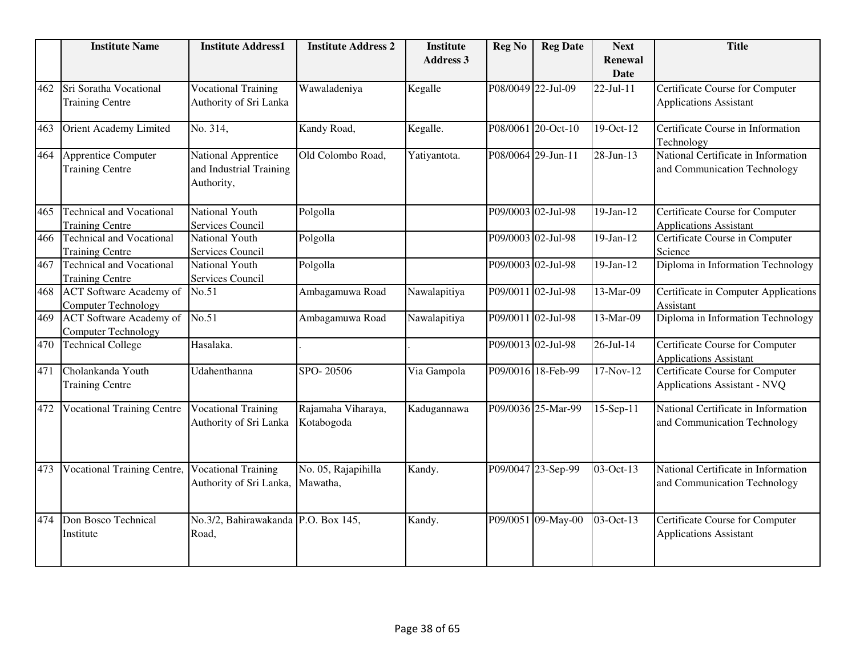|     | <b>Institute Name</b>                                        | <b>Institute Address1</b>             | <b>Institute Address 2</b> | <b>Institute</b><br><b>Address 3</b> | <b>Reg No</b> | <b>Reg Date</b>    | <b>Next</b>                   | <b>Title</b>                                                     |
|-----|--------------------------------------------------------------|---------------------------------------|----------------------------|--------------------------------------|---------------|--------------------|-------------------------------|------------------------------------------------------------------|
|     |                                                              |                                       |                            |                                      |               |                    | <b>Renewal</b><br><b>Date</b> |                                                                  |
| 462 | Sri Soratha Vocational                                       | <b>Vocational Training</b>            | Wawaladeniya               | Kegalle                              |               | P08/0049 22-Jul-09 | 22-Jul-11                     | Certificate Course for Computer                                  |
|     | <b>Training Centre</b>                                       | Authority of Sri Lanka                |                            |                                      |               |                    |                               | <b>Applications Assistant</b>                                    |
| 463 | Orient Academy Limited                                       | No. 314,                              | Kandy Road,                | Kegalle.                             |               | P08/0061 20-Oct-10 | 19-Oct-12                     | Certificate Course in Information<br>Technology                  |
| 464 | Apprentice Computer                                          | National Apprentice                   | Old Colombo Road,          | Yatiyantota.                         |               | P08/0064 29-Jun-11 | 28-Jun-13                     | National Certificate in Information                              |
|     | <b>Training Centre</b>                                       | and Industrial Training<br>Authority, |                            |                                      |               |                    |                               | and Communication Technology                                     |
| 465 | <b>Technical and Vocational</b><br><b>Training Centre</b>    | National Youth<br>Services Council    | Polgolla                   |                                      |               | P09/0003 02-Jul-98 | $19-Jan-12$                   | Certificate Course for Computer<br><b>Applications Assistant</b> |
| 466 | <b>Technical and Vocational</b>                              | National Youth                        | Polgolla                   |                                      |               | P09/0003 02-Jul-98 | $19-Jan-12$                   | Certificate Course in Computer                                   |
|     | <b>Training Centre</b>                                       | Services Council                      |                            |                                      |               |                    |                               | Science                                                          |
| 467 | <b>Technical and Vocational</b>                              | National Youth                        | Polgolla                   |                                      |               | P09/0003 02-Jul-98 | $19-Jan-12$                   | Diploma in Information Technology                                |
|     | <b>Training Centre</b>                                       | Services Council                      |                            |                                      |               |                    |                               |                                                                  |
| 468 | <b>ACT</b> Software Academy of<br><b>Computer Technology</b> | No.51                                 | Ambagamuwa Road            | Nawalapitiya                         |               | P09/0011 02-Jul-98 | 13-Mar-09                     | Certificate in Computer Applications<br>Assistant                |
| 469 | <b>ACT</b> Software Academy of                               | No.51                                 | Ambagamuwa Road            | Nawalapitiya                         |               | P09/0011 02-Jul-98 | 13-Mar-09                     | Diploma in Information Technology                                |
|     | <b>Computer Technology</b>                                   |                                       |                            |                                      |               |                    |                               |                                                                  |
| 470 | Technical College                                            | Hasalaka.                             |                            |                                      |               | P09/0013 02-Jul-98 | $\overline{26}$ -Jul-14       | Certificate Course for Computer<br><b>Applications Assistant</b> |
| 471 | Cholankanda Youth                                            | Udahenthanna                          | SPO-20506                  | Via Gampola                          |               | P09/0016 18-Feb-99 | 17-Nov-12                     | Certificate Course for Computer                                  |
|     | <b>Training Centre</b>                                       |                                       |                            |                                      |               |                    |                               | Applications Assistant - NVQ                                     |
| 472 | Vocational Training Centre                                   | <b>Vocational Training</b>            | Rajamaha Viharaya,         | Kadugannawa                          |               | P09/0036 25-Mar-99 | 15-Sep-11                     | National Certificate in Information                              |
|     |                                                              | Authority of Sri Lanka                | Kotabogoda                 |                                      |               |                    |                               | and Communication Technology                                     |
| 473 | <b>Vocational Training Centre,</b>                           | <b>Vocational Training</b>            | No. 05, Rajapihilla        | Kandy.                               |               | P09/0047 23-Sep-99 | 03-Oct-13                     | National Certificate in Information                              |
|     |                                                              | Authority of Sri Lanka,               | Mawatha,                   |                                      |               |                    |                               | and Communication Technology                                     |
| 474 | Don Bosco Technical                                          | No.3/2, Bahirawakanda P.O. Box 145,   |                            | Kandy.                               |               | P09/0051 09-May-00 | 03-Oct-13                     | Certificate Course for Computer                                  |
|     | Institute                                                    | Road,                                 |                            |                                      |               |                    |                               | <b>Applications Assistant</b>                                    |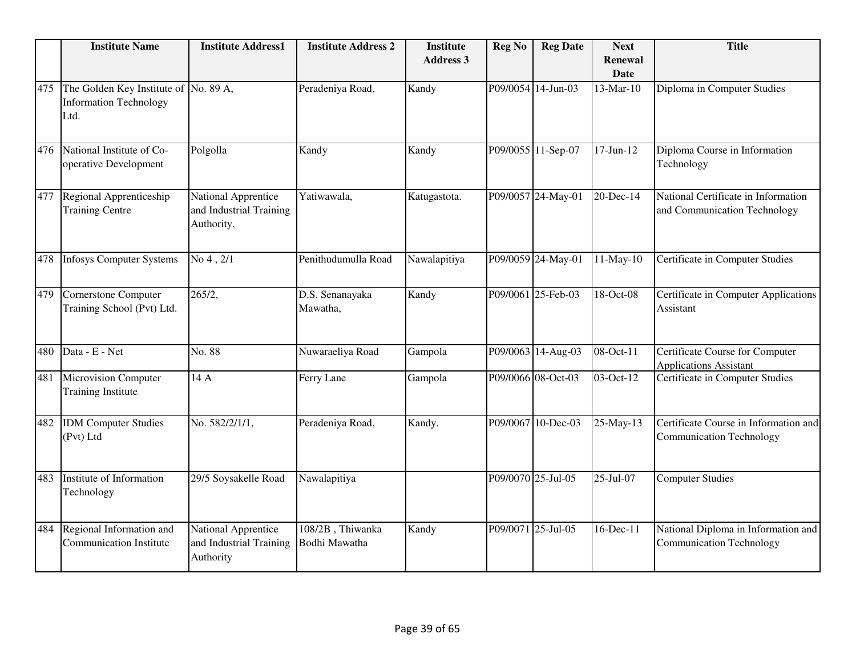|     | <b>Institute Name</b>                                                          | <b>Institute Address1</b>                                          | <b>Institute Address 2</b>        | <b>Institute</b><br><b>Address 3</b> | <b>Reg No</b>      | <b>Reg Date</b>    | <b>Next</b><br><b>Renewal</b><br><b>Date</b> | <b>Title</b>                                                             |
|-----|--------------------------------------------------------------------------------|--------------------------------------------------------------------|-----------------------------------|--------------------------------------|--------------------|--------------------|----------------------------------------------|--------------------------------------------------------------------------|
| 475 | The Golden Key Institute of No. 89 A,<br><b>Information Technology</b><br>Ltd. |                                                                    | Peradeniya Road,                  | Kandy                                |                    | P09/0054 14-Jun-03 | 13-Mar-10                                    | Diploma in Computer Studies                                              |
| 476 | National Institute of Co-<br>operative Development                             | Polgolla                                                           | Kandy                             | Kandy                                |                    | P09/0055 11-Sep-07 | $17$ -Jun- $12$                              | Diploma Course in Information<br>Technology                              |
| 477 | Regional Apprenticeship<br><b>Training Centre</b>                              | National Apprentice<br>and Industrial Training<br>Authority,       | Yatiwawala,                       | Katugastota.                         |                    | P09/0057 24-May-01 | 20-Dec-14                                    | National Certificate in Information<br>and Communication Technology      |
| 478 | <b>Infosys Computer Systems</b>                                                | No 4, 2/1                                                          | Penithudumulla Road               | Nawalapitiya                         |                    | P09/0059 24-May-01 | 11-May-10                                    | Certificate in Computer Studies                                          |
| 479 | Cornerstone Computer<br>Training School (Pvt) Ltd.                             | 265/2,                                                             | D.S. Senanayaka<br>Mawatha,       | Kandy                                |                    | P09/0061 25-Feb-03 | 18-Oct-08                                    | Certificate in Computer Applications<br>Assistant                        |
| 480 | Data - E - Net                                                                 | No. 88                                                             | Nuwaraeliya Road                  | Gampola                              |                    | P09/0063 14-Aug-03 | 08-Oct-11                                    | Certificate Course for Computer<br><b>Applications Assistant</b>         |
| 481 | <b>Microvision Computer</b><br><b>Training Institute</b>                       | 14 A                                                               | Ferry Lane                        | Gampola                              |                    | P09/0066 08-Oct-03 | 03-Oct-12                                    | Certificate in Computer Studies                                          |
| 482 | <b>IDM</b> Computer Studies<br>(Pvt) Ltd                                       | No. 582/2/1/1,                                                     | Peradeniya Road,                  | Kandy.                               |                    | P09/0067 10-Dec-03 | 25-May-13                                    | Certificate Course in Information and<br><b>Communication Technology</b> |
| 483 | Institute of Information<br>Technology                                         | 29/5 Soysakelle Road                                               | Nawalapitiya                      |                                      | P09/0070 25-Jul-05 |                    | 25-Jul-07                                    | <b>Computer Studies</b>                                                  |
| 484 | Regional Information and<br><b>Communication Institute</b>                     | <b>National Apprentice</b><br>and Industrial Training<br>Authority | 108/2B, Thiwanka<br>Bodhi Mawatha | Kandy                                |                    | P09/0071 25-Jul-05 | 16-Dec-11                                    | National Diploma in Information and<br><b>Communication Technology</b>   |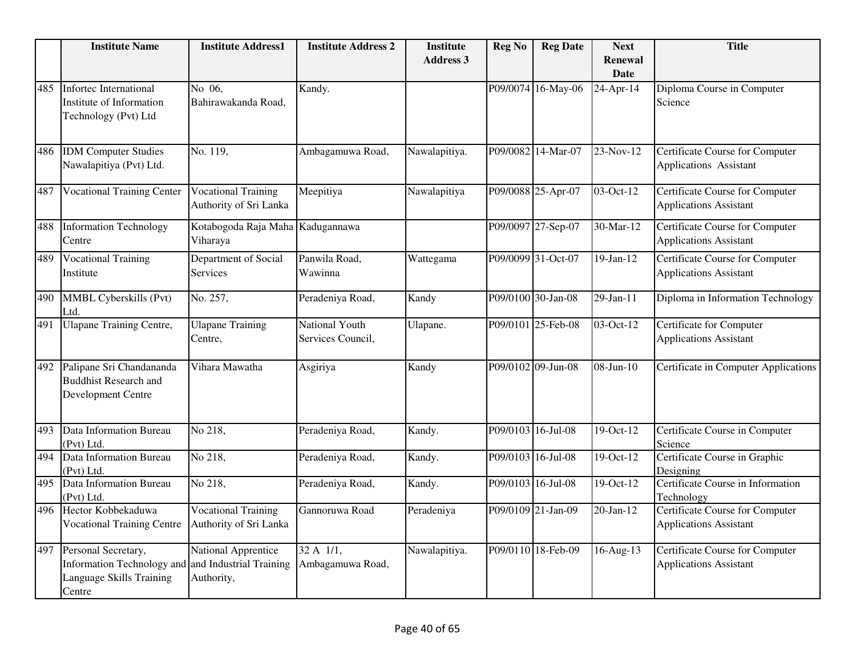|     | <b>Institute Name</b>                                                                                           | <b>Institute Address1</b>                            | <b>Institute Address 2</b>                | <b>Institute</b><br><b>Address 3</b> | <b>Reg No</b> | <b>Reg Date</b>    | <b>Next</b><br><b>Renewal</b><br><b>Date</b> | <b>Title</b>                                                            |
|-----|-----------------------------------------------------------------------------------------------------------------|------------------------------------------------------|-------------------------------------------|--------------------------------------|---------------|--------------------|----------------------------------------------|-------------------------------------------------------------------------|
| 485 | <b>Infortec International</b><br>Institute of Information<br>Technology (Pvt) Ltd                               | No 06,<br>Bahirawakanda Road,                        | Kandy.                                    |                                      | P09/0074      | 16-May-06          | $\overline{24}$ -Apr-14                      | Diploma Course in Computer<br>Science                                   |
| 486 | <b>IDM</b> Computer Studies<br>Nawalapitiya (Pvt) Ltd.                                                          | No. 119,                                             | Ambagamuwa Road,                          | Nawalapitiya.                        |               | P09/0082 14-Mar-07 | 23-Nov-12                                    | Certificate Course for Computer<br>Applications Assistant               |
| 487 | <b>Vocational Training Center</b>                                                                               | <b>Vocational Training</b><br>Authority of Sri Lanka | Meepitiya                                 | Nawalapitiya                         |               | P09/0088 25-Apr-07 | $\overline{03}$ -Oct-12                      | <b>Certificate Course for Computer</b><br><b>Applications Assistant</b> |
| 488 | <b>Information Technology</b><br>Centre                                                                         | Kotabogoda Raja Maha Kadugannawa<br>Viharaya         |                                           |                                      |               | P09/0097 27-Sep-07 | 30-Mar-12                                    | Certificate Course for Computer<br><b>Applications Assistant</b>        |
| 489 | <b>Vocational Training</b><br>Institute                                                                         | Department of Social<br>Services                     | Panwila Road,<br>Wawinna                  | Wattegama                            |               | P09/0099 31-Oct-07 | 19-Jan-12                                    | Certificate Course for Computer<br><b>Applications Assistant</b>        |
| 490 | <b>MMBL Cyberskills (Pvt)</b><br>Ltd.                                                                           | No. 257,                                             | Peradeniya Road,                          | Kandy                                |               | P09/0100 30-Jan-08 | $29$ -Jan-11                                 | Diploma in Information Technology                                       |
| 491 | <b>Ulapane Training Centre,</b>                                                                                 | <b>Ulapane Training</b><br>Centre,                   | National Youth<br>Services Council,       | Ulapane.                             |               | P09/0101 25-Feb-08 | 03-Oct-12                                    | Certificate for Computer<br><b>Applications Assistant</b>               |
| 492 | Palipane Sri Chandananda<br><b>Buddhist Research and</b><br>Development Centre                                  | Vihara Mawatha                                       | Asgiriya                                  | Kandy                                |               | P09/0102 09-Jun-08 | 08-Jun-10                                    | Certificate in Computer Applications                                    |
| 493 | Data Information Bureau<br>(Pvt) Ltd.                                                                           | No 218,                                              | Peradeniya Road,                          | Kandy.                               |               | P09/0103 16-Jul-08 | 19-Oct-12                                    | Certificate Course in Computer<br>Science                               |
| 494 | <b>Data Information Bureau</b><br>(Pvt) Ltd.                                                                    | No 218,                                              | Peradeniya Road,                          | Kandy.                               |               | P09/0103 16-Jul-08 | 19-Oct-12                                    | Certificate Course in Graphic<br>Designing                              |
| 495 | Data Information Bureau<br>(Pvt) Ltd.                                                                           | No 218,                                              | Peradeniya Road,                          | Kandy.                               |               | P09/0103 16-Jul-08 | 19-Oct-12                                    | Certificate Course in Information<br>Technology                         |
| 496 | Hector Kobbekaduwa<br><b>Vocational Training Centre</b>                                                         | <b>Vocational Training</b><br>Authority of Sri Lanka | Gannoruwa Road                            | Peradeniya                           |               | P09/0109 21-Jan-09 | 20-Jan-12                                    | Certificate Course for Computer<br><b>Applications Assistant</b>        |
| 497 | Personal Secretary,<br>Information Technology and and Industrial Training<br>Language Skills Training<br>Centre | <b>National Apprentice</b><br>Authority,             | $32 \text{ A}$ $1/1,$<br>Ambagamuwa Road, | Nawalapitiya.                        |               | P09/0110 18-Feb-09 | 16-Aug-13                                    | <b>Certificate Course for Computer</b><br><b>Applications Assistant</b> |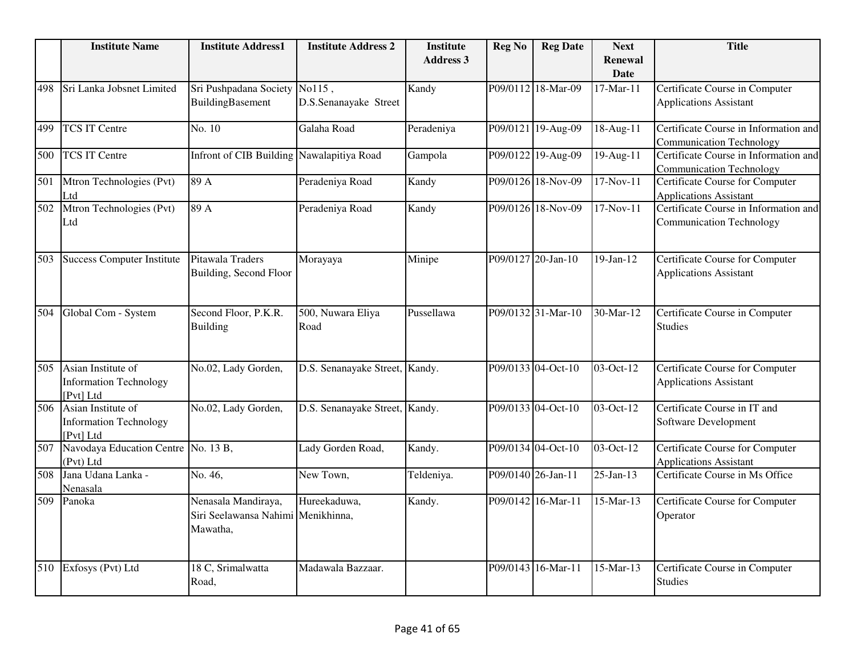|                  | <b>Institute Name</b>                                            | <b>Institute Address1</b>                                             | <b>Institute Address 2</b>     | <b>Institute</b><br><b>Address 3</b> | <b>Reg No</b> | <b>Reg Date</b>    | <b>Next</b><br><b>Renewal</b> | <b>Title</b>                                                             |
|------------------|------------------------------------------------------------------|-----------------------------------------------------------------------|--------------------------------|--------------------------------------|---------------|--------------------|-------------------------------|--------------------------------------------------------------------------|
|                  |                                                                  |                                                                       |                                |                                      |               |                    | <b>Date</b>                   |                                                                          |
| 498              | Sri Lanka Jobsnet Limited                                        | Sri Pushpadana Society No115,<br>BuildingBasement                     | D.S.Senanayake Street          | Kandy                                |               | P09/0112 18-Mar-09 | 17-Mar-11                     | Certificate Course in Computer<br><b>Applications Assistant</b>          |
| 499              | <b>TCS IT Centre</b>                                             | No. 10                                                                | Galaha Road                    | Peradeniya                           |               | P09/0121 19-Aug-09 | 18-Aug-11                     | Certificate Course in Information and<br><b>Communication Technology</b> |
| 500              | <b>TCS IT Centre</b>                                             | Infront of CIB Building Nawalapitiya Road                             |                                | Gampola                              |               | P09/0122 19-Aug-09 | $\overline{19}$ -Aug-11       | Certificate Course in Information and<br><b>Communication Technology</b> |
| 501              | Mtron Technologies (Pvt)<br>Ltd                                  | 89 A                                                                  | Peradeniya Road                | Kandy                                |               | P09/0126 18-Nov-09 | 17-Nov-11                     | Certificate Course for Computer<br><b>Applications Assistant</b>         |
| 502              | Mtron Technologies (Pvt)<br>Ltd                                  | 89 A                                                                  | Peradeniya Road                | Kandy                                |               | P09/0126 18-Nov-09 | 17-Nov-11                     | Certificate Course in Information and<br><b>Communication Technology</b> |
| 503              | <b>Success Computer Institute</b>                                | Pitawala Traders<br>Building, Second Floor                            | Morayaya                       | Minipe                               |               | P09/0127 20-Jan-10 | $19-Jan-12$                   | Certificate Course for Computer<br><b>Applications Assistant</b>         |
| 504              | Global Com - System                                              | Second Floor, P.K.R.<br><b>Building</b>                               | 500, Nuwara Eliya<br>Road      | Pussellawa                           |               | P09/0132 31-Mar-10 | 30-Mar-12                     | Certificate Course in Computer<br><b>Studies</b>                         |
| 505              | Asian Institute of<br><b>Information Technology</b><br>[Pvt] Ltd | No.02, Lady Gorden,                                                   | D.S. Senanayake Street,        | Kandy.                               |               | P09/0133 04-Oct-10 | 03-Oct-12                     | Certificate Course for Computer<br><b>Applications Assistant</b>         |
| $\overline{506}$ | Asian Institute of<br><b>Information Technology</b><br>[Pvt] Ltd | No.02, Lady Gorden,                                                   | D.S. Senanayake Street, Kandy. |                                      |               | P09/0133 04-Oct-10 | 03-Oct-12                     | Certificate Course in IT and<br>Software Development                     |
| 507              | Navodaya Education Centre No. 13 B,<br>(Pvt) Ltd                 |                                                                       | Lady Gorden Road,              | Kandy.                               |               | P09/0134 04-Oct-10 | 03-Oct-12                     | Certificate Course for Computer<br><b>Applications Assistant</b>         |
| 508              | Jana Udana Lanka -<br>Nenasala                                   | No. 46,                                                               | New Town,                      | Teldeniya.                           |               | P09/0140 26-Jan-11 | $25$ -Jan-13                  | Certificate Course in Ms Office                                          |
| 509              | Panoka                                                           | Nenasala Mandiraya,<br>Siri Seelawansa Nahimi Menikhinna,<br>Mawatha, | Hureekaduwa,                   | Kandy.                               |               | P09/0142 16-Mar-11 | 15-Mar-13                     | Certificate Course for Computer<br>Operator                              |
| 510              | Exfosys (Pvt) Ltd                                                | 18 C, Srimalwatta<br>Road,                                            | Madawala Bazzaar.              |                                      |               | P09/0143 16-Mar-11 | 15-Mar-13                     | Certificate Course in Computer<br><b>Studies</b>                         |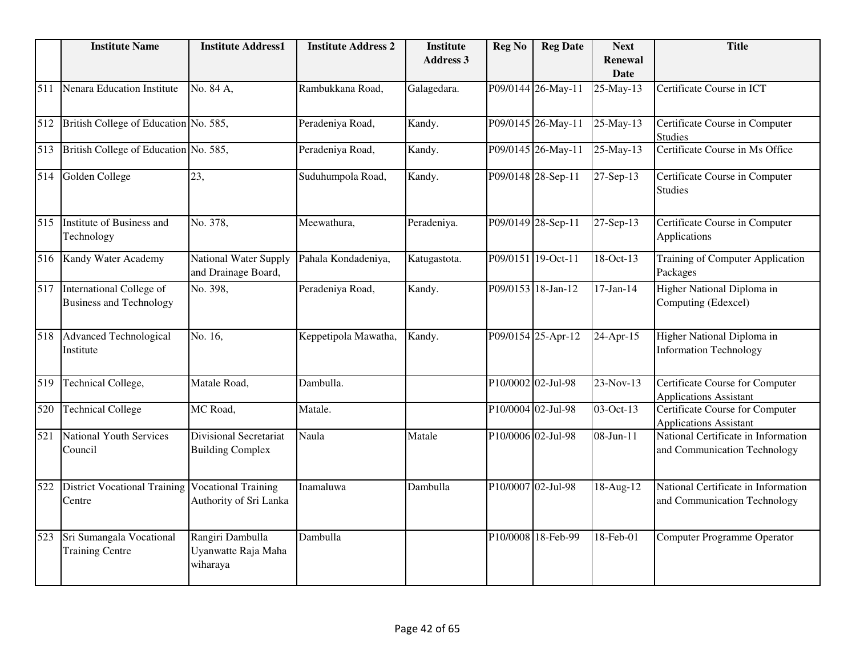|     | <b>Institute Name</b>                                      | <b>Institute Address1</b>                                | <b>Institute Address 2</b> | <b>Institute</b><br><b>Address 3</b> | <b>Reg No</b> | <b>Reg Date</b>    | <b>Next</b><br><b>Renewal</b><br><b>Date</b> | <b>Title</b>                                                            |
|-----|------------------------------------------------------------|----------------------------------------------------------|----------------------------|--------------------------------------|---------------|--------------------|----------------------------------------------|-------------------------------------------------------------------------|
| 511 | Nenara Education Institute                                 | No. 84 A,                                                | Rambukkana Road,           | Galagedara.                          |               | P09/0144 26-May-11 | 25-May-13                                    | Certificate Course in ICT                                               |
| 512 | British College of Education No. 585,                      |                                                          | Peradeniya Road,           | Kandy.                               |               | P09/0145 26-May-11 | 25-May-13                                    | Certificate Course in Computer<br><b>Studies</b>                        |
| 513 | British College of Education No. 585,                      |                                                          | Peradeniya Road,           | Kandy.                               |               | P09/0145 26-May-11 | 25-May-13                                    | Certificate Course in Ms Office                                         |
| 514 | Golden College                                             | 23,                                                      | Suduhumpola Road,          | Kandy.                               |               | P09/0148 28-Sep-11 | 27-Sep-13                                    | Certificate Course in Computer<br><b>Studies</b>                        |
| 515 | Institute of Business and<br>Technology                    | No. 378,                                                 | Meewathura,                | Peradeniya.                          |               | P09/0149 28-Sep-11 | 27-Sep-13                                    | Certificate Course in Computer<br>Applications                          |
| 516 | Kandy Water Academy                                        | National Water Supply<br>and Drainage Board,             | Pahala Kondadeniya,        | Katugastota.                         |               | P09/0151 19-Oct-11 | 18-Oct-13                                    | <b>Training of Computer Application</b><br>Packages                     |
| 517 | International College of<br><b>Business and Technology</b> | No. 398,                                                 | Peradeniya Road,           | Kandy.                               |               | P09/0153 18-Jan-12 | $17-Jan-14$                                  | Higher National Diploma in<br>Computing (Edexcel)                       |
| 518 | <b>Advanced Technological</b><br>Institute                 | No. 16,                                                  | Keppetipola Mawatha,       | Kandy.                               |               | P09/0154 25-Apr-12 | 24-Apr-15                                    | Higher National Diploma in<br><b>Information Technology</b>             |
| 519 | Technical College,                                         | Matale Road,                                             | Dambulla.                  |                                      |               | P10/0002 02-Jul-98 | $\overline{23}$ -Nov-13                      | <b>Certificate Course for Computer</b><br><b>Applications Assistant</b> |
| 520 | <b>Technical College</b>                                   | MC Road,                                                 | Matale.                    |                                      |               | P10/0004 02-Jul-98 | 03-Oct-13                                    | Certificate Course for Computer<br><b>Applications Assistant</b>        |
| 521 | <b>National Youth Services</b><br>Council                  | <b>Divisional Secretariat</b><br><b>Building Complex</b> | Naula                      | Matale                               |               | P10/0006 02-Jul-98 | 08-Jun-11                                    | National Certificate in Information<br>and Communication Technology     |
| 522 | <b>District Vocational Training</b><br>Centre              | <b>Vocational Training</b><br>Authority of Sri Lanka     | Inamaluwa                  | Dambulla                             |               | P10/0007 02-Jul-98 | 18-Aug-12                                    | National Certificate in Information<br>and Communication Technology     |
| 523 | Sri Sumangala Vocational<br><b>Training Centre</b>         | Rangiri Dambulla<br>Uyanwatte Raja Maha<br>wiharaya      | Dambulla                   |                                      |               | P10/0008 18-Feb-99 | 18-Feb-01                                    | <b>Computer Programme Operator</b>                                      |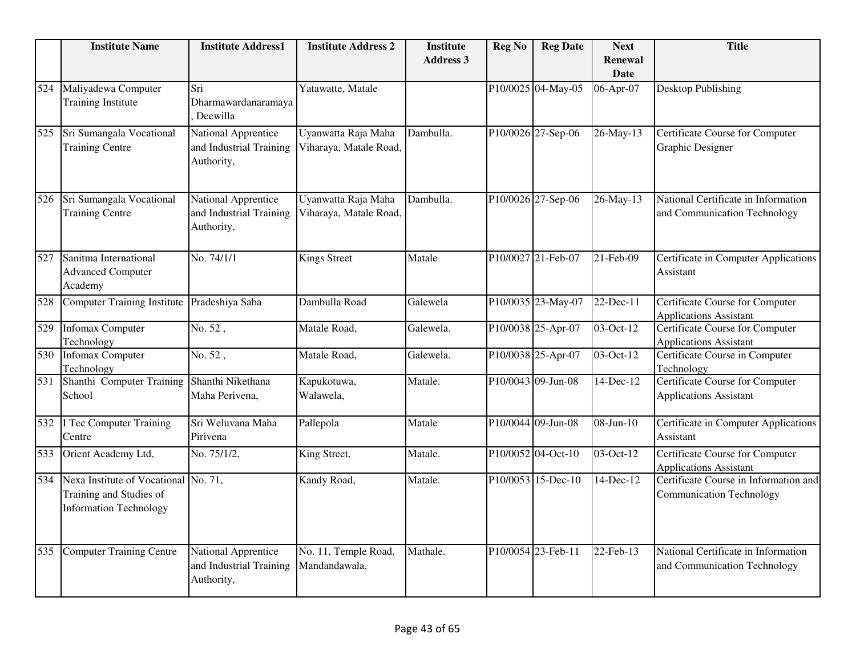|     | <b>Institute Name</b>                                                                            | <b>Institute Address1</b>                                    | <b>Institute Address 2</b>                    | <b>Institute</b><br><b>Address 3</b> | <b>Reg No</b> | <b>Reg Date</b>    | <b>Next</b><br><b>Renewal</b><br><b>Date</b> | <b>Title</b>                                                             |
|-----|--------------------------------------------------------------------------------------------------|--------------------------------------------------------------|-----------------------------------------------|--------------------------------------|---------------|--------------------|----------------------------------------------|--------------------------------------------------------------------------|
| 524 | Maliyadewa Computer<br><b>Training Institute</b>                                                 | Sri<br>Dharmawardanaramaya<br>Deewilla                       | Yatawatte, Matale                             |                                      |               | P10/0025 04-May-05 | 06-Apr-07                                    | <b>Desktop Publishing</b>                                                |
| 525 | Sri Sumangala Vocational<br><b>Training Centre</b>                                               | National Apprentice<br>and Industrial Training<br>Authority, | Uyanwatta Raja Maha<br>Viharaya, Matale Road, | Dambulla.                            |               | P10/0026 27-Sep-06 | 26-May-13                                    | Certificate Course for Computer<br>Graphic Designer                      |
| 526 | Sri Sumangala Vocational<br><b>Training Centre</b>                                               | National Apprentice<br>and Industrial Training<br>Authority, | Uyanwatta Raja Maha<br>Viharaya, Matale Road, | Dambulla.                            |               | P10/0026 27-Sep-06 | 26-May-13                                    | National Certificate in Information<br>and Communication Technology      |
| 527 | Sanitma International<br><b>Advanced Computer</b><br>Academy                                     | No. 74/1/1                                                   | <b>Kings Street</b>                           | Matale                               |               | P10/0027 21-Feb-07 | $21$ -Feb-09                                 | Certificate in Computer Applications<br>Assistant                        |
| 528 | <b>Computer Training Institute</b>                                                               | Pradeshiya Saba                                              | Dambulla Road                                 | Galewela                             |               | P10/0035 23-May-07 | 22-Dec-11                                    | Certificate Course for Computer<br><b>Applications Assistant</b>         |
| 529 | <b>Infomax Computer</b><br>Technology                                                            | No. 52,                                                      | Matale Road,                                  | Galewela.                            |               | P10/0038 25-Apr-07 | 03-Oct-12                                    | <b>Certificate Course for Computer</b><br><b>Applications Assistant</b>  |
| 530 | <b>Infomax Computer</b><br>Technology                                                            | No. 52,                                                      | Matale Road,                                  | Galewela.                            |               | P10/0038 25-Apr-07 | 03-Oct-12                                    | Certificate Course in Computer<br>Technology                             |
| 531 | Shanthi Computer Training<br>School                                                              | Shanthi Nikethana<br>Maha Perivena,                          | Kapukotuwa,<br>Walawela,                      | Matale.                              |               | P10/0043 09-Jun-08 | 14-Dec-12                                    | <b>Certificate Course for Computer</b><br><b>Applications Assistant</b>  |
| 532 | I Tec Computer Training<br>Centre                                                                | Sri Weluvana Maha<br>Pirivena                                | Pallepola                                     | Matale                               |               | P10/0044 09-Jun-08 | 08-Jun-10                                    | Certificate in Computer Applications<br>Assistant                        |
| 533 | Orient Academy Ltd,                                                                              | No. 75/1/2,                                                  | King Street,                                  | Matale.                              |               | P10/0052 04-Oct-10 | 03-Oct-12                                    | <b>Certificate Course for Computer</b><br><b>Applications Assistant</b>  |
| 534 | Nexa Institute of Vocational No. 71,<br>Training and Studies of<br><b>Information Technology</b> |                                                              | Kandy Road,                                   | Matale.                              |               | P10/0053 15-Dec-10 | 14-Dec-12                                    | Certificate Course in Information and<br><b>Communication Technology</b> |
| 535 | <b>Computer Training Centre</b>                                                                  | National Apprentice<br>and Industrial Training<br>Authority, | No. 11, Temple Road,<br>Mandandawala,         | Mathale.                             |               | P10/0054 23-Feb-11 | 22-Feb-13                                    | National Certificate in Information<br>and Communication Technology      |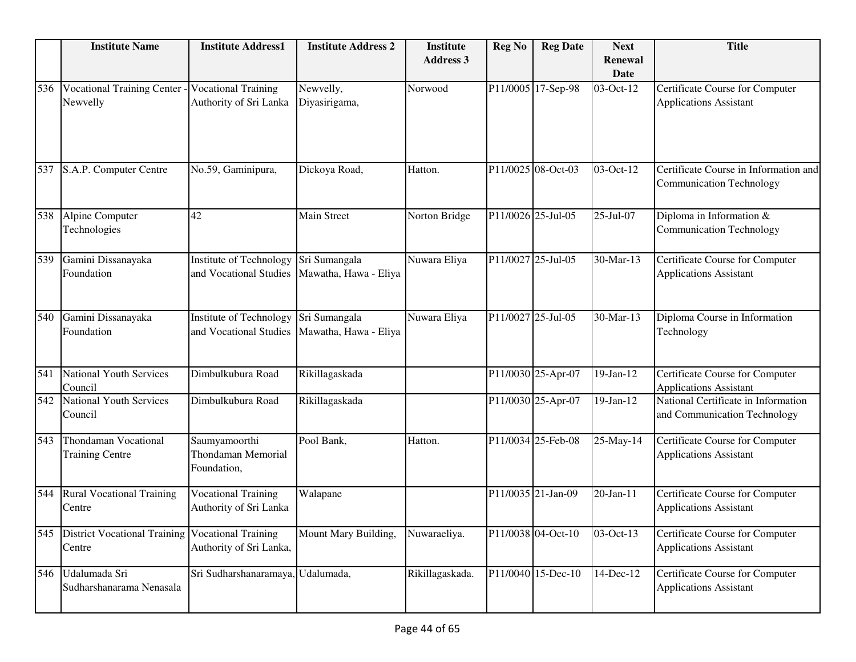|     | <b>Institute Name</b>                          | <b>Institute Address1</b>                                 | <b>Institute Address 2</b>             | <b>Institute</b><br><b>Address 3</b> | <b>Reg No</b>      | <b>Reg Date</b>    | <b>Next</b><br><b>Renewal</b><br><b>Date</b> | <b>Title</b>                                                             |
|-----|------------------------------------------------|-----------------------------------------------------------|----------------------------------------|--------------------------------------|--------------------|--------------------|----------------------------------------------|--------------------------------------------------------------------------|
| 536 | <b>Vocational Training Center</b><br>Newvelly  | <b>Vocational Training</b><br>Authority of Sri Lanka      | Newvelly,<br>Diyasirigama,             | Norwood                              |                    | P11/0005 17-Sep-98 | 03-Oct-12                                    | Certificate Course for Computer<br><b>Applications Assistant</b>         |
| 537 | S.A.P. Computer Centre                         | No.59, Gaminipura,                                        | Dickoya Road,                          | Hatton.                              |                    | P11/0025 08-Oct-03 | 03-Oct-12                                    | Certificate Course in Information and<br><b>Communication Technology</b> |
| 538 | Alpine Computer<br>Technologies                | 42                                                        | Main Street                            | Norton Bridge                        |                    | P11/0026 25-Jul-05 | 25-Jul-07                                    | Diploma in Information &<br><b>Communication Technology</b>              |
| 539 | Gamini Dissanayaka<br>Foundation               | <b>Institute of Technology</b><br>and Vocational Studies  | Sri Sumangala<br>Mawatha, Hawa - Eliya | Nuwara Eliya                         | P11/0027 25-Jul-05 |                    | 30-Mar-13                                    | Certificate Course for Computer<br><b>Applications Assistant</b>         |
| 540 | Gamini Dissanayaka<br>Foundation               | Institute of Technology<br>and Vocational Studies         | Sri Sumangala<br>Mawatha, Hawa - Eliya | Nuwara Eliya                         |                    | P11/0027 25-Jul-05 | 30-Mar-13                                    | Diploma Course in Information<br>Technology                              |
| 541 | <b>National Youth Services</b><br>Council      | Dimbulkubura Road                                         | Rikillagaskada                         |                                      |                    | P11/0030 25-Apr-07 | $19-Jan-12$                                  | Certificate Course for Computer<br><b>Applications Assistant</b>         |
| 542 | <b>National Youth Services</b><br>Council      | Dimbulkubura Road                                         | Rikillagaskada                         |                                      |                    | P11/0030 25-Apr-07 | $19-Jan-12$                                  | National Certificate in Information<br>and Communication Technology      |
| 543 | Thondaman Vocational<br><b>Training Centre</b> | Saumyamoorthi<br><b>Thondaman Memorial</b><br>Foundation, | Pool Bank,                             | Hatton.                              |                    | P11/0034 25-Feb-08 | 25-May-14                                    | Certificate Course for Computer<br><b>Applications Assistant</b>         |
| 544 | <b>Rural Vocational Training</b><br>Centre     | <b>Vocational Training</b><br>Authority of Sri Lanka      | Walapane                               |                                      |                    | P11/0035 21-Jan-09 | 20-Jan-11                                    | Certificate Course for Computer<br><b>Applications Assistant</b>         |
| 545 | <b>District Vocational Training</b><br>Centre  | <b>Vocational Training</b><br>Authority of Sri Lanka,     | Mount Mary Building,                   | Nuwaraeliya.                         |                    | P11/0038 04-Oct-10 | 03-Oct-13                                    | Certificate Course for Computer<br><b>Applications Assistant</b>         |
| 546 | Udalumada Sri<br>Sudharshanarama Nenasala      | Sri Sudharshanaramaya, Udalumada,                         |                                        | Rikillagaskada.                      |                    | P11/0040 15-Dec-10 | 14-Dec-12                                    | Certificate Course for Computer<br><b>Applications Assistant</b>         |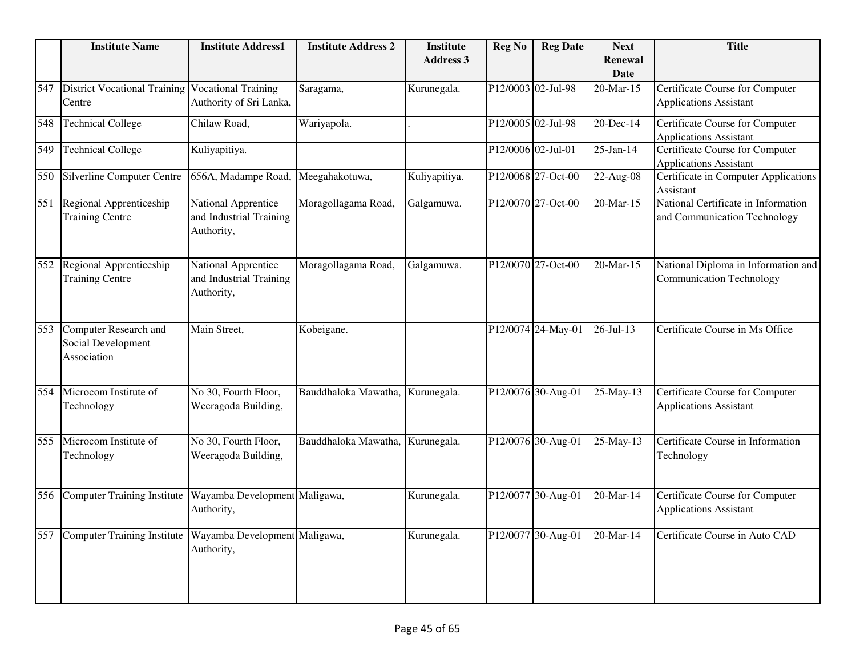|     | <b>Institute Name</b>                                             | <b>Institute Address1</b>                                    | <b>Institute Address 2</b>       | <b>Institute</b><br><b>Address 3</b> | <b>Reg No</b>      | <b>Reg Date</b>    | <b>Next</b>                   | <b>Title</b>                                                            |
|-----|-------------------------------------------------------------------|--------------------------------------------------------------|----------------------------------|--------------------------------------|--------------------|--------------------|-------------------------------|-------------------------------------------------------------------------|
|     |                                                                   |                                                              |                                  |                                      |                    |                    | <b>Renewal</b><br><b>Date</b> |                                                                         |
| 547 | <b>District Vocational Training</b><br>Centre                     | <b>Vocational Training</b><br>Authority of Sri Lanka,        | Saragama,                        | Kurunegala.                          | P12/0003 02-Jul-98 |                    | 20-Mar-15                     | Certificate Course for Computer<br><b>Applications Assistant</b>        |
| 548 | <b>Technical College</b>                                          | Chilaw Road,                                                 | Wariyapola.                      |                                      |                    | P12/0005 02-Jul-98 | 20-Dec-14                     | Certificate Course for Computer<br><b>Applications Assistant</b>        |
| 549 | <b>Technical College</b>                                          | Kuliyapitiya.                                                |                                  |                                      | P12/0006 02-Jul-01 |                    | $25$ -Jan-14                  | Certificate Course for Computer<br><b>Applications Assistant</b>        |
| 550 | Silverline Computer Centre                                        | 656A, Madampe Road,                                          | Meegahakotuwa,                   | Kuliyapitiya.                        |                    | P12/0068 27-Oct-00 | 22-Aug-08                     | Certificate in Computer Applications<br>Assistant                       |
| 551 | Regional Apprenticeship<br><b>Training Centre</b>                 | National Apprentice<br>and Industrial Training<br>Authority, | Moragollagama Road,              | Galgamuwa.                           |                    | P12/0070 27-Oct-00 | 20-Mar-15                     | National Certificate in Information<br>and Communication Technology     |
| 552 | Regional Apprenticeship<br><b>Training Centre</b>                 | National Apprentice<br>and Industrial Training<br>Authority, | Moragollagama Road,              | Galgamuwa.                           |                    | P12/0070 27-Oct-00 | 20-Mar-15                     | National Diploma in Information and<br><b>Communication Technology</b>  |
| 553 | <b>Computer Research and</b><br>Social Development<br>Association | Main Street,                                                 | Kobeigane.                       |                                      |                    | P12/0074 24-May-01 | $26 - Jul - 13$               | Certificate Course in Ms Office                                         |
| 554 | Microcom Institute of<br>Technology                               | No 30, Fourth Floor,<br>Weeragoda Building,                  | Bauddhaloka Mawatha, Kurunegala. |                                      |                    | P12/0076 30-Aug-01 | 25-May-13                     | <b>Certificate Course for Computer</b><br><b>Applications Assistant</b> |
| 555 | Microcom Institute of<br>Technology                               | No 30, Fourth Floor,<br>Weeragoda Building,                  | Bauddhaloka Mawatha,             | Kurunegala.                          |                    | P12/0076 30-Aug-01 | 25-May-13                     | Certificate Course in Information<br>Technology                         |
| 556 | <b>Computer Training Institute</b>                                | Wayamba Development Maligawa,<br>Authority,                  |                                  | Kurunegala.                          |                    | P12/0077 30-Aug-01 | 20-Mar-14                     | Certificate Course for Computer<br><b>Applications Assistant</b>        |
| 557 | <b>Computer Training Institute</b>                                | Wayamba Development Maligawa,<br>Authority,                  |                                  | Kurunegala.                          |                    | P12/0077 30-Aug-01 | $20$ -Mar-14                  | Certificate Course in Auto CAD                                          |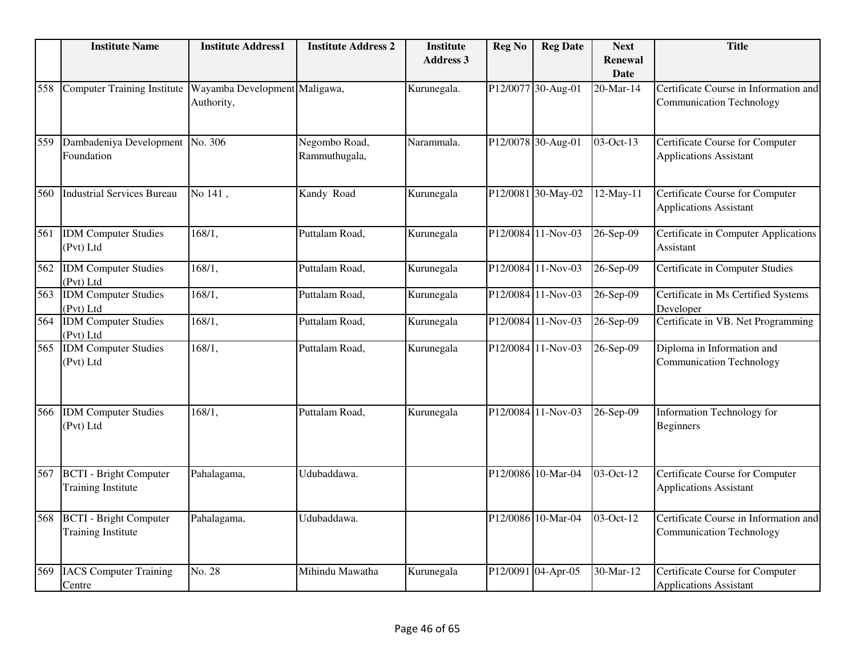|     | <b>Institute Name</b>                                      | <b>Institute Address1</b>                   | <b>Institute Address 2</b>     | <b>Institute</b><br><b>Address 3</b> | <b>Reg No</b> | <b>Reg Date</b>    | <b>Next</b><br><b>Renewal</b><br><b>Date</b> | <b>Title</b>                                                             |
|-----|------------------------------------------------------------|---------------------------------------------|--------------------------------|--------------------------------------|---------------|--------------------|----------------------------------------------|--------------------------------------------------------------------------|
| 558 | <b>Computer Training Institute</b>                         | Wayamba Development Maligawa,<br>Authority, |                                | Kurunegala.                          |               | P12/0077 30-Aug-01 | 20-Mar-14                                    | Certificate Course in Information and<br><b>Communication Technology</b> |
| 559 | Dambadeniya Development No. 306<br>Foundation              |                                             | Negombo Road,<br>Rammuthugala, | Narammala.                           |               | P12/0078 30-Aug-01 | 03-Oct-13                                    | Certificate Course for Computer<br><b>Applications Assistant</b>         |
| 560 | <b>Industrial Services Bureau</b>                          | No 141,                                     | Kandy Road                     | Kurunegala                           |               | P12/0081 30-May-02 | 12-May-11                                    | Certificate Course for Computer<br><b>Applications Assistant</b>         |
| 561 | <b>IDM</b> Computer Studies<br>(Pvt) Ltd                   | 168/1,                                      | Puttalam Road,                 | Kurunegala                           |               | P12/0084 11-Nov-03 | 26-Sep-09                                    | Certificate in Computer Applications<br>Assistant                        |
| 562 | <b>IDM</b> Computer Studies<br>(Pvt) Ltd                   | 168/1,                                      | Puttalam Road,                 | Kurunegala                           |               | P12/0084 11-Nov-03 | 26-Sep-09                                    | Certificate in Computer Studies                                          |
| 563 | <b>IDM</b> Computer Studies<br>(Pvt) Ltd                   | 168/1,                                      | Puttalam Road,                 | Kurunegala                           |               | P12/0084 11-Nov-03 | 26-Sep-09                                    | Certificate in Ms Certified Systems<br>Developer                         |
| 564 | <b>IDM</b> Computer Studies<br>(Pvt) Ltd                   | 168/1,                                      | Puttalam Road,                 | Kurunegala                           | P12/0084      | $11-Nov-03$        | 26-Sep-09                                    | Certificate in VB. Net Programming                                       |
| 565 | <b>IDM</b> Computer Studies<br>(Pvt) Ltd                   | 168/1,                                      | Puttalam Road,                 | Kurunegala                           |               | P12/0084 11-Nov-03 | 26-Sep-09                                    | Diploma in Information and<br><b>Communication Technology</b>            |
| 566 | <b>IDM</b> Computer Studies<br>(Pvt) Ltd                   | 168/1,                                      | Puttalam Road,                 | Kurunegala                           |               | P12/0084 11-Nov-03 | 26-Sep-09                                    | Information Technology for<br><b>Beginners</b>                           |
| 567 | <b>BCTI</b> - Bright Computer<br><b>Training Institute</b> | Pahalagama,                                 | Udubaddawa.                    |                                      |               | P12/0086 10-Mar-04 | $\overline{03-Oct-12}$                       | <b>Certificate Course for Computer</b><br><b>Applications Assistant</b>  |
| 568 | <b>BCTI</b> - Bright Computer<br><b>Training Institute</b> | Pahalagama,                                 | Udubaddawa.                    |                                      |               | P12/0086 10-Mar-04 | $03-Oct-12$                                  | Certificate Course in Information and<br><b>Communication Technology</b> |
| 569 | <b>IACS</b> Computer Training<br>Centre                    | No. 28                                      | Mihindu Mawatha                | Kurunegala                           |               | P12/0091 04-Apr-05 | 30-Mar-12                                    | Certificate Course for Computer<br><b>Applications Assistant</b>         |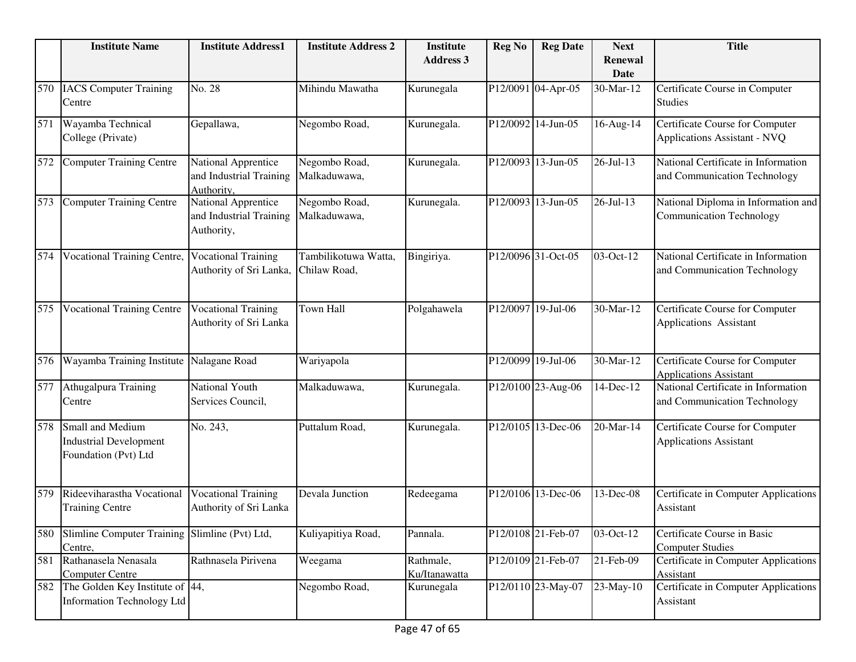|     | <b>Institute Name</b>                                                     | <b>Institute Address1</b>                                    | <b>Institute Address 2</b>           | <b>Institute</b><br><b>Address 3</b> | <b>Reg No</b>      | <b>Reg Date</b>    | <b>Next</b><br><b>Renewal</b><br><b>Date</b> | <b>Title</b>                                                           |
|-----|---------------------------------------------------------------------------|--------------------------------------------------------------|--------------------------------------|--------------------------------------|--------------------|--------------------|----------------------------------------------|------------------------------------------------------------------------|
| 570 | <b>IACS</b> Computer Training<br>Centre                                   | No. 28                                                       | Mihindu Mawatha                      | Kurunegala                           |                    | P12/0091 04-Apr-05 | 30-Mar-12                                    | Certificate Course in Computer<br><b>Studies</b>                       |
| 571 | Wayamba Technical<br>College (Private)                                    | Gepallawa,                                                   | Negombo Road,                        | Kurunegala.                          |                    | P12/0092 14-Jun-05 | 16-Aug-14                                    | Certificate Course for Computer<br>Applications Assistant - NVQ        |
| 572 | <b>Computer Training Centre</b>                                           | National Apprentice<br>and Industrial Training<br>Authority, | Negombo Road,<br>Malkaduwawa,        | Kurunegala.                          |                    | P12/0093 13-Jun-05 | 26-Jul-13                                    | National Certificate in Information<br>and Communication Technology    |
| 573 | <b>Computer Training Centre</b>                                           | National Apprentice<br>and Industrial Training<br>Authority, | Negombo Road,<br>Malkaduwawa,        | Kurunegala.                          |                    | P12/0093 13-Jun-05 | 26-Jul-13                                    | National Diploma in Information and<br><b>Communication Technology</b> |
| 574 | <b>Vocational Training Centre,</b>                                        | <b>Vocational Training</b><br>Authority of Sri Lanka,        | Tambilikotuwa Watta,<br>Chilaw Road, | Bingiriya.                           |                    | P12/0096 31-Oct-05 | 03-Oct-12                                    | National Certificate in Information<br>and Communication Technology    |
| 575 | <b>Vocational Training Centre</b>                                         | <b>Vocational Training</b><br>Authority of Sri Lanka         | Town Hall                            | Polgahawela                          | P12/0097 19-Jul-06 |                    | 30-Mar-12                                    | Certificate Course for Computer<br>Applications Assistant              |
| 576 | Wayamba Training Institute                                                | Nalagane Road                                                | Wariyapola                           |                                      | P12/0099 19-Jul-06 |                    | 30-Mar-12                                    | Certificate Course for Computer<br><b>Applications Assistant</b>       |
| 577 | Athugalpura Training<br>Centre                                            | National Youth<br>Services Council,                          | Malkaduwawa,                         | Kurunegala.                          |                    | P12/0100 23-Aug-06 | 14-Dec-12                                    | National Certificate in Information<br>and Communication Technology    |
| 578 | Small and Medium<br><b>Industrial Development</b><br>Foundation (Pvt) Ltd | No. 243,                                                     | Puttalum Road,                       | Kurunegala.                          |                    | P12/0105 13-Dec-06 | 20-Mar-14                                    | Certificate Course for Computer<br><b>Applications Assistant</b>       |
| 579 | Rideeviharastha Vocational<br><b>Training Centre</b>                      | <b>Vocational Training</b><br>Authority of Sri Lanka         | Devala Junction                      | Redeegama                            |                    | P12/0106 13-Dec-06 | 13-Dec-08                                    | Certificate in Computer Applications<br>Assistant                      |
| 580 | Slimline Computer Training Slimline (Pvt) Ltd,<br>Centre,                 |                                                              | Kuliyapitiya Road,                   | Pannala.                             |                    | P12/0108 21-Feb-07 | 03-Oct-12                                    | Certificate Course in Basic<br><b>Computer Studies</b>                 |
| 581 | Rathanasela Nenasala<br><b>Computer Centre</b>                            | Rathnasela Pirivena                                          | Weegama                              | Rathmale,<br>Ku/Itanawatta           |                    | P12/0109 21-Feb-07 | 21-Feb-09                                    | Certificate in Computer Applications<br>Assistant                      |
| 582 | The Golden Key Institute of 44,<br>Information Technology Ltd             |                                                              | Negombo Road,                        | Kurunegala                           |                    | P12/0110 23-May-07 | 23-May-10                                    | Certificate in Computer Applications<br>Assistant                      |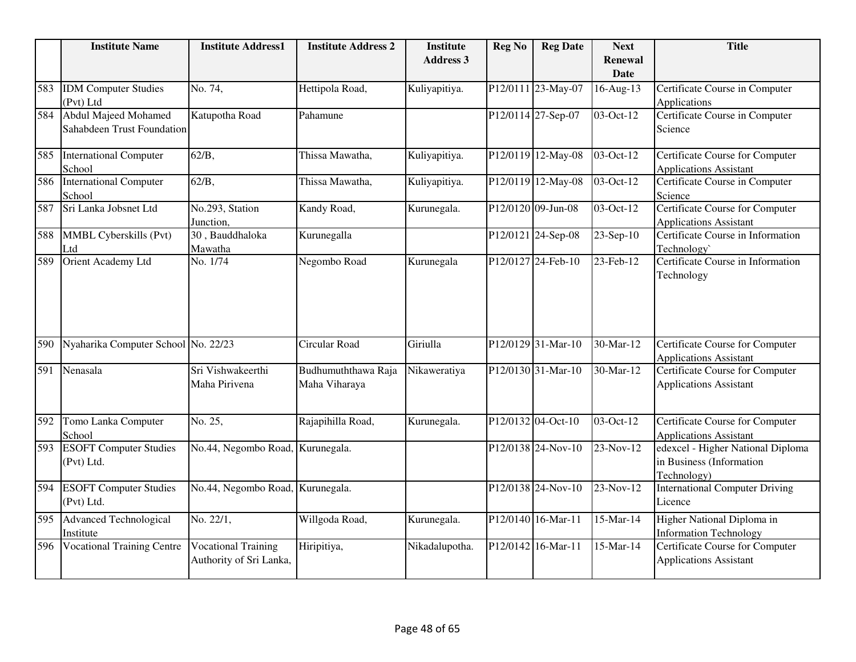|     | <b>Institute Name</b>               | <b>Institute Address1</b>        | <b>Institute Address 2</b> | <b>Institute</b> | <b>Reg No</b> | <b>Reg Date</b>    | <b>Next</b>             | <b>Title</b>                                                            |
|-----|-------------------------------------|----------------------------------|----------------------------|------------------|---------------|--------------------|-------------------------|-------------------------------------------------------------------------|
|     |                                     |                                  |                            | <b>Address 3</b> |               |                    | <b>Renewal</b>          |                                                                         |
|     |                                     |                                  |                            |                  |               |                    | <b>Date</b>             |                                                                         |
| 583 | <b>IDM</b> Computer Studies         | No. 74,                          | Hettipola Road,            | Kuliyapitiya.    |               | P12/0111 23-May-07 | 16-Aug-13               | Certificate Course in Computer                                          |
|     | (Pvt) Ltd                           |                                  |                            |                  |               |                    |                         | Applications                                                            |
| 584 | <b>Abdul Majeed Mohamed</b>         | Katupotha Road                   | Pahamune                   |                  |               | P12/0114 27-Sep-07 | 03-Oct-12               | Certificate Course in Computer                                          |
|     | <b>Sahabdeen Trust Foundation</b>   |                                  |                            |                  |               |                    |                         | Science                                                                 |
| 585 | <b>International Computer</b>       | $62/B$ ,                         | Thissa Mawatha,            | Kuliyapitiya.    |               | P12/0119 12-May-08 | 03-Oct-12               | Certificate Course for Computer                                         |
|     | School                              |                                  |                            |                  |               |                    |                         | <b>Applications Assistant</b>                                           |
| 586 | <b>International Computer</b>       | $62/B$ ,                         | Thissa Mawatha,            | Kuliyapitiya.    |               | P12/0119 12-May-08 | $\overline{03-Oct-12}$  | Certificate Course in Computer                                          |
|     | School                              |                                  |                            |                  |               |                    |                         | Science                                                                 |
| 587 | Sri Lanka Jobsnet Ltd               | No.293, Station<br>Junction,     | Kandy Road,                | Kurunegala.      |               | P12/0120 09-Jun-08 | $\overline{03}$ -Oct-12 | <b>Certificate Course for Computer</b><br><b>Applications Assistant</b> |
| 588 | MMBL Cyberskills (Pvt)              | 30, Bauddhaloka                  | Kurunegalla                |                  |               | P12/0121 24-Sep-08 | 23-Sep-10               | Certificate Course in Information                                       |
|     | Ltd                                 | Mawatha                          |                            |                  |               |                    |                         | Technology`                                                             |
| 589 | Orient Academy Ltd                  | No. 1/74                         | Negombo Road               | Kurunegala       |               | P12/0127 24-Feb-10 | 23-Feb-12               | Certificate Course in Information                                       |
|     |                                     |                                  |                            |                  |               |                    |                         | Technology                                                              |
|     |                                     |                                  |                            |                  |               |                    |                         |                                                                         |
|     |                                     |                                  |                            |                  |               |                    |                         |                                                                         |
|     |                                     |                                  |                            |                  |               |                    |                         |                                                                         |
|     |                                     |                                  |                            |                  |               |                    |                         |                                                                         |
| 590 | Nyaharika Computer School No. 22/23 |                                  | Circular Road              | Giriulla         |               | P12/0129 31-Mar-10 | 30-Mar-12               | Certificate Course for Computer                                         |
|     |                                     |                                  |                            |                  |               |                    |                         | <b>Applications Assistant</b>                                           |
| 591 | Nenasala                            | Sri Vishwakeerthi                | Budhumuththawa Raja        | Nikaweratiya     |               | P12/0130 31-Mar-10 | 30-Mar-12               | <b>Certificate Course for Computer</b>                                  |
|     |                                     | Maha Pirivena                    | Maha Viharaya              |                  |               |                    |                         | <b>Applications Assistant</b>                                           |
|     |                                     |                                  |                            |                  |               |                    |                         |                                                                         |
| 592 | Tomo Lanka Computer                 | No. 25,                          | Rajapihilla Road,          | Kurunegala.      |               | P12/0132 04-Oct-10 | 03-Oct-12               | Certificate Course for Computer                                         |
|     | School                              |                                  |                            |                  |               |                    |                         | <b>Applications Assistant</b>                                           |
| 593 | <b>ESOFT Computer Studies</b>       | No.44, Negombo Road, Kurunegala. |                            |                  |               | P12/0138 24-Nov-10 | 23-Nov-12               | edexcel - Higher National Diploma                                       |
|     | (Pvt) Ltd.                          |                                  |                            |                  |               |                    |                         | in Business (Information                                                |
|     |                                     |                                  |                            |                  |               |                    |                         | Technology)                                                             |
| 594 | <b>ESOFT Computer Studies</b>       | No.44, Negombo Road,             | Kurunegala.                |                  |               | P12/0138 24-Nov-10 | 23-Nov-12               | <b>International Computer Driving</b>                                   |
|     | (Pvt) Ltd.                          |                                  |                            |                  |               |                    |                         | Licence                                                                 |
| 595 | Advanced Technological              | No. 22/1,                        | Willgoda Road,             | Kurunegala.      |               | P12/0140 16-Mar-11 | 15-Mar-14               | Higher National Diploma in                                              |
|     | Institute                           |                                  |                            |                  |               |                    |                         | <b>Information Technology</b>                                           |
| 596 | <b>Vocational Training Centre</b>   | <b>Vocational Training</b>       | Hiripitiya,                | Nikadalupotha.   |               | P12/0142 16-Mar-11 | 15-Mar-14               | <b>Certificate Course for Computer</b>                                  |
|     |                                     | Authority of Sri Lanka,          |                            |                  |               |                    |                         | <b>Applications Assistant</b>                                           |
|     |                                     |                                  |                            |                  |               |                    |                         |                                                                         |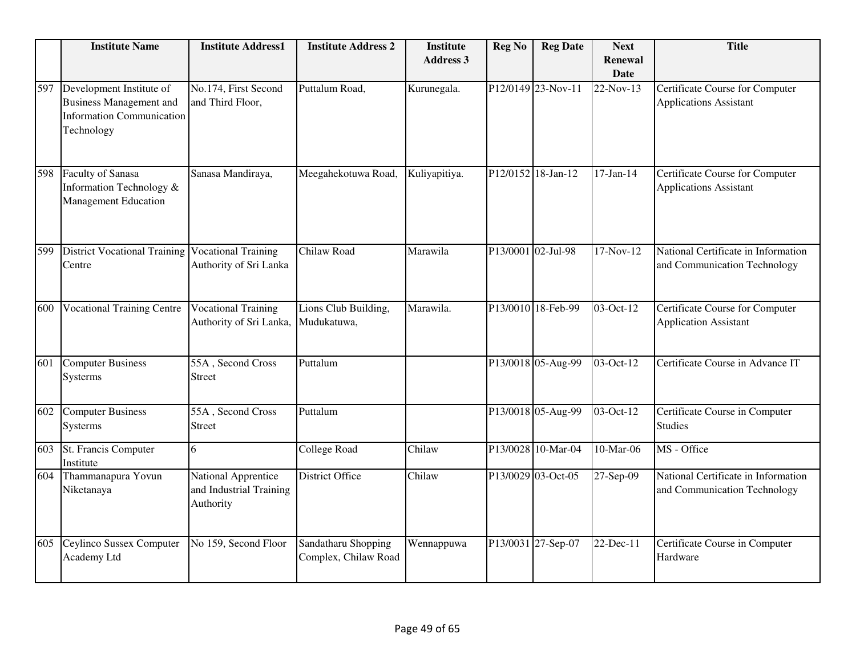|     | <b>Institute Name</b>                                                                                        | <b>Institute Address1</b>                                          | <b>Institute Address 2</b>                  | <b>Institute</b><br><b>Address 3</b> | <b>Reg No</b>      | <b>Reg Date</b>    | <b>Next</b><br><b>Renewal</b><br><b>Date</b> | <b>Title</b>                                                        |
|-----|--------------------------------------------------------------------------------------------------------------|--------------------------------------------------------------------|---------------------------------------------|--------------------------------------|--------------------|--------------------|----------------------------------------------|---------------------------------------------------------------------|
| 597 | Development Institute of<br><b>Business Management and</b><br><b>Information Communication</b><br>Technology | No.174, First Second<br>and Third Floor,                           | Puttalum Road,                              | Kurunegala.                          |                    | P12/0149 23-Nov-11 | 22-Nov-13                                    | Certificate Course for Computer<br><b>Applications Assistant</b>    |
| 598 | Faculty of Sanasa<br>Information Technology &<br><b>Management Education</b>                                 | Sanasa Mandiraya,                                                  | Meegahekotuwa Road,                         | Kuliyapitiya.                        |                    | P12/0152 18-Jan-12 | $17-Jan-14$                                  | Certificate Course for Computer<br><b>Applications Assistant</b>    |
| 599 | <b>District Vocational Training</b><br>Centre                                                                | <b>Vocational Training</b><br>Authority of Sri Lanka               | Chilaw Road                                 | Marawila                             | P13/0001 02-Jul-98 |                    | 17-Nov-12                                    | National Certificate in Information<br>and Communication Technology |
| 600 | <b>Vocational Training Centre</b>                                                                            | <b>Vocational Training</b><br>Authority of Sri Lanka,              | Lions Club Building,<br>Mudukatuwa,         | Marawila.                            |                    | P13/0010 18-Feb-99 | 03-Oct-12                                    | Certificate Course for Computer<br><b>Application Assistant</b>     |
| 601 | <b>Computer Business</b><br>Systerms                                                                         | 55A, Second Cross<br><b>Street</b>                                 | Puttalum                                    |                                      |                    | P13/0018 05-Aug-99 | 03-Oct-12                                    | Certificate Course in Advance IT                                    |
| 602 | <b>Computer Business</b><br>Systerms                                                                         | 55A, Second Cross<br><b>Street</b>                                 | Puttalum                                    |                                      |                    | P13/0018 05-Aug-99 | 03-Oct-12                                    | Certificate Course in Computer<br><b>Studies</b>                    |
| 603 | St. Francis Computer<br>Institute                                                                            | 6                                                                  | <b>College Road</b>                         | Chilaw                               |                    | P13/0028 10-Mar-04 | 10-Mar-06                                    | MS - Office                                                         |
| 604 | Thammanapura Yovun<br>Niketanaya                                                                             | <b>National Apprentice</b><br>and Industrial Training<br>Authority | District Office                             | Chilaw                               |                    | P13/0029 03-Oct-05 | $\overline{27}$ -Sep-09                      | National Certificate in Information<br>and Communication Technology |
| 605 | Ceylinco Sussex Computer<br>Academy Ltd                                                                      | No 159, Second Floor                                               | Sandatharu Shopping<br>Complex, Chilaw Road | Wennappuwa                           |                    | P13/0031 27-Sep-07 | 22-Dec-11                                    | Certificate Course in Computer<br>Hardware                          |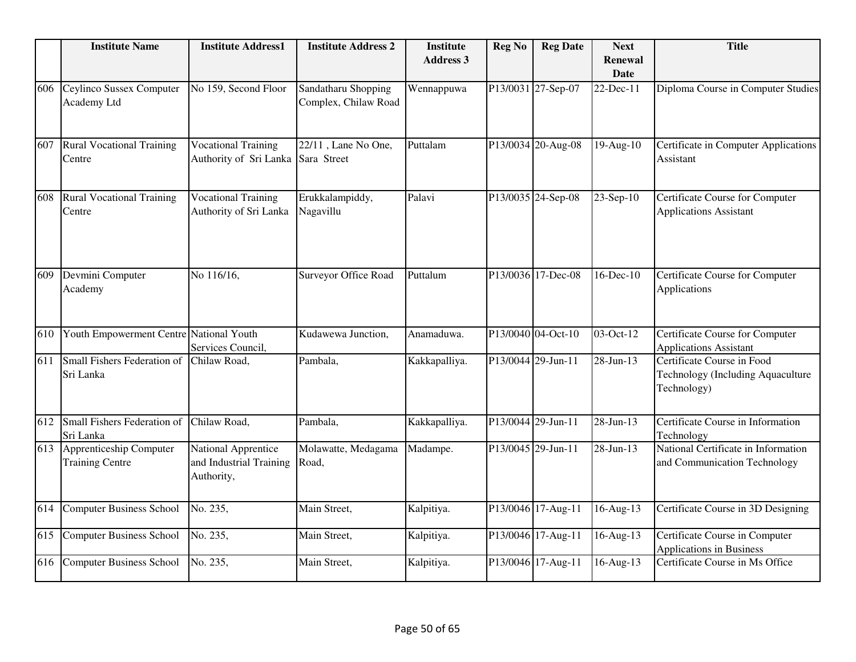|     | <b>Institute Name</b>                             | <b>Institute Address1</b>                                        | <b>Institute Address 2</b>                  | <b>Institute</b> | <b>Reg No</b> | <b>Reg Date</b>    | <b>Next</b>                   | <b>Title</b>                                                                   |
|-----|---------------------------------------------------|------------------------------------------------------------------|---------------------------------------------|------------------|---------------|--------------------|-------------------------------|--------------------------------------------------------------------------------|
|     |                                                   |                                                                  |                                             | <b>Address 3</b> |               |                    | <b>Renewal</b><br><b>Date</b> |                                                                                |
| 606 | Ceylinco Sussex Computer<br>Academy Ltd           | No 159, Second Floor                                             | Sandatharu Shopping<br>Complex, Chilaw Road | Wennappuwa       |               | P13/0031 27-Sep-07 | 22-Dec-11                     | Diploma Course in Computer Studies                                             |
| 607 | <b>Rural Vocational Training</b><br>Centre        | <b>Vocational Training</b><br>Authority of Sri Lanka Sara Street | 22/11, Lane No One,                         | Puttalam         |               | P13/0034 20-Aug-08 | 19-Aug-10                     | Certificate in Computer Applications<br>Assistant                              |
| 608 | <b>Rural Vocational Training</b><br>Centre        | <b>Vocational Training</b><br>Authority of Sri Lanka             | Erukkalampiddy,<br>Nagavillu                | Palavi           |               | P13/0035 24-Sep-08 | 23-Sep-10                     | Certificate Course for Computer<br><b>Applications Assistant</b>               |
| 609 | Devmini Computer<br>Academy                       | No 116/16.                                                       | Surveyor Office Road                        | Puttalum         |               | P13/0036 17-Dec-08 | 16-Dec-10                     | Certificate Course for Computer<br>Applications                                |
| 610 | Youth Empowerment Centre National Youth           | Services Council,                                                | Kudawewa Junction,                          | Anamaduwa.       |               | P13/0040 04-Oct-10 | 03-Oct-12                     | <b>Certificate Course for Computer</b><br><b>Applications Assistant</b>        |
| 611 | Small Fishers Federation of<br>Sri Lanka          | Chilaw Road,                                                     | Pambala,                                    | Kakkapalliya.    |               | P13/0044 29-Jun-11 | 28-Jun-13                     | Certificate Course in Food<br>Technology (Including Aquaculture<br>Technology) |
| 612 | Small Fishers Federation of<br>Sri Lanka          | Chilaw Road,                                                     | Pambala,                                    | Kakkapalliya.    |               | P13/0044 29-Jun-11 | 28-Jun-13                     | Certificate Course in Information<br>Technology                                |
| 613 | Apprenticeship Computer<br><b>Training Centre</b> | National Apprentice<br>and Industrial Training<br>Authority,     | Molawatte, Medagama<br>Road,                | Madampe.         |               | P13/0045 29-Jun-11 | 28-Jun-13                     | National Certificate in Information<br>and Communication Technology            |
| 614 | <b>Computer Business School</b>                   | No. 235,                                                         | Main Street,                                | Kalpitiya.       |               | P13/0046 17-Aug-11 | 16-Aug-13                     | Certificate Course in 3D Designing                                             |
| 615 | Computer Business School                          | No. 235,                                                         | Main Street,                                | Kalpitiya.       |               | P13/0046 17-Aug-11 | 16-Aug-13                     | Certificate Course in Computer<br><b>Applications in Business</b>              |
| 616 | Computer Business School                          | No. 235,                                                         | Main Street,                                | Kalpitiya.       |               | P13/0046 17-Aug-11 | 16-Aug-13                     | Certificate Course in Ms Office                                                |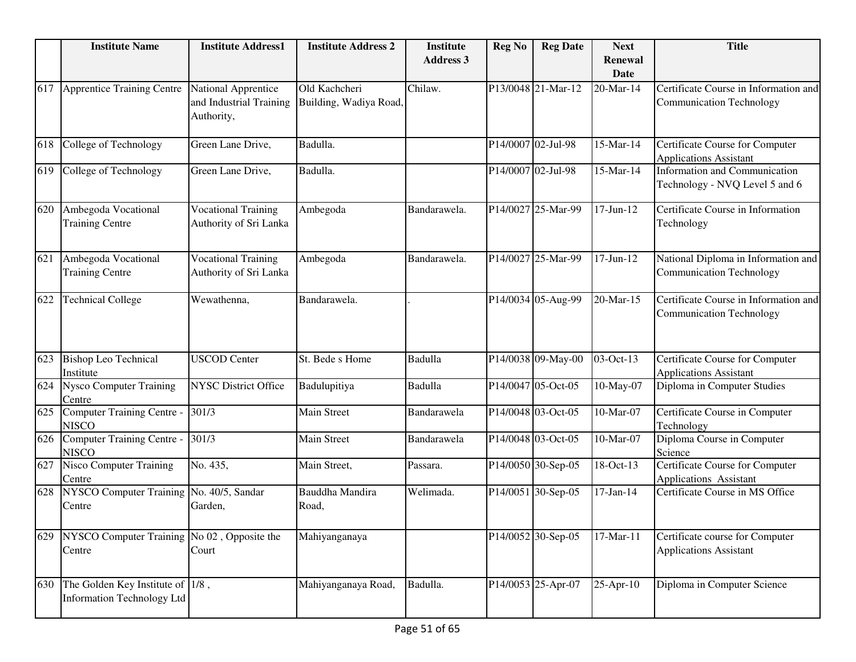|     | <b>Institute Name</b>                                                     | <b>Institute Address1</b>                                    | <b>Institute Address 2</b>              | <b>Institute</b><br><b>Address 3</b> | <b>Reg No</b> | <b>Reg Date</b>    | <b>Next</b><br><b>Renewal</b><br><b>Date</b> | <b>Title</b>                                                             |
|-----|---------------------------------------------------------------------------|--------------------------------------------------------------|-----------------------------------------|--------------------------------------|---------------|--------------------|----------------------------------------------|--------------------------------------------------------------------------|
| 617 | <b>Apprentice Training Centre</b>                                         | National Apprentice<br>and Industrial Training<br>Authority, | Old Kachcheri<br>Building, Wadiya Road, | Chilaw.                              |               | P13/0048 21-Mar-12 | 20-Mar-14                                    | Certificate Course in Information and<br><b>Communication Technology</b> |
| 618 | College of Technology                                                     | Green Lane Drive,                                            | Badulla.                                |                                      |               | P14/0007 02-Jul-98 | 15-Mar-14                                    | Certificate Course for Computer<br><b>Applications Assistant</b>         |
| 619 | College of Technology                                                     | Green Lane Drive,                                            | Badulla.                                |                                      |               | P14/0007 02-Jul-98 | 15-Mar-14                                    | Information and Communication<br>Technology - NVQ Level 5 and 6          |
| 620 | Ambegoda Vocational<br><b>Training Centre</b>                             | <b>Vocational Training</b><br>Authority of Sri Lanka         | Ambegoda                                | Bandarawela.                         |               | P14/0027 25-Mar-99 | $17$ -Jun- $12$                              | Certificate Course in Information<br>Technology                          |
| 621 | Ambegoda Vocational<br><b>Training Centre</b>                             | <b>Vocational Training</b><br>Authority of Sri Lanka         | Ambegoda                                | Bandarawela.                         |               | P14/0027 25-Mar-99 | $17$ -Jun- $12$                              | National Diploma in Information and<br><b>Communication Technology</b>   |
| 622 | <b>Technical College</b>                                                  | Wewathenna,                                                  | Bandarawela.                            |                                      |               | P14/0034 05-Aug-99 | 20-Mar-15                                    | Certificate Course in Information and<br><b>Communication Technology</b> |
| 623 | <b>Bishop Leo Technical</b><br>Institute                                  | <b>USCOD Center</b>                                          | St. Bede s Home                         | Badulla                              |               | P14/0038 09-May-00 | 03-Oct-13                                    | Certificate Course for Computer<br><b>Applications Assistant</b>         |
| 624 | <b>Nysco Computer Training</b><br>Centre                                  | <b>NYSC District Office</b>                                  | Badulupitiya                            | Badulla                              |               | P14/0047 05-Oct-05 | 10-May-07                                    | Diploma in Computer Studies                                              |
| 625 | Computer Training Centre -<br><b>NISCO</b>                                | 301/3                                                        | Main Street                             | Bandarawela                          |               | P14/0048 03-Oct-05 | 10-Mar-07                                    | Certificate Course in Computer<br>Technology                             |
| 626 | Computer Training Centre -<br><b>NISCO</b>                                | $\frac{1}{3}01/3$                                            | Main Street                             | Bandarawela                          |               | P14/0048 03-Oct-05 | 10-Mar-07                                    | Diploma Course in Computer<br>Science                                    |
| 627 | <b>Nisco Computer Training</b><br>Centre                                  | No. 435,                                                     | Main Street,                            | Passara.                             |               | P14/0050 30-Sep-05 | $\overline{18}$ -Oct-13                      | Certificate Course for Computer<br>Applications Assistant                |
| 628 | NYSCO Computer Training No. 40/5, Sandar<br>Centre                        | Garden,                                                      | Bauddha Mandira<br>Road,                | Welimada.                            |               | P14/0051 30-Sep-05 | $17$ -Jan- $14$                              | Certificate Course in MS Office                                          |
| 629 | NYSCO Computer Training No 02, Opposite the<br>Centre                     | Court                                                        | Mahiyanganaya                           |                                      |               | P14/0052 30-Sep-05 | 17-Mar-11                                    | Certificate course for Computer<br><b>Applications Assistant</b>         |
| 630 | The Golden Key Institute of $ 1/8$ ,<br><b>Information Technology Ltd</b> |                                                              | Mahiyanganaya Road,                     | Badulla.                             |               | P14/0053 25-Apr-07 | 25-Apr-10                                    | Diploma in Computer Science                                              |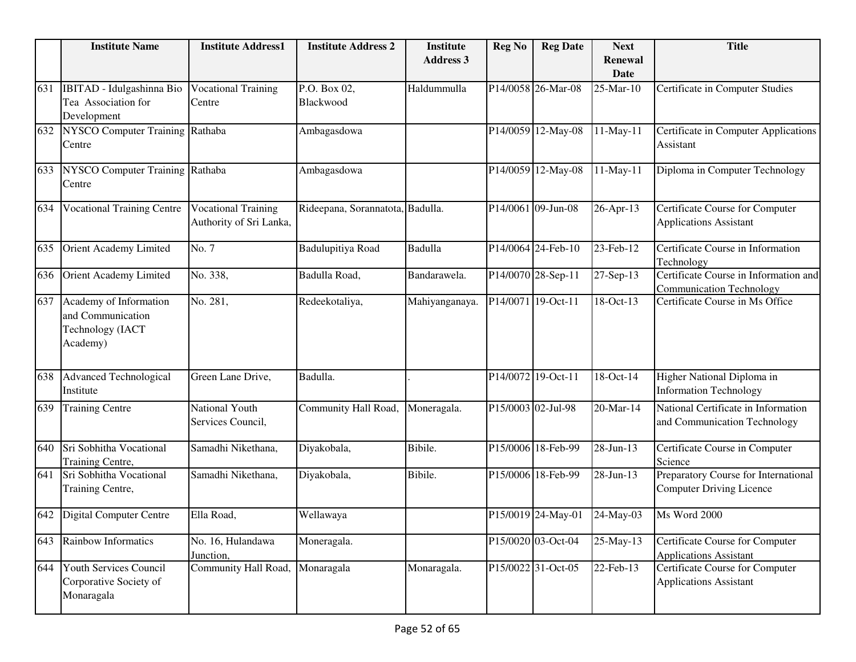|     | <b>Institute Name</b>                                                       | <b>Institute Address1</b>                             | <b>Institute Address 2</b> | <b>Institute</b><br><b>Address 3</b> | <b>Reg No</b> | <b>Reg Date</b>    | <b>Next</b><br><b>Renewal</b><br><b>Date</b> | <b>Title</b>                                                             |
|-----|-----------------------------------------------------------------------------|-------------------------------------------------------|----------------------------|--------------------------------------|---------------|--------------------|----------------------------------------------|--------------------------------------------------------------------------|
| 631 | IBITAD - Idulgashinna Bio<br>Tea Association for<br>Development             | <b>Vocational Training</b><br>Centre                  | P.O. Box 02,<br>Blackwood  | Haldummulla                          |               | P14/0058 26-Mar-08 | 25-Mar-10                                    | Certificate in Computer Studies                                          |
| 632 | NYSCO Computer Training Rathaba<br>Centre                                   |                                                       | Ambagasdowa                |                                      |               | P14/0059 12-May-08 | 11-May-11                                    | Certificate in Computer Applications<br>Assistant                        |
| 633 | NYSCO Computer Training Rathaba<br>Centre                                   |                                                       | Ambagasdowa                |                                      |               | P14/0059 12-May-08 | 11-May-11                                    | Diploma in Computer Technology                                           |
| 634 | <b>Vocational Training Centre</b>                                           | <b>Vocational Training</b><br>Authority of Sri Lanka, | Rideepana, Sorannatota,    | Badulla.                             |               | P14/0061 09-Jun-08 | 26-Apr-13                                    | Certificate Course for Computer<br><b>Applications Assistant</b>         |
| 635 | Orient Academy Limited                                                      | No. 7                                                 | Badulupitiya Road          | Badulla                              |               | P14/0064 24-Feb-10 | 23-Feb-12                                    | Certificate Course in Information<br>Technology                          |
| 636 | Orient Academy Limited                                                      | No. 338,                                              | Badulla Road,              | Bandarawela.                         |               | P14/0070 28-Sep-11 | 27-Sep-13                                    | Certificate Course in Information and<br><b>Communication Technology</b> |
| 637 | Academy of Information<br>and Communication<br>Technology (IACT<br>Academy) | No. 281,                                              | Redeekotaliya,             | Mahiyanganaya.                       |               | P14/0071 19-Oct-11 | $18-Oct-13$                                  | Certificate Course in Ms Office                                          |
| 638 | <b>Advanced Technological</b><br>Institute                                  | Green Lane Drive,                                     | Badulla.                   |                                      |               | P14/0072 19-Oct-11 | 18-Oct-14                                    | Higher National Diploma in<br><b>Information Technology</b>              |
| 639 | Training Centre                                                             | National Youth<br>Services Council,                   | Community Hall Road,       | Moneragala.                          |               | P15/0003 02-Jul-98 | 20-Mar-14                                    | National Certificate in Information<br>and Communication Technology      |
| 640 | Sri Sobhitha Vocational<br>Training Centre,                                 | Samadhi Nikethana,                                    | Diyakobala,                | Bibile.                              |               | P15/0006 18-Feb-99 | 28-Jun-13                                    | Certificate Course in Computer<br>Science                                |
| 641 | Sri Sobhitha Vocational<br>Training Centre,                                 | Samadhi Nikethana,                                    | Diyakobala,                | Bibile.                              |               | P15/0006 18-Feb-99 | 28-Jun-13                                    | Preparatory Course for International<br><b>Computer Driving Licence</b>  |
| 642 | <b>Digital Computer Centre</b>                                              | Ella Road,                                            | Wellawaya                  |                                      |               | P15/0019 24-May-01 | 24-May-03                                    | Ms Word 2000                                                             |
| 643 | Rainbow Informatics                                                         | No. 16, Hulandawa<br>Junction,                        | Moneragala.                |                                      |               | P15/0020 03-Oct-04 | 25-May-13                                    | Certificate Course for Computer<br><b>Applications Assistant</b>         |
| 644 | Youth Services Council<br>Corporative Society of<br>Monaragala              | Community Hall Road, Monaragala                       |                            | Monaragala.                          |               | P15/0022 31-Oct-05 | 22-Feb-13                                    | Certificate Course for Computer<br><b>Applications Assistant</b>         |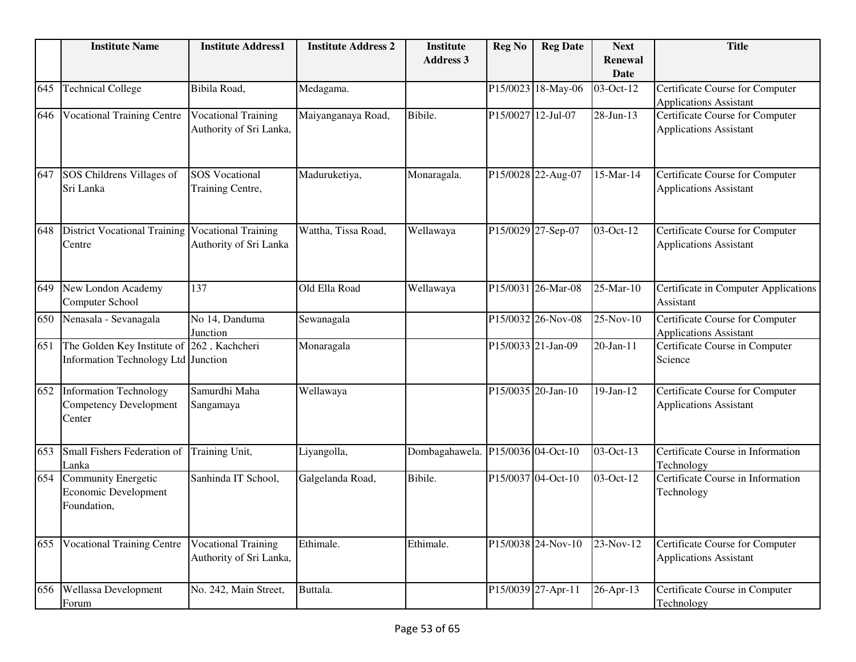|     | <b>Institute Name</b>                                                    | <b>Institute Address1</b>                             | <b>Institute Address 2</b> | <b>Institute</b>                  | <b>Reg No</b> | <b>Reg Date</b>    | <b>Next</b>            | <b>Title</b>                                                     |
|-----|--------------------------------------------------------------------------|-------------------------------------------------------|----------------------------|-----------------------------------|---------------|--------------------|------------------------|------------------------------------------------------------------|
|     |                                                                          |                                                       |                            | <b>Address 3</b>                  |               |                    | Renewal<br><b>Date</b> |                                                                  |
| 645 | <b>Technical College</b>                                                 | Bibila Road,                                          | Medagama.                  |                                   |               | P15/0023 18-May-06 | 03-Oct-12              | Certificate Course for Computer<br><b>Applications Assistant</b> |
| 646 | <b>Vocational Training Centre</b>                                        | <b>Vocational Training</b><br>Authority of Sri Lanka, | Maiyanganaya Road,         | Bibile.                           | P15/0027      | $12-Jul-07$        | 28-Jun-13              | Certificate Course for Computer<br><b>Applications Assistant</b> |
| 647 | SOS Childrens Villages of<br>Sri Lanka                                   | <b>SOS</b> Vocational<br>Training Centre,             | Maduruketiya,              | Monaragala.                       |               | P15/0028 22-Aug-07 | 15-Mar-14              | Certificate Course for Computer<br><b>Applications Assistant</b> |
| 648 | <b>District Vocational Training</b><br>Centre                            | <b>Vocational Training</b><br>Authority of Sri Lanka  | Wattha, Tissa Road,        | Wellawaya                         |               | P15/0029 27-Sep-07 | 03-Oct-12              | Certificate Course for Computer<br><b>Applications Assistant</b> |
| 649 | New London Academy<br>Computer School                                    | 137                                                   | Old Ella Road              | Wellawaya                         |               | P15/0031 26-Mar-08 | 25-Mar-10              | Certificate in Computer Applications<br>Assistant                |
| 650 | Nenasala - Sevanagala                                                    | No 14, Danduma<br>Junction                            | Sewanagala                 |                                   |               | P15/0032 26-Nov-08 | 25-Nov-10              | Certificate Course for Computer<br><b>Applications Assistant</b> |
| 651 | The Golden Key Institute of<br>Information Technology Ltd Junction       | 262, Kachcheri                                        | Monaragala                 |                                   |               | P15/0033 21-Jan-09 | 20-Jan-11              | Certificate Course in Computer<br>Science                        |
| 652 | <b>Information Technology</b><br><b>Competency Development</b><br>Center | Samurdhi Maha<br>Sangamaya                            | Wellawaya                  |                                   |               | P15/0035 20-Jan-10 | 19-Jan-12              | Certificate Course for Computer<br><b>Applications Assistant</b> |
| 653 | Small Fishers Federation of<br>Lanka                                     | Training Unit,                                        | Liyangolla,                | Dombagahawela. P15/0036 04-Oct-10 |               |                    | 03-Oct-13              | Certificate Course in Information<br>Technology                  |
| 654 | <b>Community Energetic</b><br>Economic Development<br>Foundation,        | Sanhinda IT School,                                   | Galgelanda Road,           | Bibile.                           |               | P15/0037 04-Oct-10 | 03-Oct-12              | Certificate Course in Information<br>Technology                  |
| 655 | <b>Vocational Training Centre</b>                                        | <b>Vocational Training</b><br>Authority of Sri Lanka, | Ethimale.                  | Ethimale.                         |               | P15/0038 24-Nov-10 | 23-Nov-12              | Certificate Course for Computer<br><b>Applications Assistant</b> |
| 656 | Wellassa Development<br>Forum                                            | No. 242, Main Street,                                 | Buttala.                   |                                   |               | P15/0039 27-Apr-11 | $26-Apr-13$            | Certificate Course in Computer<br>Technology                     |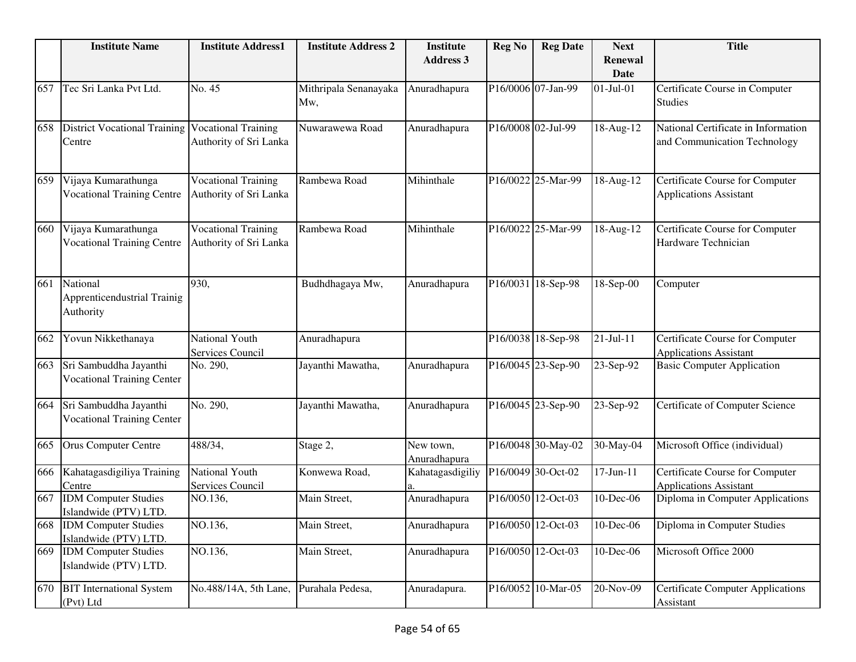|     | <b>Institute Name</b>                                       | <b>Institute Address1</b>                            | <b>Institute Address 2</b>   | <b>Institute</b><br><b>Address 3</b> | <b>Reg No</b>      | <b>Reg Date</b>    | <b>Next</b><br><b>Renewal</b><br><b>Date</b> | <b>Title</b>                                                        |
|-----|-------------------------------------------------------------|------------------------------------------------------|------------------------------|--------------------------------------|--------------------|--------------------|----------------------------------------------|---------------------------------------------------------------------|
| 657 | Tec Sri Lanka Pvt Ltd.                                      | No. 45                                               | Mithripala Senanayaka<br>Mw, | Anuradhapura                         |                    | P16/0006 07-Jan-99 | $01-Jul-01$                                  | Certificate Course in Computer<br><b>Studies</b>                    |
| 658 | <b>District Vocational Training</b><br>Centre               | Vocational Training<br>Authority of Sri Lanka        | Nuwarawewa Road              | Anuradhapura                         | P16/0008 02-Jul-99 |                    | 18-Aug-12                                    | National Certificate in Information<br>and Communication Technology |
| 659 | Vijaya Kumarathunga<br><b>Vocational Training Centre</b>    | <b>Vocational Training</b><br>Authority of Sri Lanka | Rambewa Road                 | Mihinthale                           |                    | P16/0022 25-Mar-99 | 18-Aug-12                                    | Certificate Course for Computer<br><b>Applications Assistant</b>    |
| 660 | Vijaya Kumarathunga<br><b>Vocational Training Centre</b>    | <b>Vocational Training</b><br>Authority of Sri Lanka | Rambewa Road                 | Mihinthale                           |                    | P16/0022 25-Mar-99 | 18-Aug-12                                    | Certificate Course for Computer<br>Hardware Technician              |
| 661 | National<br><b>Apprenticendustrial Trainig</b><br>Authority | 930,                                                 | Budhdhagaya Mw,              | Anuradhapura                         |                    | P16/0031 18-Sep-98 | 18-Sep-00                                    | Computer                                                            |
| 662 | Yovun Nikkethanaya                                          | National Youth<br>Services Council                   | Anuradhapura                 |                                      |                    | P16/0038 18-Sep-98 | 21-Jul-11                                    | Certificate Course for Computer<br><b>Applications Assistant</b>    |
| 663 | Sri Sambuddha Jayanthi<br><b>Vocational Training Center</b> | No. 290,                                             | Jayanthi Mawatha,            | Anuradhapura                         |                    | P16/0045 23-Sep-90 | 23-Sep-92                                    | <b>Basic Computer Application</b>                                   |
| 664 | Sri Sambuddha Jayanthi<br><b>Vocational Training Center</b> | No. 290,                                             | Jayanthi Mawatha,            | Anuradhapura                         |                    | P16/0045 23-Sep-90 | 23-Sep-92                                    | Certificate of Computer Science                                     |
| 665 | <b>Orus Computer Centre</b>                                 | 488/34,                                              | Stage 2,                     | New town,<br>Anuradhapura            |                    | P16/0048 30-May-02 | 30-May-04                                    | Microsoft Office (individual)                                       |
| 666 | Kahatagasdigiliya Training<br>Centre                        | National Youth<br>Services Council                   | Konwewa Road,                | Kahatagasdigiliy                     |                    | P16/0049 30-Oct-02 | $17 - Jun - 11$                              | Certificate Course for Computer<br><b>Applications Assistant</b>    |
|     | 667 IDM Computer Studies<br>Islandwide (PTV) LTD.           | NO.136,                                              | Main Street,                 | Anuradhapura                         |                    | P16/0050 12-Oct-03 | 10-Dec-06                                    | Diploma in Computer Applications                                    |
|     | 668 IDM Computer Studies<br>Islandwide (PTV) LTD.           | NO.136,                                              | Main Street,                 | Anuradhapura                         |                    | P16/0050 12-Oct-03 | 10-Dec-06                                    | Diploma in Computer Studies                                         |
| 669 | <b>IDM</b> Computer Studies<br>Islandwide (PTV) LTD.        | NO.136,                                              | Main Street,                 | Anuradhapura                         |                    | P16/0050 12-Oct-03 | 10-Dec-06                                    | Microsoft Office 2000                                               |
| 670 | <b>BIT</b> International System<br>(Pvt) Ltd                | No.488/14A, 5th Lane,                                | Purahala Pedesa,             | Anuradapura.                         |                    | P16/0052 10-Mar-05 | 20-Nov-09                                    | <b>Certificate Computer Applications</b><br>Assistant               |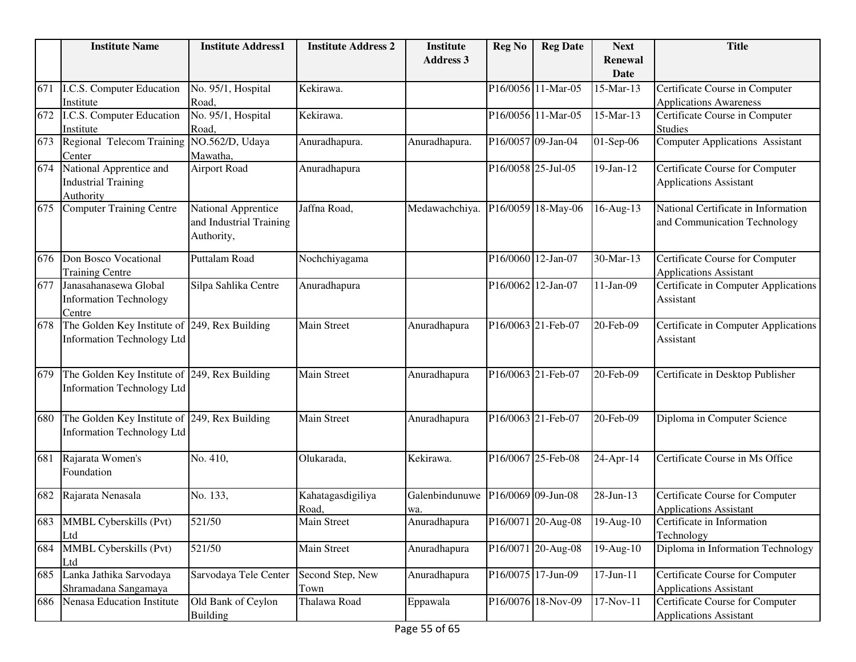|     | <b>Institute Name</b>                         | <b>Institute Address1</b>   | <b>Institute Address 2</b> | <b>Institute</b>    | <b>Reg No</b> | <b>Reg Date</b>    | <b>Next</b>         | <b>Title</b>                                |
|-----|-----------------------------------------------|-----------------------------|----------------------------|---------------------|---------------|--------------------|---------------------|---------------------------------------------|
|     |                                               |                             |                            | <b>Address 3</b>    |               |                    | Renewal             |                                             |
|     |                                               |                             |                            |                     |               |                    | <b>Date</b>         |                                             |
| 671 | I.C.S. Computer Education                     | No. 95/1, Hospital          | Kekirawa.                  |                     |               | P16/0056 11-Mar-05 | 15-Mar-13           | Certificate Course in Computer              |
|     | Institute                                     | Road,                       |                            |                     |               |                    |                     | <b>Applications Awareness</b>               |
| 672 | I.C.S. Computer Education                     | No. 95/1, Hospital          | Kekirawa.                  |                     |               | P16/0056 11-Mar-05 | 15-Mar-13           | Certificate Course in Computer              |
|     | Institute                                     | Road,                       |                            |                     |               |                    |                     | <b>Studies</b>                              |
| 673 | Regional Telecom Training<br>Center           | NO.562/D, Udaya<br>Mawatha, | Anuradhapura.              | Anuradhapura.       |               | P16/0057 09-Jan-04 | 01-Sep-06           | <b>Computer Applications Assistant</b>      |
| 674 | National Apprentice and                       | <b>Airport Road</b>         | Anuradhapura               |                     |               | P16/0058 25-Jul-05 | 19-Jan-12           | Certificate Course for Computer             |
|     | <b>Industrial Training</b>                    |                             |                            |                     |               |                    |                     | <b>Applications Assistant</b>               |
|     | Authority                                     |                             |                            |                     |               |                    |                     |                                             |
| 675 | Computer Training Centre                      | National Apprentice         | Jaffna Road,               | Medawachchiya.      |               | P16/0059 18-May-06 | 16-Aug-13           | National Certificate in Information         |
|     |                                               | and Industrial Training     |                            |                     |               |                    |                     | and Communication Technology                |
|     |                                               | Authority,                  |                            |                     |               |                    |                     |                                             |
| 676 | Don Bosco Vocational                          | Puttalam Road               | Nochchiyagama              |                     |               | P16/0060 12-Jan-07 | 30-Mar-13           | Certificate Course for Computer             |
|     | <b>Training Centre</b>                        |                             |                            |                     |               |                    |                     | <b>Applications Assistant</b>               |
| 677 | Janasahanasewa Global                         | Silpa Sahlika Centre        | Anuradhapura               |                     |               | P16/0062 12-Jan-07 | $11-Jan-09$         | Certificate in Computer Applications        |
|     | <b>Information Technology</b>                 |                             |                            |                     |               |                    |                     | Assistant                                   |
|     | Centre                                        |                             |                            |                     |               |                    |                     |                                             |
| 678 | The Golden Key Institute of                   | 249, Rex Building           | <b>Main Street</b>         | Anuradhapura        |               | P16/0063 21-Feb-07 | 20-Feb-09           | <b>Certificate in Computer Applications</b> |
|     | <b>Information Technology Ltd</b>             |                             |                            |                     |               |                    |                     | Assistant                                   |
|     |                                               |                             |                            |                     |               |                    |                     |                                             |
| 679 | The Golden Key Institute of 249, Rex Building |                             | <b>Main Street</b>         | Anuradhapura        |               | P16/0063 21-Feb-07 | 20-Feb-09           | Certificate in Desktop Publisher            |
|     | Information Technology Ltd                    |                             |                            |                     |               |                    |                     |                                             |
|     |                                               |                             |                            |                     |               |                    |                     |                                             |
| 680 | The Golden Key Institute of 249, Rex Building |                             | <b>Main Street</b>         | Anuradhapura        |               | P16/0063 21-Feb-07 | 20-Feb-09           | Diploma in Computer Science                 |
|     | Information Technology Ltd                    |                             |                            |                     |               |                    |                     |                                             |
|     |                                               |                             |                            |                     |               |                    |                     |                                             |
| 681 | Rajarata Women's                              | No. 410,                    | Olukarada,                 | Kekirawa.           |               | P16/0067 25-Feb-08 | 24-Apr-14           | Certificate Course in Ms Office             |
|     | Foundation                                    |                             |                            |                     |               |                    |                     |                                             |
| 682 | Rajarata Nenasala                             | No. 133,                    | Kahatagasdigiliya          | Galenbindunuwe      |               | P16/0069 09-Jun-08 | 28-Jun-13           | Certificate Course for Computer             |
|     |                                               |                             | Road,                      |                     |               |                    |                     | <b>Applications Assistant</b>               |
|     | 683 MMBL Cyberskills (Pvt)                    | 521/50                      | <b>Main Street</b>         | wa.<br>Anuradhapura |               | P16/0071 20-Aug-08 | $\sqrt{19}$ -Aug-10 | Certificate in Information                  |
|     | Ltd                                           |                             |                            |                     |               |                    |                     | Technology                                  |
| 684 | MMBL Cyberskills (Pvt)                        | 521/50                      | Main Street                | Anuradhapura        |               | P16/0071 20-Aug-08 | 19-Aug-10           | Diploma in Information Technology           |
|     | Ltd                                           |                             |                            |                     |               |                    |                     |                                             |
| 685 | Lanka Jathika Sarvodaya                       | Sarvodaya Tele Center       | Second Step, New           | Anuradhapura        |               | P16/0075 17-Jun-09 | 17-Jun-11           | Certificate Course for Computer             |
|     | Shramadana Sangamaya                          |                             | Town                       |                     |               |                    |                     | <b>Applications Assistant</b>               |
| 686 | Nenasa Education Institute                    | Old Bank of Ceylon          | Thalawa Road               | Eppawala            |               | P16/0076 18-Nov-09 | 17-Nov-11           | Certificate Course for Computer             |
|     |                                               | <b>Building</b>             |                            |                     |               |                    |                     | <b>Applications Assistant</b>               |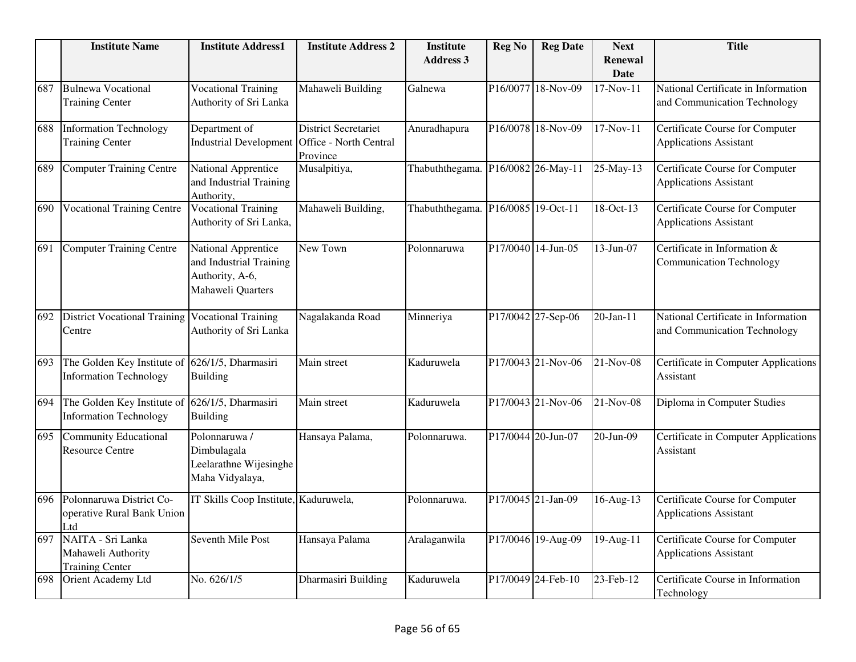|     | <b>Institute Name</b>                                             | <b>Institute Address1</b>                                                              | <b>Institute Address 2</b>              | <b>Institute</b><br><b>Address 3</b> | <b>Reg No</b> | <b>Reg Date</b>    | <b>Next</b><br><b>Renewal</b><br>Date | <b>Title</b>                                                            |
|-----|-------------------------------------------------------------------|----------------------------------------------------------------------------------------|-----------------------------------------|--------------------------------------|---------------|--------------------|---------------------------------------|-------------------------------------------------------------------------|
| 687 | <b>Bulnewa Vocational</b><br><b>Training Center</b>               | <b>Vocational Training</b><br>Authority of Sri Lanka                                   | Mahaweli Building                       | Galnewa                              |               | P16/0077 18-Nov-09 | 17-Nov-11                             | National Certificate in Information<br>and Communication Technology     |
| 688 | <b>Information Technology</b><br><b>Training Center</b>           | Department of<br>Industrial Development Office - North Central                         | <b>District Secretariet</b><br>Province | Anuradhapura                         |               | P16/0078 18-Nov-09 | $17-Nov-11$                           | <b>Certificate Course for Computer</b><br><b>Applications Assistant</b> |
| 689 | <b>Computer Training Centre</b>                                   | National Apprentice<br>and Industrial Training<br>Authority,                           | Musalpitiya,                            | Thabuththegama. P16/0082 26-May-11   |               |                    | 25-May-13                             | Certificate Course for Computer<br><b>Applications Assistant</b>        |
| 690 | <b>Vocational Training Centre</b>                                 | <b>Vocational Training</b><br>Authority of Sri Lanka,                                  | Mahaweli Building,                      | Thabuththegama. P16/0085 19-Oct-11   |               |                    | 18-Oct-13                             | Certificate Course for Computer<br>Applications Assistant               |
| 691 | <b>Computer Training Centre</b>                                   | National Apprentice<br>and Industrial Training<br>Authority, A-6,<br>Mahaweli Quarters | New Town                                | Polonnaruwa                          |               | P17/0040 14-Jun-05 | 13-Jun-07                             | Certificate in Information &<br><b>Communication Technology</b>         |
| 692 | <b>District Vocational Training</b><br>Centre                     | <b>Vocational Training</b><br>Authority of Sri Lanka                                   | Nagalakanda Road                        | Minneriya                            |               | P17/0042 27-Sep-06 | 20-Jan-11                             | National Certificate in Information<br>and Communication Technology     |
| 693 | The Golden Key Institute of<br><b>Information Technology</b>      | 626/1/5, Dharmasiri<br><b>Building</b>                                                 | Main street                             | Kaduruwela                           |               | P17/0043 21-Nov-06 | 21-Nov-08                             | Certificate in Computer Applications<br>Assistant                       |
| 694 | The Golden Key Institute of<br><b>Information Technology</b>      | 626/1/5, Dharmasiri<br><b>Building</b>                                                 | Main street                             | Kaduruwela                           |               | P17/0043 21-Nov-06 | 21-Nov-08                             | Diploma in Computer Studies                                             |
| 695 | <b>Community Educational</b><br><b>Resource Centre</b>            | Polonnaruwa /<br>Dimbulagala<br>Leelarathne Wijesinghe<br>Maha Vidyalaya,              | Hansaya Palama,                         | Polonnaruwa.                         |               | P17/0044 20-Jun-07 | 20-Jun-09                             | Certificate in Computer Applications<br>Assistant                       |
| 696 | Polonnaruwa District Co-<br>operative Rural Bank Union<br>Ltd     | IT Skills Coop Institute, Kaduruwela,                                                  |                                         | Polonnaruwa.                         |               | P17/0045 21-Jan-09 | 16-Aug-13                             | Certificate Course for Computer<br><b>Applications Assistant</b>        |
| 697 | NAITA - Sri Lanka<br>Mahaweli Authority<br><b>Training Center</b> | Seventh Mile Post                                                                      | Hansaya Palama                          | Aralaganwila                         |               | P17/0046 19-Aug-09 | 19-Aug-11                             | Certificate Course for Computer<br><b>Applications Assistant</b>        |
| 698 | Orient Academy Ltd                                                | No. 626/1/5                                                                            | Dharmasiri Building                     | Kaduruwela                           |               | P17/0049 24-Feb-10 | 23-Feb-12                             | Certificate Course in Information<br>Technology                         |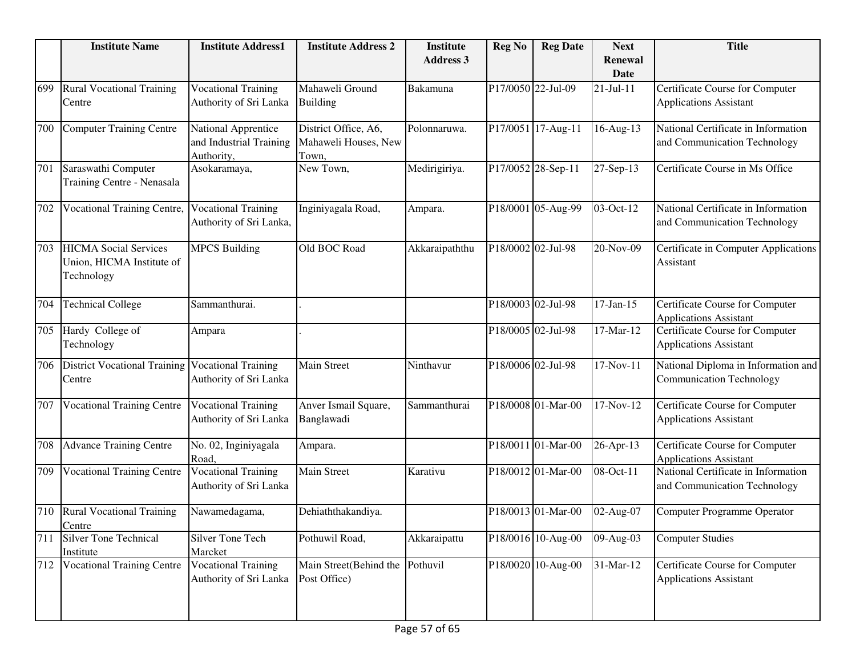|     | <b>Institute Name</b>                                                   | <b>Institute Address1</b>                                    | <b>Institute Address 2</b>                            | <b>Institute</b> | <b>Reg No</b> | <b>Reg Date</b>    | <b>Next</b>            | <b>Title</b>                                                           |
|-----|-------------------------------------------------------------------------|--------------------------------------------------------------|-------------------------------------------------------|------------------|---------------|--------------------|------------------------|------------------------------------------------------------------------|
|     |                                                                         |                                                              |                                                       | <b>Address 3</b> |               |                    | <b>Renewal</b><br>Date |                                                                        |
| 699 | <b>Rural Vocational Training</b><br>Centre                              | <b>Vocational Training</b><br>Authority of Sri Lanka         | Mahaweli Ground<br><b>Building</b>                    | Bakamuna         |               | P17/0050 22-Jul-09 | $21-Jul-11$            | Certificate Course for Computer<br><b>Applications Assistant</b>       |
| 700 | <b>Computer Training Centre</b>                                         | National Apprentice<br>and Industrial Training<br>Authority, | District Office, A6,<br>Mahaweli Houses, New<br>Town. | Polonnaruwa.     |               | P17/0051 17-Aug-11 | 16-Aug-13              | National Certificate in Information<br>and Communication Technology    |
| 701 | Saraswathi Computer<br>Training Centre - Nenasala                       | Asokaramaya,                                                 | New Town,                                             | Medirigiriya.    |               | P17/0052 28-Sep-11 | 27-Sep-13              | Certificate Course in Ms Office                                        |
| 702 | <b>Vocational Training Centre,</b>                                      | <b>Vocational Training</b><br>Authority of Sri Lanka,        | Inginiyagala Road,                                    | Ampara.          |               | P18/0001 05-Aug-99 | 03-Oct-12              | National Certificate in Information<br>and Communication Technology    |
| 703 | <b>HICMA</b> Social Services<br>Union, HICMA Institute of<br>Technology | <b>MPCS Building</b>                                         | Old BOC Road                                          | Akkaraipaththu   |               | P18/0002 02-Jul-98 | 20-Nov-09              | Certificate in Computer Applications<br>Assistant                      |
| 704 | <b>Technical College</b>                                                | Sammanthurai.                                                |                                                       |                  |               | P18/0003 02-Jul-98 | $17-Jan-15$            | Certificate Course for Computer<br><b>Applications Assistant</b>       |
| 705 | Hardy College of<br>Technology                                          | Ampara                                                       |                                                       |                  |               | P18/0005 02-Jul-98 | 17-Mar-12              | Certificate Course for Computer<br><b>Applications Assistant</b>       |
| 706 | <b>District Vocational Training</b><br>Centre                           | <b>Vocational Training</b><br>Authority of Sri Lanka         | Main Street                                           | Ninthavur        |               | P18/0006 02-Jul-98 | 17-Nov-11              | National Diploma in Information and<br><b>Communication Technology</b> |
| 707 | <b>Vocational Training Centre</b>                                       | <b>Vocational Training</b><br>Authority of Sri Lanka         | Anver Ismail Square,<br>Banglawadi                    | Sammanthurai     |               | P18/0008 01-Mar-00 | 17-Nov-12              | Certificate Course for Computer<br><b>Applications Assistant</b>       |
| 708 | <b>Advance Training Centre</b>                                          | No. 02, Inginiyagala<br>Road,                                | Ampara.                                               |                  |               | P18/0011 01-Mar-00 | 26-Apr-13              | Certificate Course for Computer<br><b>Applications Assistant</b>       |
| 709 | <b>Vocational Training Centre</b>                                       | <b>Vocational Training</b><br>Authority of Sri Lanka         | <b>Main Street</b>                                    | Karativu         |               | P18/0012 01-Mar-00 | 08-Oct-11              | National Certificate in Information<br>and Communication Technology    |
| 710 | <b>Rural Vocational Training</b><br>Centre                              | Nawamedagama,                                                | Dehiaththakandiya.                                    |                  |               | P18/0013 01-Mar-00 | 02-Aug-07              | Computer Programme Operator                                            |
| 711 | <b>Silver Tone Technical</b><br>Institute                               | Silver Tone Tech<br>Marcket                                  | Pothuwil Road,                                        | Akkaraipattu     |               | P18/0016 10-Aug-00 | 09-Aug-03              | <b>Computer Studies</b>                                                |
| 712 | <b>Vocational Training Centre</b>                                       | <b>Vocational Training</b><br>Authority of Sri Lanka         | Main Street(Behind the<br>Post Office)                | Pothuvil         |               | P18/0020 10-Aug-00 | 31-Mar-12              | Certificate Course for Computer<br><b>Applications Assistant</b>       |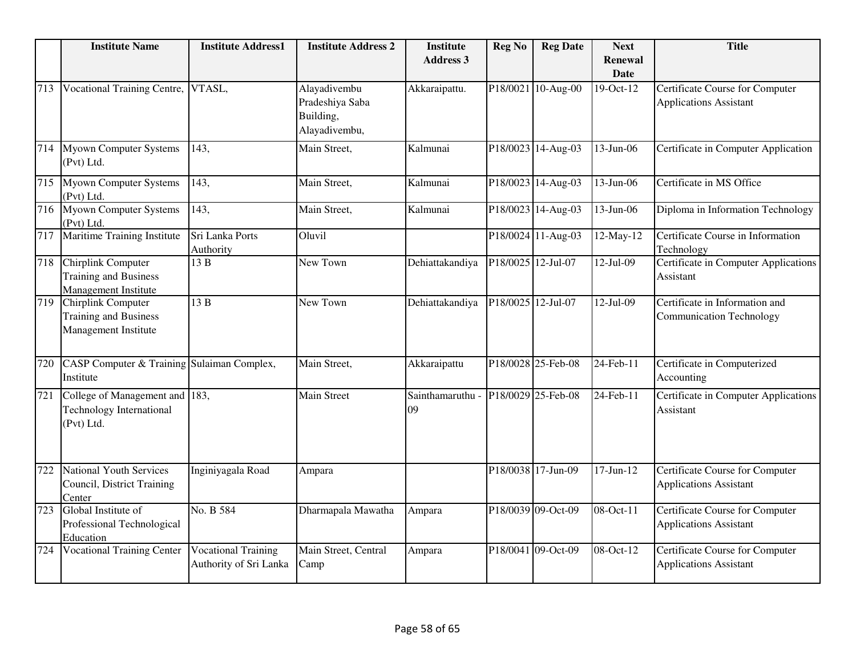|     | <b>Institute Name</b>                                                           | <b>Institute Address1</b>                            | <b>Institute Address 2</b>                                    | <b>Institute</b><br><b>Address 3</b> | <b>Reg No</b>      | <b>Reg Date</b>    | <b>Next</b><br><b>Renewal</b> | <b>Title</b>                                                            |
|-----|---------------------------------------------------------------------------------|------------------------------------------------------|---------------------------------------------------------------|--------------------------------------|--------------------|--------------------|-------------------------------|-------------------------------------------------------------------------|
|     |                                                                                 |                                                      |                                                               |                                      |                    |                    | <b>Date</b>                   |                                                                         |
| 713 | Vocational Training Centre,                                                     | VTASL,                                               | Alayadivembu<br>Pradeshiya Saba<br>Building,<br>Alayadivembu, | Akkaraipattu.                        |                    | P18/0021 10-Aug-00 | 19-Oct-12                     | Certificate Course for Computer<br><b>Applications Assistant</b>        |
| 714 | <b>Myown Computer Systems</b><br>(Pvt) Ltd.                                     | 143,                                                 | Main Street,                                                  | Kalmunai                             |                    | P18/0023 14-Aug-03 | 13-Jun-06                     | Certificate in Computer Application                                     |
| 715 | <b>Myown Computer Systems</b><br>(Pvt) Ltd.                                     | 143,                                                 | Main Street,                                                  | Kalmunai                             |                    | P18/0023 14-Aug-03 | 13-Jun-06                     | Certificate in MS Office                                                |
| 716 | <b>Myown Computer Systems</b><br>(Pvt) Ltd.                                     | 143,                                                 | Main Street,                                                  | Kalmunai                             |                    | P18/0023 14-Aug-03 | 13-Jun-06                     | Diploma in Information Technology                                       |
| 717 | <b>Maritime Training Institute</b>                                              | Sri Lanka Ports<br>Authority                         | Oluvil                                                        |                                      |                    | P18/0024 11-Aug-03 | 12-May-12                     | Certificate Course in Information<br>Technology                         |
| 718 | Chirplink Computer<br><b>Training and Business</b><br>Management Institute      | 13 B                                                 | New Town                                                      | Dehiattakandiya                      | P18/0025 12-Jul-07 |                    | $12-Jul-09$                   | Certificate in Computer Applications<br>Assistant                       |
| 719 | Chirplink Computer<br><b>Training and Business</b><br>Management Institute      | 13 B                                                 | New Town                                                      | Dehiattakandiya                      | P18/0025 12-Jul-07 |                    | $12-Jul-09$                   | Certificate in Information and<br><b>Communication Technology</b>       |
| 720 | <b>CASP Computer &amp; Training</b><br>Institute                                | Sulaiman Complex,                                    | Main Street,                                                  | Akkaraipattu                         |                    | P18/0028 25-Feb-08 | $24$ -Feb-11                  | Certificate in Computerized<br>Accounting                               |
| 721 | College of Management and 183,<br><b>Technology International</b><br>(Pvt) Ltd. |                                                      | Main Street                                                   | Sainthamaruthu<br>09                 |                    | P18/0029 25-Feb-08 | 24-Feb-11                     | Certificate in Computer Applications<br>Assistant                       |
| 722 | <b>National Youth Services</b><br>Council, District Training<br>Center          | Inginiyagala Road                                    | Ampara                                                        |                                      |                    | P18/0038 17-Jun-09 | $17$ -Jun- $12$               | Certificate Course for Computer<br><b>Applications Assistant</b>        |
| 723 | Global Institute of<br>Professional Technological<br>Education                  | No. B 584                                            | Dharmapala Mawatha                                            | Ampara                               |                    | P18/0039 09-Oct-09 | 08-Oct-11                     | Certificate Course for Computer<br><b>Applications Assistant</b>        |
| 724 | <b>Vocational Training Center</b>                                               | <b>Vocational Training</b><br>Authority of Sri Lanka | Main Street, Central<br>Camp                                  | Ampara                               |                    | P18/0041 09-Oct-09 | 08-Oct-12                     | <b>Certificate Course for Computer</b><br><b>Applications Assistant</b> |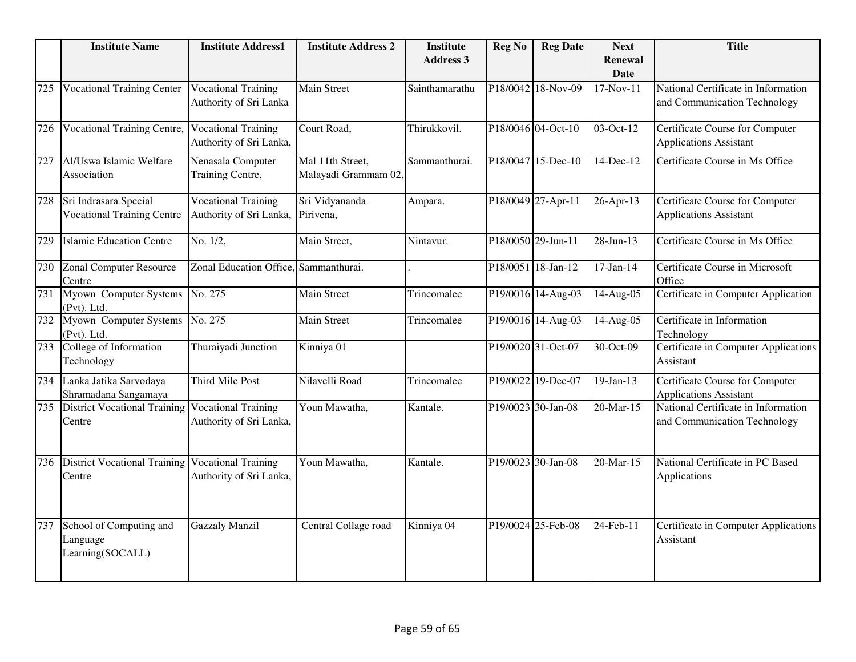|     | <b>Institute Name</b>                                      | <b>Institute Address1</b>                             | <b>Institute Address 2</b>               | <b>Institute</b><br><b>Address 3</b> | <b>Reg No</b> | <b>Reg Date</b>    | <b>Next</b>                   | <b>Title</b>                                                            |
|-----|------------------------------------------------------------|-------------------------------------------------------|------------------------------------------|--------------------------------------|---------------|--------------------|-------------------------------|-------------------------------------------------------------------------|
|     |                                                            |                                                       |                                          |                                      |               |                    | <b>Renewal</b><br><b>Date</b> |                                                                         |
| 725 | <b>Vocational Training Center</b>                          | <b>Vocational Training</b><br>Authority of Sri Lanka  | <b>Main Street</b>                       | Sainthamarathu                       |               | P18/0042 18-Nov-09 | 17-Nov-11                     | National Certificate in Information<br>and Communication Technology     |
| 726 | <b>Vocational Training Centre,</b>                         | <b>Vocational Training</b><br>Authority of Sri Lanka, | Court Road,                              | Thirukkovil.                         |               | P18/0046 04-Oct-10 | 03-Oct-12                     | Certificate Course for Computer<br><b>Applications Assistant</b>        |
| 727 | Al/Uswa Islamic Welfare<br>Association                     | Nenasala Computer<br>Training Centre,                 | Mal 11th Street,<br>Malayadi Grammam 02, | Sammanthurai.                        |               | P18/0047 15-Dec-10 | 14-Dec-12                     | Certificate Course in Ms Office                                         |
| 728 | Sri Indrasara Special<br><b>Vocational Training Centre</b> | <b>Vocational Training</b><br>Authority of Sri Lanka, | Sri Vidyananda<br>Pirivena,              | Ampara.                              |               | P18/0049 27-Apr-11 | 26-Apr-13                     | Certificate Course for Computer<br><b>Applications Assistant</b>        |
| 729 | <b>Islamic Education Centre</b>                            | No. 1/2,                                              | Main Street,                             | Nintavur.                            |               | P18/0050 29-Jun-11 | 28-Jun-13                     | Certificate Course in Ms Office                                         |
| 730 | <b>Zonal Computer Resource</b><br>Centre                   | Zonal Education Office, Sammanthurai.                 |                                          |                                      |               | P18/0051 18-Jan-12 | $17$ -Jan- $14$               | Certificate Course in Microsoft<br>Office                               |
| 731 | Myown Computer Systems<br>(Pvt). Ltd.                      | No. 275                                               | Main Street                              | Trincomalee                          |               | P19/0016 14-Aug-03 | 14-Aug-05                     | Certificate in Computer Application                                     |
| 732 | Myown Computer Systems<br>(Pvt). Ltd.                      | No. 275                                               | Main Street                              | Trincomalee                          |               | P19/0016 14-Aug-03 | 14-Aug-05                     | Certificate in Information<br>Technology                                |
| 733 | College of Information<br>Technology                       | Thuraiyadi Junction                                   | Kinniya 01                               |                                      |               | P19/0020 31-Oct-07 | $30$ -Oct-09                  | Certificate in Computer Applications<br>Assistant                       |
| 734 | Lanka Jatika Sarvodaya<br>Shramadana Sangamaya             | Third Mile Post                                       | Nilavelli Road                           | Trincomalee                          |               | P19/0022 19-Dec-07 | 19-Jan-13                     | <b>Certificate Course for Computer</b><br><b>Applications Assistant</b> |
| 735 | <b>District Vocational Training</b><br>Centre              | <b>Vocational Training</b><br>Authority of Sri Lanka, | Youn Mawatha,                            | Kantale.                             |               | P19/0023 30-Jan-08 | 20-Mar-15                     | National Certificate in Information<br>and Communication Technology     |
| 736 | <b>District Vocational Training</b><br>Centre              | <b>Vocational Training</b><br>Authority of Sri Lanka, | Youn Mawatha,                            | Kantale.                             |               | P19/0023 30-Jan-08 | 20-Mar-15                     | National Certificate in PC Based<br>Applications                        |
| 737 | School of Computing and<br>Language<br>Learning(SOCALL)    | <b>Gazzaly Manzil</b>                                 | Central Collage road                     | Kinniya 04                           |               | P19/0024 25-Feb-08 | 24-Feb-11                     | Certificate in Computer Applications<br>Assistant                       |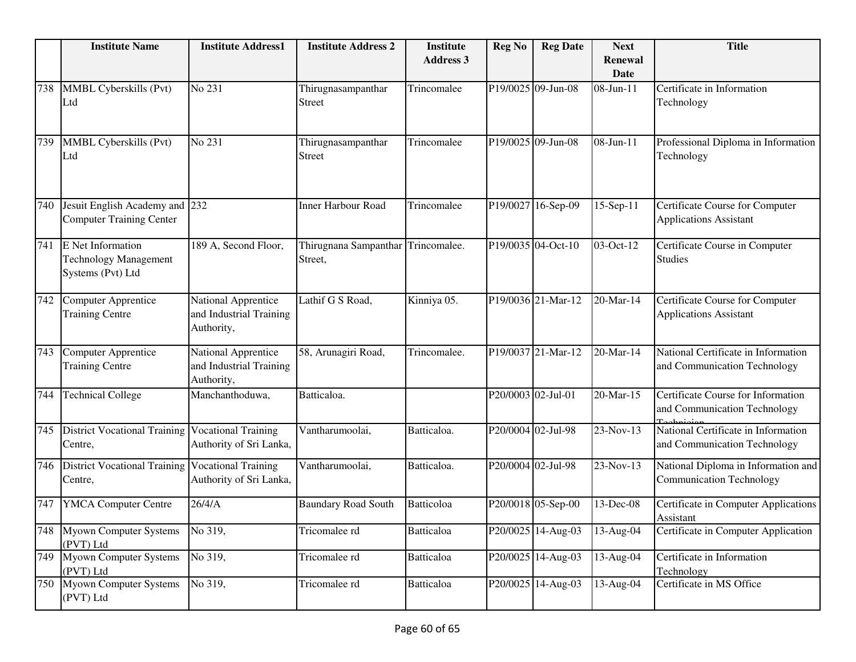|     | <b>Institute Name</b>                                                  | <b>Institute Address1</b>                                    | <b>Institute Address 2</b>                    | <b>Institute</b><br><b>Address 3</b> | <b>Reg No</b>      | <b>Reg Date</b>    | <b>Next</b><br>Renewal | <b>Title</b>                                                           |
|-----|------------------------------------------------------------------------|--------------------------------------------------------------|-----------------------------------------------|--------------------------------------|--------------------|--------------------|------------------------|------------------------------------------------------------------------|
|     |                                                                        |                                                              |                                               |                                      |                    |                    | <b>Date</b>            |                                                                        |
| 738 | MMBL Cyberskills (Pvt)<br>Ltd                                          | No 231                                                       | Thirugnasampanthar<br><b>Street</b>           | Trincomalee                          |                    | P19/0025 09-Jun-08 | 08-Jun-11              | Certificate in Information<br>Technology                               |
| 739 | MMBL Cyberskills (Pvt)<br>Ltd                                          | No 231                                                       | Thirugnasampanthar<br><b>Street</b>           | Trincomalee                          |                    | P19/0025 09-Jun-08 | 08-Jun-11              | Professional Diploma in Information<br>Technology                      |
| 740 | Jesuit English Academy and 232<br><b>Computer Training Center</b>      |                                                              | <b>Inner Harbour Road</b>                     | Trincomalee                          |                    | P19/0027 16-Sep-09 | 15-Sep-11              | Certificate Course for Computer<br><b>Applications Assistant</b>       |
| 741 | E Net Information<br><b>Technology Management</b><br>Systems (Pvt) Ltd | 189 A, Second Floor,                                         | Thirugnana Sampanthar Trincomalee.<br>Street, |                                      |                    | P19/0035 04-Oct-10 | 03-Oct-12              | Certificate Course in Computer<br><b>Studies</b>                       |
| 742 | <b>Computer Apprentice</b><br><b>Training Centre</b>                   | National Apprentice<br>and Industrial Training<br>Authority, | Lathif G S Road,                              | Kinniya 05.                          |                    | P19/0036 21-Mar-12 | 20-Mar-14              | Certificate Course for Computer<br><b>Applications Assistant</b>       |
| 743 | <b>Computer Apprentice</b><br><b>Training Centre</b>                   | National Apprentice<br>and Industrial Training<br>Authority, | 58, Arunagiri Road,                           | Trincomalee.                         |                    | P19/0037 21-Mar-12 | 20-Mar-14              | National Certificate in Information<br>and Communication Technology    |
| 744 | <b>Technical College</b>                                               | Manchanthoduwa,                                              | Batticaloa.                                   |                                      | P20/0003 02-Jul-01 |                    | 20-Mar-15              | Certificate Course for Information<br>and Communication Technology     |
| 745 | <b>District Vocational Training</b><br>Centre,                         | <b>Vocational Training</b><br>Authority of Sri Lanka,        | Vantharumoolai,                               | Batticaloa.                          | P20/0004 02-Jul-98 |                    | 23-Nov-13              | National Certificate in Information<br>and Communication Technology    |
| 746 | <b>District Vocational Training</b><br>Centre,                         | <b>Vocational Training</b><br>Authority of Sri Lanka,        | Vantharumoolai,                               | Batticaloa.                          | P20/0004 02-Jul-98 |                    | 23-Nov-13              | National Diploma in Information and<br><b>Communication Technology</b> |
| 747 | <b>YMCA Computer Centre</b>                                            | 26/4/A                                                       | <b>Baundary Road South</b>                    | Batticoloa                           |                    | P20/0018 05-Sep-00 | 13-Dec-08              | Certificate in Computer Applications<br>Assistant                      |
|     | 748 Myown Computer Systems<br>(PVT) Ltd                                | No 319,                                                      | Tricomalee rd                                 | Batticaloa                           |                    | P20/0025 14-Aug-03 | 13-Aug-04              | Certificate in Computer Application                                    |
|     | 749 Myown Computer Systems<br>(PVT) Ltd                                | No 319,                                                      | Tricomalee rd                                 | <b>Batticaloa</b>                    |                    | P20/0025 14-Aug-03 | 13-Aug-04              | Certificate in Information<br>Technology                               |
| 750 | <b>Myown Computer Systems</b><br>(PVT) Ltd                             | No 319,                                                      | Tricomalee rd                                 | <b>Batticaloa</b>                    |                    | P20/0025 14-Aug-03 | 13-Aug-04              | Certificate in MS Office                                               |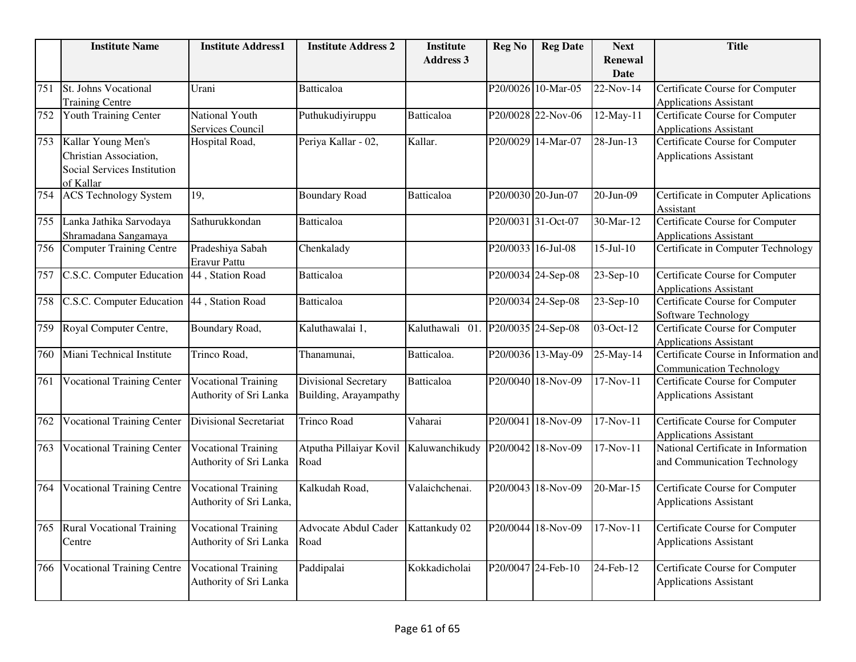|     | <b>Institute Name</b>                      | <b>Institute Address1</b>     | <b>Institute Address 2</b> | <b>Institute</b>                   | <b>Reg No</b> | <b>Reg Date</b>    | <b>Next</b>     | <b>Title</b>                           |
|-----|--------------------------------------------|-------------------------------|----------------------------|------------------------------------|---------------|--------------------|-----------------|----------------------------------------|
|     |                                            |                               |                            | <b>Address 3</b>                   |               |                    | <b>Renewal</b>  |                                        |
|     |                                            |                               |                            |                                    |               |                    | Date            |                                        |
| 751 | St. Johns Vocational                       | Urani                         | <b>Batticaloa</b>          |                                    |               | P20/0026 10-Mar-05 | 22-Nov-14       | Certificate Course for Computer        |
|     | <b>Training Centre</b>                     |                               |                            |                                    |               |                    |                 | <b>Applications Assistant</b>          |
| 752 | <b>Youth Training Center</b>               | National Youth                | Puthukudiyiruppu           | Batticaloa                         |               | P20/0028 22-Nov-06 | $12$ -May-11    | <b>Certificate Course for Computer</b> |
|     |                                            | Services Council              |                            |                                    |               |                    |                 | <b>Applications Assistant</b>          |
| 753 | Kallar Young Men's                         | Hospital Road,                | Periya Kallar - 02,        | Kallar.                            |               | P20/0029 14-Mar-07 | 28-Jun-13       | Certificate Course for Computer        |
|     | Christian Association,                     |                               |                            |                                    |               |                    |                 | <b>Applications Assistant</b>          |
|     | Social Services Institution                |                               |                            |                                    |               |                    |                 |                                        |
|     | of Kallar                                  |                               |                            |                                    |               |                    |                 |                                        |
| 754 | <b>ACS Technology System</b>               | 19,                           | <b>Boundary Road</b>       | <b>Batticaloa</b>                  |               | P20/0030 20-Jun-07 | 20-Jun-09       | Certificate in Computer Aplications    |
|     |                                            |                               |                            |                                    |               |                    |                 | Assistant                              |
| 755 | Lanka Jathika Sarvodaya                    | Sathurukkondan                | Batticaloa                 |                                    |               | P20/0031 31-Oct-07 | 30-Mar-12       | <b>Certificate Course for Computer</b> |
|     | Shramadana Sangamaya                       |                               |                            |                                    |               |                    |                 | <b>Applications Assistant</b>          |
| 756 | <b>Computer Training Centre</b>            | Pradeshiya Sabah              | Chenkalady                 |                                    |               | P20/0033 16-Jul-08 | $15 - Jul - 10$ | Certificate in Computer Technology     |
|     |                                            | Eravur Pattu                  |                            |                                    |               |                    |                 |                                        |
| 757 | C.S.C. Computer Education                  | 44, Station Road              | Batticaloa                 |                                    |               | P20/0034 24-Sep-08 | 23-Sep-10       | Certificate Course for Computer        |
|     |                                            |                               |                            |                                    |               |                    |                 | <b>Applications Assistant</b>          |
| 758 | C.S.C. Computer Education 44, Station Road |                               | Batticaloa                 |                                    |               | P20/0034 24-Sep-08 | 23-Sep-10       | Certificate Course for Computer        |
|     |                                            |                               |                            |                                    |               |                    |                 | Software Technology                    |
| 759 | Royal Computer Centre,                     | Boundary Road,                | Kaluthawalai 1,            | Kaluthawali 01. P20/0035 24-Sep-08 |               |                    | 03-Oct-12       | Certificate Course for Computer        |
|     |                                            |                               |                            |                                    |               |                    |                 | <b>Applications Assistant</b>          |
| 760 | Miani Technical Institute                  | Trinco Road,                  | Thanamunai,                | Batticaloa.                        |               | P20/0036 13-May-09 | 25-May-14       | Certificate Course in Information and  |
|     |                                            |                               |                            |                                    |               |                    |                 | <b>Communication Technology</b>        |
| 761 | <b>Vocational Training Center</b>          | <b>Vocational Training</b>    | Divisional Secretary       | <b>Batticaloa</b>                  |               | P20/0040 18-Nov-09 | 17-Nov-11       | Certificate Course for Computer        |
|     |                                            | Authority of Sri Lanka        | Building, Arayampathy      |                                    |               |                    |                 | <b>Applications Assistant</b>          |
|     |                                            |                               |                            |                                    |               |                    |                 |                                        |
| 762 | <b>Vocational Training Center</b>          | <b>Divisional Secretariat</b> | <b>Trinco Road</b>         | Vaharai                            |               | P20/0041 18-Nov-09 | $17-Nov-11$     | <b>Certificate Course for Computer</b> |
|     |                                            |                               |                            |                                    |               |                    |                 | <b>Applications Assistant</b>          |
| 763 | <b>Vocational Training Center</b>          | <b>Vocational Training</b>    | Atputha Pillaiyar Kovil    | Kaluwanchikudy                     |               | P20/0042 18-Nov-09 | 17-Nov-11       | National Certificate in Information    |
|     |                                            | Authority of Sri Lanka        | Road                       |                                    |               |                    |                 | and Communication Technology           |
|     |                                            |                               |                            |                                    |               |                    |                 |                                        |
| 764 | <b>Vocational Training Centre</b>          | <b>Vocational Training</b>    | Kalkudah Road,             | Valaichchenai.                     |               | P20/0043 18-Nov-09 | 20-Mar-15       | <b>Certificate Course for Computer</b> |
|     |                                            | Authority of Sri Lanka,       |                            |                                    |               |                    |                 | <b>Applications Assistant</b>          |
|     |                                            |                               |                            |                                    |               |                    |                 |                                        |
| 765 | <b>Rural Vocational Training</b>           | <b>Vocational Training</b>    | Advocate Abdul Cader       | Kattankudy 02                      |               | P20/0044 18-Nov-09 | 17-Nov-11       | Certificate Course for Computer        |
|     | Centre                                     | Authority of Sri Lanka        | Road                       |                                    |               |                    |                 | <b>Applications Assistant</b>          |
|     |                                            |                               |                            |                                    |               |                    |                 |                                        |
| 766 | <b>Vocational Training Centre</b>          | <b>Vocational Training</b>    | Paddipalai                 | Kokkadicholai                      |               | P20/0047 24-Feb-10 | 24-Feb-12       | Certificate Course for Computer        |
|     |                                            | Authority of Sri Lanka        |                            |                                    |               |                    |                 | <b>Applications Assistant</b>          |
|     |                                            |                               |                            |                                    |               |                    |                 |                                        |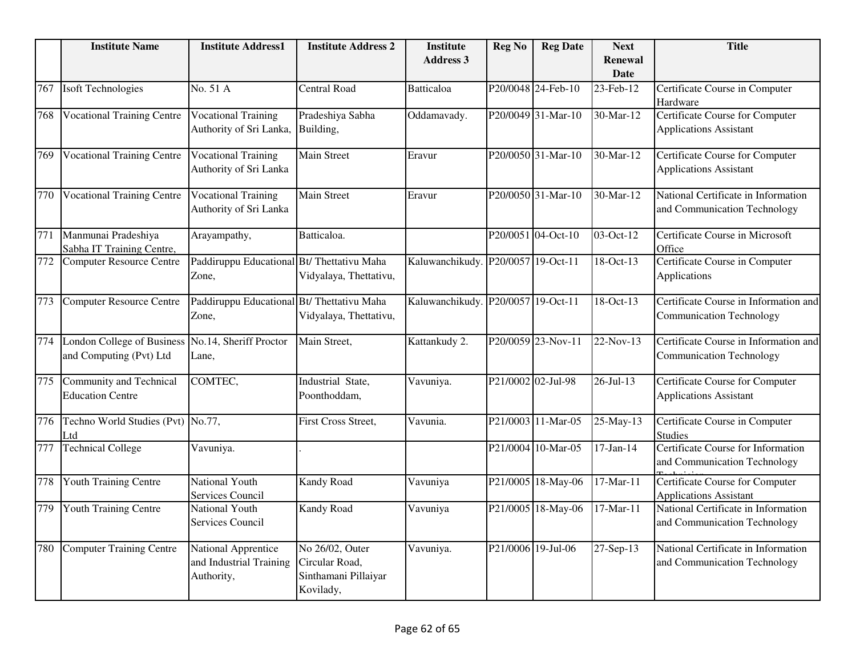|     | <b>Institute Name</b>                                 | <b>Institute Address1</b>                                       | <b>Institute Address 2</b>                                             | <b>Institute</b><br><b>Address 3</b> | <b>Reg No</b>      | <b>Reg Date</b>    | <b>Next</b><br><b>Renewal</b> | <b>Title</b>                                                             |
|-----|-------------------------------------------------------|-----------------------------------------------------------------|------------------------------------------------------------------------|--------------------------------------|--------------------|--------------------|-------------------------------|--------------------------------------------------------------------------|
|     |                                                       |                                                                 |                                                                        |                                      |                    |                    | <b>Date</b>                   |                                                                          |
| 767 | <b>Isoft Technologies</b>                             | No. 51 A                                                        | <b>Central Road</b>                                                    | <b>Batticaloa</b>                    |                    | P20/0048 24-Feb-10 | 23-Feb-12                     | Certificate Course in Computer<br>Hardware                               |
| 768 | <b>Vocational Training Centre</b>                     | <b>Vocational Training</b><br>Authority of Sri Lanka, Building, | Pradeshiya Sabha                                                       | Oddamavady.                          |                    | P20/0049 31-Mar-10 | 30-Mar-12                     | <b>Certificate Course for Computer</b><br><b>Applications Assistant</b>  |
| 769 | <b>Vocational Training Centre</b>                     | <b>Vocational Training</b><br>Authority of Sri Lanka            | Main Street                                                            | Eravur                               |                    | P20/0050 31-Mar-10 | 30-Mar-12                     | Certificate Course for Computer<br><b>Applications Assistant</b>         |
| 770 | <b>Vocational Training Centre</b>                     | <b>Vocational Training</b><br>Authority of Sri Lanka            | <b>Main Street</b>                                                     | Eravur                               |                    | P20/0050 31-Mar-10 | 30-Mar-12                     | National Certificate in Information<br>and Communication Technology      |
| 771 | Manmunai Pradeshiya<br>Sabha IT Training Centre,      | Arayampathy,                                                    | Batticaloa.                                                            |                                      |                    | P20/0051 04-Oct-10 | 03-Oct-12                     | Certificate Course in Microsoft<br>Office                                |
| 772 | <b>Computer Resource Centre</b>                       | Paddiruppu Educational Bt/ Thettativu Maha<br>Zone,             | Vidyalaya, Thettativu,                                                 | Kaluwanchikudy. P20/0057 19-Oct-11   |                    |                    | 18-Oct-13                     | Certificate Course in Computer<br>Applications                           |
| 773 | Computer Resource Centre                              | Paddiruppu Educational Bt/ Thettativu Maha<br>Zone,             | Vidyalaya, Thettativu,                                                 | Kaluwanchikudy. P20/0057 19-Oct-11   |                    |                    | 18-Oct-13                     | Certificate Course in Information and<br><b>Communication Technology</b> |
| 774 | London College of Business<br>and Computing (Pvt) Ltd | No.14, Sheriff Proctor<br>Lane,                                 | Main Street,                                                           | Kattankudy 2.                        |                    | P20/0059 23-Nov-11 | 22-Nov-13                     | Certificate Course in Information and<br><b>Communication Technology</b> |
| 775 | Community and Technical<br><b>Education Centre</b>    | COMTEC,                                                         | Industrial State,<br>Poonthoddam,                                      | Vavuniya.                            | P21/0002 02-Jul-98 |                    | $26 - \frac{1}{13}$           | Certificate Course for Computer<br><b>Applications Assistant</b>         |
| 776 | Techno World Studies (Pvt) No.77,<br>Ltd              |                                                                 | First Cross Street,                                                    | Vavunia.                             |                    | P21/0003 11-Mar-05 | 25-May-13                     | Certificate Course in Computer<br><b>Studies</b>                         |
| 777 | <b>Technical College</b>                              | Vavuniya.                                                       |                                                                        |                                      | P21/0004           | 10-Mar-05          | $17-Jan-14$                   | Certificate Course for Information<br>and Communication Technology       |
| 778 | Youth Training Centre                                 | National Youth<br><b>Services Council</b>                       | Kandy Road                                                             | Vavuniya                             |                    | P21/0005 18-May-06 | 17-Mar-11                     | Certificate Course for Computer<br><b>Applications Assistant</b>         |
| 779 | Youth Training Centre                                 | National Youth<br>Services Council                              | Kandy Road                                                             | Vavuniya                             |                    | P21/0005 18-May-06 | 17-Mar-11                     | National Certificate in Information<br>and Communication Technology      |
| 780 | <b>Computer Training Centre</b>                       | National Apprentice<br>and Industrial Training<br>Authority,    | No 26/02, Outer<br>Circular Road,<br>Sinthamani Pillaiyar<br>Kovilady, | Vavuniya.                            | P21/0006 19-Jul-06 |                    | 27-Sep-13                     | National Certificate in Information<br>and Communication Technology      |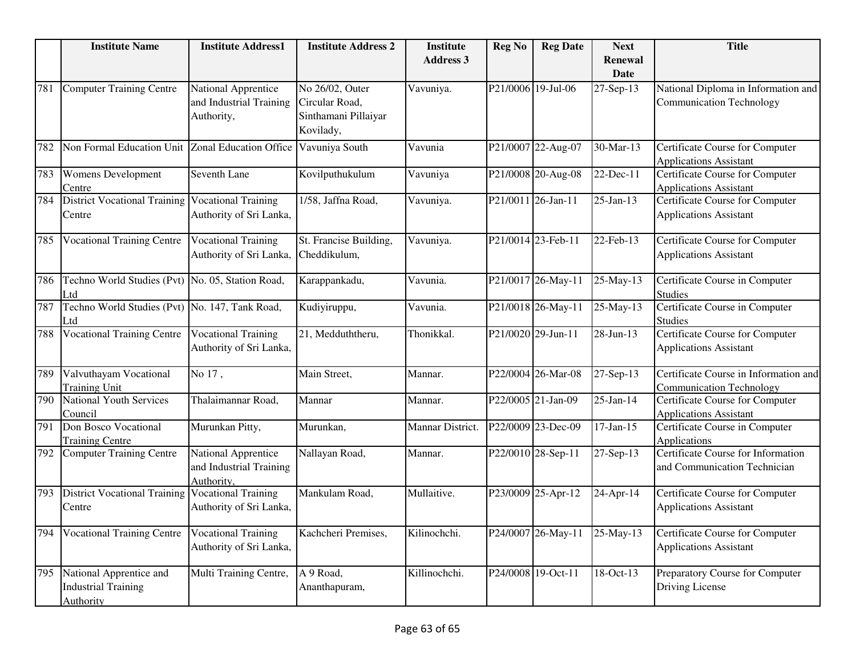|     | <b>Institute Name</b>                                                     | <b>Institute Address1</b>                                    | <b>Institute Address 2</b>                                             | <b>Institute</b> | <b>Reg No</b> | <b>Reg Date</b>    | <b>Next</b>                   | <b>Title</b>                                                             |
|-----|---------------------------------------------------------------------------|--------------------------------------------------------------|------------------------------------------------------------------------|------------------|---------------|--------------------|-------------------------------|--------------------------------------------------------------------------|
|     |                                                                           |                                                              |                                                                        | <b>Address 3</b> |               |                    | <b>Renewal</b><br><b>Date</b> |                                                                          |
| 781 | <b>Computer Training Centre</b>                                           | National Apprentice<br>and Industrial Training<br>Authority, | No 26/02, Outer<br>Circular Road,<br>Sinthamani Pillaiyar<br>Kovilady, | Vavuniya.        |               | P21/0006 19-Jul-06 | 27-Sep-13                     | National Diploma in Information and<br><b>Communication Technology</b>   |
| 782 | Non Formal Education Unit Zonal Education Office Vavuniya South           |                                                              |                                                                        | Vavunia          |               | P21/0007 22-Aug-07 | 30-Mar-13                     | Certificate Course for Computer<br><b>Applications Assistant</b>         |
| 783 | Womens Development<br>Centre                                              | Seventh Lane                                                 | Kovilputhukulum                                                        | Vavuniya         |               | P21/0008 20-Aug-08 | 22-Dec-11                     | Certificate Course for Computer<br><b>Applications Assistant</b>         |
| 784 | District Vocational Training   Vocational Training<br>Centre              | Authority of Sri Lanka,                                      | 1/58, Jaffna Road,                                                     | Vavuniya.        |               | P21/0011 26-Jan-11 | 25-Jan-13                     | Certificate Course for Computer<br><b>Applications Assistant</b>         |
| 785 | <b>Vocational Training Centre</b>                                         | <b>Vocational Training</b><br>Authority of Sri Lanka,        | St. Francise Building,<br>Cheddikulum,                                 | Vavuniya.        |               | P21/0014 23-Feb-11 | 22-Feb-13                     | Certificate Course for Computer<br><b>Applications Assistant</b>         |
| 786 | Techno World Studies (Pvt) No. 05, Station Road,<br>Ltd                   |                                                              | Karappankadu,                                                          | Vavunia.         |               | P21/0017 26-May-11 | 25-May-13                     | Certificate Course in Computer<br><b>Studies</b>                         |
| 787 | Techno World Studies (Pvt) No. 147, Tank Road,<br>Ltd                     |                                                              | Kudiyiruppu,                                                           | Vavunia.         |               | P21/0018 26-May-11 | 25-May-13                     | Certificate Course in Computer<br><b>Studies</b>                         |
| 788 | <b>Vocational Training Centre</b>                                         | <b>Vocational Training</b><br>Authority of Sri Lanka,        | $\overline{21}$ , Medduththeru,                                        | Thonikkal.       |               | P21/0020 29-Jun-11 | 28-Jun-13                     | Certificate Course for Computer<br><b>Applications Assistant</b>         |
| 789 | Valvuthayam Vocational<br><b>Training Unit</b>                            | No 17,                                                       | Main Street,                                                           | Mannar.          |               | P22/0004 26-Mar-08 | 27-Sep-13                     | Certificate Course in Information and<br><b>Communication Technology</b> |
| 790 | <b>National Youth Services</b><br>Council                                 | Thalaimannar Road,                                           | Mannar                                                                 | Mannar.          |               | P22/0005 21-Jan-09 | $25$ -Jan-14                  | Certificate Course for Computer<br><b>Applications Assistant</b>         |
| 791 | Don Bosco Vocational<br><b>Training Centre</b>                            | Murunkan Pitty,                                              | Murunkan,                                                              | Mannar District. |               | P22/0009 23-Dec-09 | $17-Jan-15$                   | Certificate Course in Computer<br>Applications                           |
| 792 | <b>Computer Training Centre</b>                                           | National Apprentice<br>and Industrial Training<br>Authority, | Nallayan Road,                                                         | Mannar.          |               | P22/0010 28-Sep-11 | 27-Sep-13                     | Certificate Course for Information<br>and Communication Technician       |
| 793 | <b>District Vocational Training</b><br>Centre                             | <b>Vocational Training</b><br>Authority of Sri Lanka,        | Mankulam Road,                                                         | Mullaitive.      |               | P23/0009 25-Apr-12 | 24-Apr-14                     | Certificate Course for Computer<br><b>Applications Assistant</b>         |
| 794 | <b>Vocational Training Centre</b>                                         | <b>Vocational Training</b><br>Authority of Sri Lanka,        | Kachcheri Premises,                                                    | Kilinochchi.     |               | P24/0007 26-May-11 | 25-May-13                     | Certificate Course for Computer<br><b>Applications Assistant</b>         |
| 795 | National Apprentice and<br><b>Industrial Training</b><br><b>Authority</b> | Multi Training Centre,                                       | A 9 Road,<br>Ananthapuram,                                             | Killinochchi.    |               | P24/0008 19-Oct-11 | $18-Oct-13$                   | Preparatory Course for Computer<br>Driving License                       |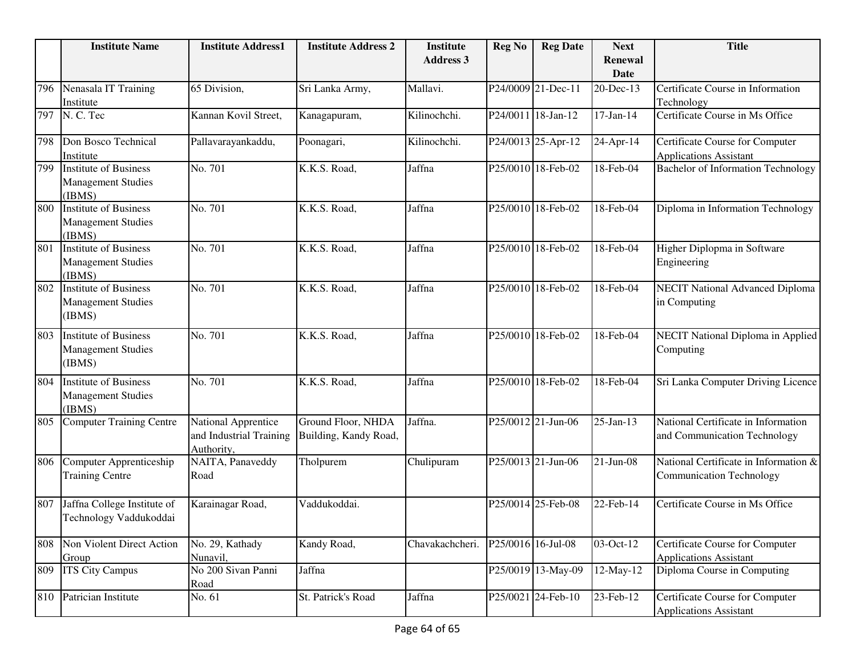|     | <b>Institute Name</b>                                               | <b>Institute Address1</b>                                    | <b>Institute Address 2</b>                  | <b>Institute</b> | <b>Reg No</b> | <b>Reg Date</b>    | <b>Next</b>            | <b>Title</b>                                                             |
|-----|---------------------------------------------------------------------|--------------------------------------------------------------|---------------------------------------------|------------------|---------------|--------------------|------------------------|--------------------------------------------------------------------------|
|     |                                                                     |                                                              |                                             | <b>Address 3</b> |               |                    | Renewal<br><b>Date</b> |                                                                          |
| 796 | Nenasala IT Training<br>Institute                                   | 65 Division,                                                 | Sri Lanka Army,                             | Mallavi.         |               | P24/0009 21-Dec-11 | 20-Dec-13              | Certificate Course in Information<br>Technology                          |
| 797 | N. C. Tec                                                           | Kannan Kovil Street,                                         | Kanagapuram,                                | Kilinochchi.     |               | P24/0011 18-Jan-12 | $17-Jan-14$            | Certificate Course in Ms Office                                          |
| 798 | Don Bosco Technical<br>Institute                                    | Pallavarayankaddu,                                           | Poonagari,                                  | Kilinochchi.     |               | P24/0013 25-Apr-12 | 24-Apr-14              | Certificate Course for Computer<br><b>Applications Assistant</b>         |
| 799 | <b>Institute of Business</b><br><b>Management Studies</b><br>(IBMS) | No. 701                                                      | K.K.S. Road,                                | Jaffna           |               | P25/0010 18-Feb-02 | 18-Feb-04              | <b>Bachelor of Information Technology</b>                                |
| 800 | <b>Institute of Business</b><br><b>Management Studies</b><br>(IBMS) | No. 701                                                      | K.K.S. Road,                                | Jaffna           |               | P25/0010 18-Feb-02 | 18-Feb-04              | Diploma in Information Technology                                        |
| 801 | <b>Institute of Business</b><br><b>Management Studies</b><br>(IBMS) | No. 701                                                      | K.K.S. Road,                                | Jaffna           |               | P25/0010 18-Feb-02 | 18-Feb-04              | Higher Diplopma in Software<br>Engineering                               |
| 802 | <b>Institute of Business</b><br><b>Management Studies</b><br>(IBMS) | No. 701                                                      | K.K.S. Road,                                | Jaffna           |               | P25/0010 18-Feb-02 | 18-Feb-04              | <b>NECIT</b> National Advanced Diploma<br>in Computing                   |
| 803 | <b>Institute of Business</b><br><b>Management Studies</b><br>(IBMS) | No. 701                                                      | K.K.S. Road,                                | Jaffna           |               | P25/0010 18-Feb-02 | 18-Feb-04              | NECIT National Diploma in Applied<br>Computing                           |
| 804 | <b>Institute of Business</b><br><b>Management Studies</b><br>(IBMS) | No. 701                                                      | K.K.S. Road,                                | Jaffna           |               | P25/0010 18-Feb-02 | 18-Feb-04              | Sri Lanka Computer Driving Licence                                       |
| 805 | <b>Computer Training Centre</b>                                     | National Apprentice<br>and Industrial Training<br>Authority, | Ground Floor, NHDA<br>Building, Kandy Road, | Jaffna.          |               | P25/0012 21-Jun-06 | 25-Jan-13              | National Certificate in Information<br>and Communication Technology      |
| 806 | Computer Apprenticeship<br><b>Training Centre</b>                   | NAITA, Panaveddy<br>Road                                     | Tholpurem                                   | Chulipuram       |               | P25/0013 21-Jun-06 | $21-Jun-08$            | National Certificate in Information &<br><b>Communication Technology</b> |
| 807 | Jaffna College Institute of<br>Technology Vaddukoddai               | Karainagar Road,                                             | Vaddukoddai.                                |                  |               | P25/0014 25-Feb-08 | 22-Feb-14              | Certificate Course in Ms Office                                          |
| 808 | Non Violent Direct Action<br>Group                                  | No. 29, Kathady<br>Nunavil,                                  | Kandy Road,                                 | Chavakachcheri.  |               | P25/0016 16-Jul-08 | 03-Oct-12              | Certificate Course for Computer<br><b>Applications Assistant</b>         |
| 809 | <b>ITS City Campus</b>                                              | No 200 Sivan Panni<br>Road                                   | Jaffna                                      |                  |               | P25/0019 13-May-09 | 12-May-12              | Diploma Course in Computing                                              |
| 810 | Patrician Institute                                                 | No. 61                                                       | St. Patrick's Road                          | Jaffna           |               | P25/0021 24-Feb-10 | 23-Feb-12              | Certificate Course for Computer<br><b>Applications Assistant</b>         |